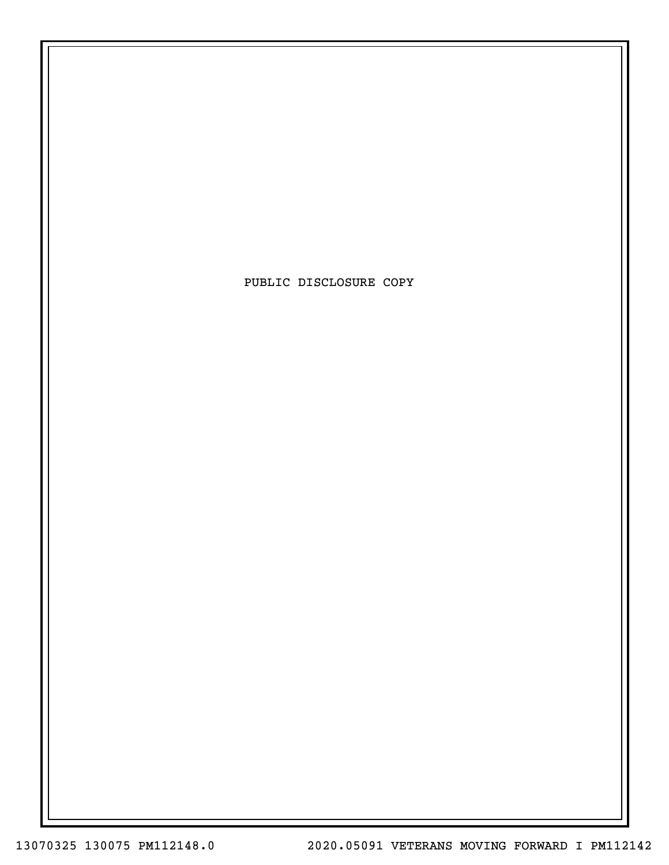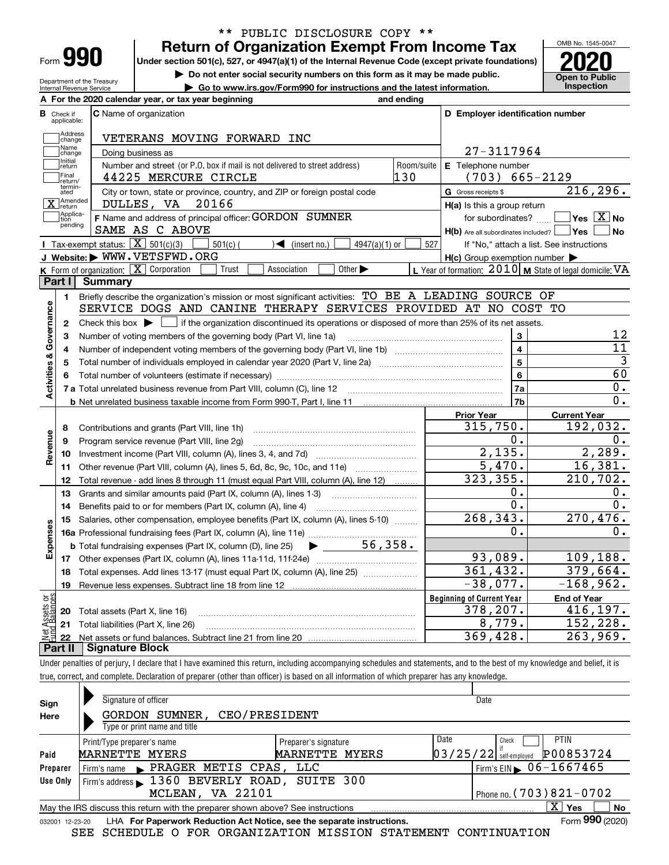| Form |  |
|------|--|

### **Return of Organization Exempt From Income Tax** \*\* PUBLIC DISCLOSURE COPY \*\*

**Under section 501(c), 527, or 4947(a)(1) of the Internal Revenue Code (except private foundations) 2020**

**| Do not enter social security numbers on this form as it may be made public.**

**| Go to www.irs.gov/Form990 for instructions and the latest information. Inspection**



Department of the Treasury Internal Revenue Service

| <b>B</b> Check if<br>applicable: | <b>C</b> Name of organization                                                                                                                                                                                                  |            | D Employer identification number                          |                                                  |
|----------------------------------|--------------------------------------------------------------------------------------------------------------------------------------------------------------------------------------------------------------------------------|------------|-----------------------------------------------------------|--------------------------------------------------|
| Address<br>change                | VETERANS MOVING FORWARD INC                                                                                                                                                                                                    |            |                                                           |                                                  |
| Name<br>change                   | Doing business as                                                                                                                                                                                                              |            | 27-3117964                                                |                                                  |
| Initial<br>return                | Number and street (or P.O. box if mail is not delivered to street address)                                                                                                                                                     | Room/suite | E Telephone number                                        |                                                  |
| Final<br>return/                 | 44225 MERCURE CIRCLE                                                                                                                                                                                                           | 130        | $(703) 665 - 2129$                                        |                                                  |
| termin-<br>ated                  | City or town, state or province, country, and ZIP or foreign postal code                                                                                                                                                       |            | G Gross receipts \$                                       | 216, 296.                                        |
| X Amended                        | 20166<br>DULLES, VA                                                                                                                                                                                                            |            | H(a) Is this a group return                               |                                                  |
| Applica-<br>tion                 | F Name and address of principal officer: GORDON SUMNER                                                                                                                                                                         |            | for subordinates? $\Box$                                  | $\overline{\ }$ Yes $\overline{\phantom{a}X}$ No |
| pending                          | SAME AS C ABOVE                                                                                                                                                                                                                |            | H(b) Are all subordinates included? Ves                   | No                                               |
|                                  | Tax-exempt status: $\boxed{\mathbf{X}}$ 501(c)(3)<br>$501(c)$ (<br>$\sum$ (insert no.)<br>$4947(a)(1)$ or                                                                                                                      | 527        | If "No," attach a list. See instructions                  |                                                  |
|                                  | J Website: WWW.VETSFWD.ORG                                                                                                                                                                                                     |            | $H(c)$ Group exemption number $\blacktriangleright$       |                                                  |
|                                  | K Form of organization: X Corporation<br>Other $\blacktriangleright$<br>Association<br>Trust                                                                                                                                   |            | L Year of formation: $2010$ M State of legal domicile: VA |                                                  |
| Part I                           | Summary                                                                                                                                                                                                                        |            |                                                           |                                                  |
| 1.                               | Briefly describe the organization's mission or most significant activities: TO BE A LEADING SOURCE OF                                                                                                                          |            |                                                           |                                                  |
|                                  | SERVICE DOGS AND CANINE THERAPY SERVICES PROVIDED AT NO COST TO                                                                                                                                                                |            |                                                           |                                                  |
| $\mathbf{2}$                     | Check this box $\blacktriangleright$<br>if the organization discontinued its operations or disposed of more than 25% of its net assets.                                                                                        |            |                                                           |                                                  |
| з                                | Number of voting members of the governing body (Part VI, line 1a)                                                                                                                                                              |            | $\overline{\mathbf{3}}$                                   | 12                                               |
| Governance<br>4                  |                                                                                                                                                                                                                                |            | 4                                                         | $\overline{11}$                                  |
| 5                                |                                                                                                                                                                                                                                |            | $\overline{5}$                                            | $\overline{3}$                                   |
| 6                                | Total number of volunteers (estimate if necessary) manufactured content content of the manufactured manufactured manufactured manufactured manufactured manufactured manufactured manufactured manufactured manufactured manuf |            | 6                                                         | 60                                               |
| <b>Activities &amp;</b>          |                                                                                                                                                                                                                                |            | 7a                                                        | 0.                                               |
|                                  |                                                                                                                                                                                                                                |            | 7b                                                        | 0.                                               |
|                                  |                                                                                                                                                                                                                                |            | <b>Prior Year</b>                                         | <b>Current Year</b>                              |
| 8                                | Contributions and grants (Part VIII, line 1h)                                                                                                                                                                                  |            | 315,750.                                                  | 192,032.                                         |
| 9                                | Program service revenue (Part VIII, line 2g)                                                                                                                                                                                   |            | 0.                                                        | 0.                                               |
| 10                               |                                                                                                                                                                                                                                |            | 2,135.                                                    | 2,289.                                           |
| Revenue<br>11                    | Other revenue (Part VIII, column (A), lines 5, 6d, 8c, 9c, 10c, and 11e)                                                                                                                                                       |            | 5,470.                                                    | 16,381.                                          |
| 12                               | Total revenue - add lines 8 through 11 (must equal Part VIII, column (A), line 12)                                                                                                                                             |            | 323, 355.                                                 | 210,702.                                         |
| 13                               | Grants and similar amounts paid (Part IX, column (A), lines 1-3)                                                                                                                                                               |            | 0.                                                        | $0$ .                                            |
| 14                               | Benefits paid to or for members (Part IX, column (A), line 4)                                                                                                                                                                  |            | 0.                                                        | 0.                                               |
| 15                               | Salaries, other compensation, employee benefits (Part IX, column (A), lines 5-10)                                                                                                                                              |            | 268, 343.                                                 | 270,476.                                         |
|                                  |                                                                                                                                                                                                                                |            | 0.                                                        | 0.                                               |
|                                  | <b>b</b> Total fundraising expenses (Part IX, column (D), line 25) $\bullet$ _ 56, 358.                                                                                                                                        |            |                                                           |                                                  |
| Expenses<br>17                   |                                                                                                                                                                                                                                |            | 93,089.                                                   | 109, 188.                                        |
| 18                               | Total expenses. Add lines 13-17 (must equal Part IX, column (A), line 25)                                                                                                                                                      |            | 361,432.                                                  | 379,664.                                         |
|                                  | 19 Revenue less expenses. Subtract line 18 from line 12                                                                                                                                                                        |            | $-38,077.$                                                | $-168,962.$                                      |
| ្តិផ្ញ                           |                                                                                                                                                                                                                                |            | <b>Beginning of Current Year</b>                          | <b>End of Year</b>                               |
| Assets<br>1 Balanc<br>20         | Total assets (Part X, line 16)                                                                                                                                                                                                 |            | 378,207.                                                  | 416, 197.                                        |
|                                  | Total liabilities (Part X, line 26)                                                                                                                                                                                            |            | 8,779.                                                    | 152,228.                                         |
|                                  |                                                                                                                                                                                                                                |            | 369,428.                                                  | 263,969.                                         |
| 21<br>22                         |                                                                                                                                                                                                                                |            |                                                           |                                                  |

| Sign<br>Here    | Signature of officer<br>CEO/PRESIDENT<br>GORDON SUMNER,<br>Type or print name and title |                                        | Date                                                                  |                 |
|-----------------|-----------------------------------------------------------------------------------------|----------------------------------------|-----------------------------------------------------------------------|-----------------|
| Paid            | Print/Type preparer's name<br>MARNETTE MYERS                                            | Preparer's signature<br>MARNETTE MYERS | Date<br><b>PTIN</b><br>Check<br>P00853724<br>$03/25/22$ self-employed |                 |
| Preparer        | Firm's name PRAGER METIS CPAS, LLC                                                      |                                        | Firm's EIN $\triangleright$ 06-1667465                                |                 |
| Use Only        | Firm's address 1360 BEVERLY ROAD, SUITE 300                                             |                                        |                                                                       |                 |
|                 | MCLEAN, VA 22101                                                                        |                                        | Phone no. $(703)821 - 0702$                                           |                 |
|                 | May the IRS discuss this return with the preparer shown above? See instructions         |                                        | X.<br>Yes                                                             | <b>No</b>       |
| 032001 12-23-20 | LHA For Paperwork Reduction Act Notice, see the separate instructions.                  |                                        |                                                                       | Form 990 (2020) |

SEE SCHEDULE O FOR ORGANIZATION MISSION STATEMENT CONTINUATION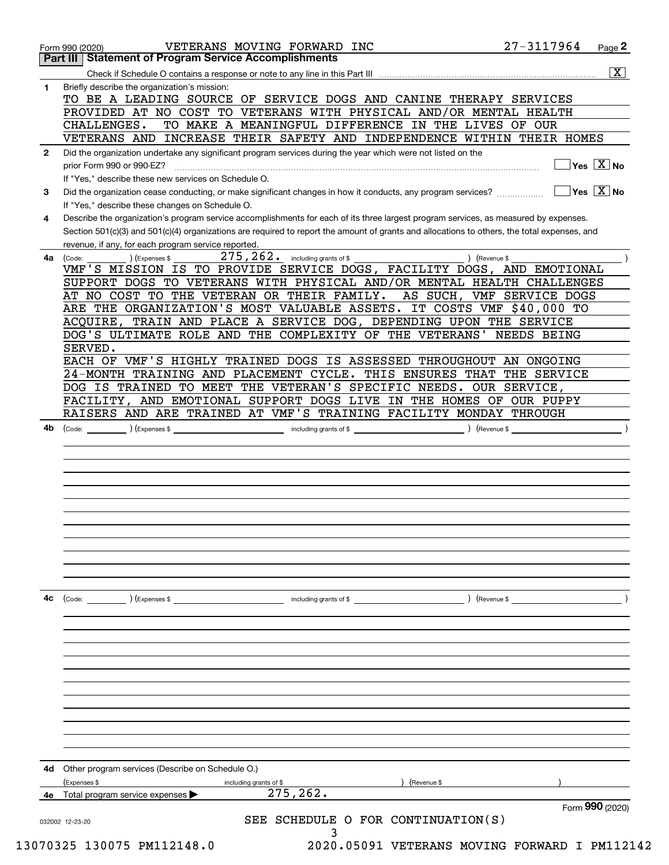|              | <b>Part III   Statement of Program Service Accomplishments</b>                                                                                                  |
|--------------|-----------------------------------------------------------------------------------------------------------------------------------------------------------------|
|              | $\overline{\mathtt{x}}$                                                                                                                                         |
| 1            | Briefly describe the organization's mission:                                                                                                                    |
|              | TO BE A LEADING SOURCE OF SERVICE DOGS AND CANINE THERAPY SERVICES                                                                                              |
|              | PROVIDED AT NO COST TO VETERANS WITH PHYSICAL AND/OR MENTAL HEALTH                                                                                              |
|              | CHALLENGES.<br>TO MAKE A MEANINGFUL DIFFERENCE IN THE LIVES OF OUR                                                                                              |
|              | VETERANS AND INCREASE THEIR SAFETY AND INDEPENDENCE WITHIN THEIR HOMES                                                                                          |
| $\mathbf{2}$ | Did the organization undertake any significant program services during the year which were not listed on the                                                    |
|              | $\sqrt{}$ Yes $\sqrt{X}$ No<br>prior Form 990 or 990-EZ?                                                                                                        |
|              | If "Yes," describe these new services on Schedule O.                                                                                                            |
| 3            | $\overline{\ }$ Yes $\overline{\phantom{X}}$ No<br>Did the organization cease conducting, or make significant changes in how it conducts, any program services? |
|              | If "Yes," describe these changes on Schedule O.                                                                                                                 |
| 4            | Describe the organization's program service accomplishments for each of its three largest program services, as measured by expenses.                            |
|              | Section 501(c)(3) and 501(c)(4) organizations are required to report the amount of grants and allocations to others, the total expenses, and                    |
|              | revenue, if any, for each program service reported.                                                                                                             |
| 4a           | $275, 262$ . including grants of \$<br>) (Revenue \$<br>(Expenses \$<br>(Code:                                                                                  |
|              | VMF'S MISSION IS TO PROVIDE SERVICE DOGS, FACILITY DOGS, AND EMOTIONAL                                                                                          |
|              | SUPPORT DOGS TO VETERANS WITH PHYSICAL AND/OR MENTAL HEALTH CHALLENGES                                                                                          |
|              | AT NO COST TO THE VETERAN OR THEIR FAMILY.<br>AS SUCH, VMF SERVICE DOGS                                                                                         |
|              | ARE THE ORGANIZATION'S MOST VALUABLE ASSETS. IT COSTS VMF \$40,000 TO                                                                                           |
|              | ACQUIRE, TRAIN AND PLACE A SERVICE DOG, DEPENDING UPON THE SERVICE                                                                                              |
|              | DOG'S ULTIMATE ROLE AND THE COMPLEXITY OF THE VETERANS' NEEDS BEING                                                                                             |
|              | SERVED.                                                                                                                                                         |
|              | EACH OF VMF'S HIGHLY TRAINED DOGS IS ASSESSED THROUGHOUT AN ONGOING                                                                                             |
|              | 24-MONTH TRAINING AND PLACEMENT CYCLE. THIS ENSURES THAT THE SERVICE                                                                                            |
|              | DOG IS TRAINED TO MEET THE VETERAN'S SPECIFIC NEEDS. OUR SERVICE,<br>FACILITY, AND EMOTIONAL SUPPORT DOGS LIVE IN THE HOMES OF OUR PUPPY                        |
|              |                                                                                                                                                                 |
|              | RAISERS AND ARE TRAINED AT VMF'S TRAINING FACILITY MONDAY THROUGH                                                                                               |
| 4b           | ) (Expenses \$<br>) (Revenue \$<br>(Code:<br>including grants of \$                                                                                             |
|              |                                                                                                                                                                 |
|              |                                                                                                                                                                 |
|              |                                                                                                                                                                 |
|              |                                                                                                                                                                 |
|              |                                                                                                                                                                 |
|              |                                                                                                                                                                 |
|              |                                                                                                                                                                 |
|              |                                                                                                                                                                 |
|              |                                                                                                                                                                 |
| 4c           | (Code:<br>(Expenses \$<br>including grants of \$<br>) (Revenue \$                                                                                               |
|              |                                                                                                                                                                 |
|              |                                                                                                                                                                 |
|              |                                                                                                                                                                 |
|              |                                                                                                                                                                 |
|              |                                                                                                                                                                 |
|              |                                                                                                                                                                 |
|              |                                                                                                                                                                 |
|              |                                                                                                                                                                 |
|              |                                                                                                                                                                 |
|              |                                                                                                                                                                 |
|              |                                                                                                                                                                 |
| 4d           | Other program services (Describe on Schedule O.)                                                                                                                |
|              | (Expenses \$<br>(Revenue \$<br>including grants of \$                                                                                                           |
|              | 275, 262.<br>Total program service expenses                                                                                                                     |
|              | Form 990 (2020)<br>SEE SCHEDULE O FOR CONTINUATION(S)                                                                                                           |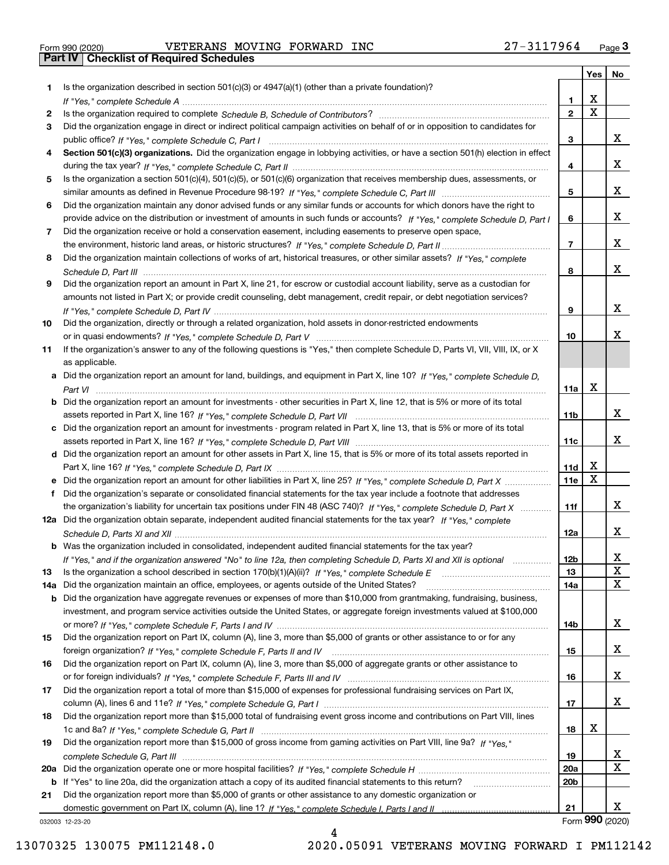|  | Form 990 (2020) |  |
|--|-----------------|--|

# Form 990 (2020) Page **3Part IV Checklist of Required Schedules** VETERANS MOVING FORWARD INC 27-3117964

|     |                                                                                                                                                                                                                                                           |                 | Yes                     | No              |
|-----|-----------------------------------------------------------------------------------------------------------------------------------------------------------------------------------------------------------------------------------------------------------|-----------------|-------------------------|-----------------|
| 1   | Is the organization described in section $501(c)(3)$ or $4947(a)(1)$ (other than a private foundation)?                                                                                                                                                   |                 |                         |                 |
|     |                                                                                                                                                                                                                                                           | 1.              | X                       |                 |
| 2   |                                                                                                                                                                                                                                                           | $\overline{2}$  | $\overline{\mathbf{x}}$ |                 |
| 3   | Did the organization engage in direct or indirect political campaign activities on behalf of or in opposition to candidates for                                                                                                                           |                 |                         |                 |
|     |                                                                                                                                                                                                                                                           | 3               |                         | x               |
| 4   | Section 501(c)(3) organizations. Did the organization engage in lobbying activities, or have a section 501(h) election in effect                                                                                                                          |                 |                         |                 |
|     |                                                                                                                                                                                                                                                           | 4               |                         | x               |
| 5   | Is the organization a section 501(c)(4), 501(c)(5), or 501(c)(6) organization that receives membership dues, assessments, or                                                                                                                              |                 |                         | x               |
|     |                                                                                                                                                                                                                                                           | 5               |                         |                 |
| 6   | Did the organization maintain any donor advised funds or any similar funds or accounts for which donors have the right to<br>provide advice on the distribution or investment of amounts in such funds or accounts? If "Yes," complete Schedule D, Part I | 6               |                         | x               |
| 7   | Did the organization receive or hold a conservation easement, including easements to preserve open space,                                                                                                                                                 |                 |                         |                 |
|     |                                                                                                                                                                                                                                                           | $\overline{7}$  |                         | x               |
| 8   | Did the organization maintain collections of works of art, historical treasures, or other similar assets? If "Yes," complete                                                                                                                              |                 |                         |                 |
|     |                                                                                                                                                                                                                                                           | 8               |                         | x               |
| 9   | Did the organization report an amount in Part X, line 21, for escrow or custodial account liability, serve as a custodian for                                                                                                                             |                 |                         |                 |
|     | amounts not listed in Part X; or provide credit counseling, debt management, credit repair, or debt negotiation services?                                                                                                                                 |                 |                         |                 |
|     |                                                                                                                                                                                                                                                           | 9               |                         | x               |
| 10  | Did the organization, directly or through a related organization, hold assets in donor-restricted endowments                                                                                                                                              |                 |                         |                 |
|     |                                                                                                                                                                                                                                                           | 10              |                         | x               |
| 11  | If the organization's answer to any of the following questions is "Yes," then complete Schedule D, Parts VI, VII, VIII, IX, or X                                                                                                                          |                 |                         |                 |
|     | as applicable.                                                                                                                                                                                                                                            |                 |                         |                 |
|     | a Did the organization report an amount for land, buildings, and equipment in Part X, line 10? If "Yes," complete Schedule D,                                                                                                                             |                 |                         |                 |
|     |                                                                                                                                                                                                                                                           | 11a             | $\mathbf X$             |                 |
| b   | Did the organization report an amount for investments - other securities in Part X, line 12, that is 5% or more of its total                                                                                                                              |                 |                         |                 |
|     |                                                                                                                                                                                                                                                           | 11 <sub>b</sub> |                         | x               |
| c   | Did the organization report an amount for investments - program related in Part X, line 13, that is 5% or more of its total                                                                                                                               |                 |                         |                 |
|     |                                                                                                                                                                                                                                                           | 11c             |                         | x               |
|     | d Did the organization report an amount for other assets in Part X, line 15, that is 5% or more of its total assets reported in                                                                                                                           |                 |                         |                 |
|     |                                                                                                                                                                                                                                                           | 11d             | х                       |                 |
|     | Did the organization report an amount for other liabilities in Part X, line 25? If "Yes," complete Schedule D, Part X                                                                                                                                     | 11e             | $\mathbf X$             |                 |
| f   | Did the organization's separate or consolidated financial statements for the tax year include a footnote that addresses                                                                                                                                   |                 |                         |                 |
|     | the organization's liability for uncertain tax positions under FIN 48 (ASC 740)? If "Yes," complete Schedule D, Part X                                                                                                                                    | 11f             |                         | x               |
|     | 12a Did the organization obtain separate, independent audited financial statements for the tax year? If "Yes," complete                                                                                                                                   |                 |                         |                 |
|     |                                                                                                                                                                                                                                                           | 12a             |                         | x               |
|     | <b>b</b> Was the organization included in consolidated, independent audited financial statements for the tax year?                                                                                                                                        |                 |                         |                 |
|     | If "Yes," and if the organization answered "No" to line 12a, then completing Schedule D, Parts XI and XII is optional                                                                                                                                     | 12D             |                         | ᅀ               |
| 13  |                                                                                                                                                                                                                                                           | 13              |                         | X               |
| 14a | Did the organization maintain an office, employees, or agents outside of the United States?                                                                                                                                                               | 14a             |                         | X               |
| b   | Did the organization have aggregate revenues or expenses of more than \$10,000 from grantmaking, fundraising, business,                                                                                                                                   |                 |                         |                 |
|     | investment, and program service activities outside the United States, or aggregate foreign investments valued at \$100,000                                                                                                                                |                 |                         | x               |
| 15  | Did the organization report on Part IX, column (A), line 3, more than \$5,000 of grants or other assistance to or for any                                                                                                                                 | 14b             |                         |                 |
|     |                                                                                                                                                                                                                                                           | 15              |                         | x               |
| 16  | Did the organization report on Part IX, column (A), line 3, more than \$5,000 of aggregate grants or other assistance to                                                                                                                                  |                 |                         |                 |
|     |                                                                                                                                                                                                                                                           | 16              |                         | x               |
| 17  | Did the organization report a total of more than \$15,000 of expenses for professional fundraising services on Part IX,                                                                                                                                   |                 |                         |                 |
|     |                                                                                                                                                                                                                                                           | 17              |                         | X               |
| 18  | Did the organization report more than \$15,000 total of fundraising event gross income and contributions on Part VIII, lines                                                                                                                              |                 |                         |                 |
|     |                                                                                                                                                                                                                                                           | 18              | X                       |                 |
| 19  | Did the organization report more than \$15,000 of gross income from gaming activities on Part VIII, line 9a? If "Yes."                                                                                                                                    |                 |                         |                 |
|     |                                                                                                                                                                                                                                                           | 19              |                         | x               |
| 20a |                                                                                                                                                                                                                                                           | 20a             |                         | $\mathbf x$     |
| b   | If "Yes" to line 20a, did the organization attach a copy of its audited financial statements to this return?                                                                                                                                              | 20 <sub>b</sub> |                         |                 |
| 21  | Did the organization report more than \$5,000 of grants or other assistance to any domestic organization or                                                                                                                                               |                 |                         |                 |
|     |                                                                                                                                                                                                                                                           | 21              |                         | X.              |
|     | 032003 12-23-20                                                                                                                                                                                                                                           |                 |                         | Form 990 (2020) |

4

032003 12-23-20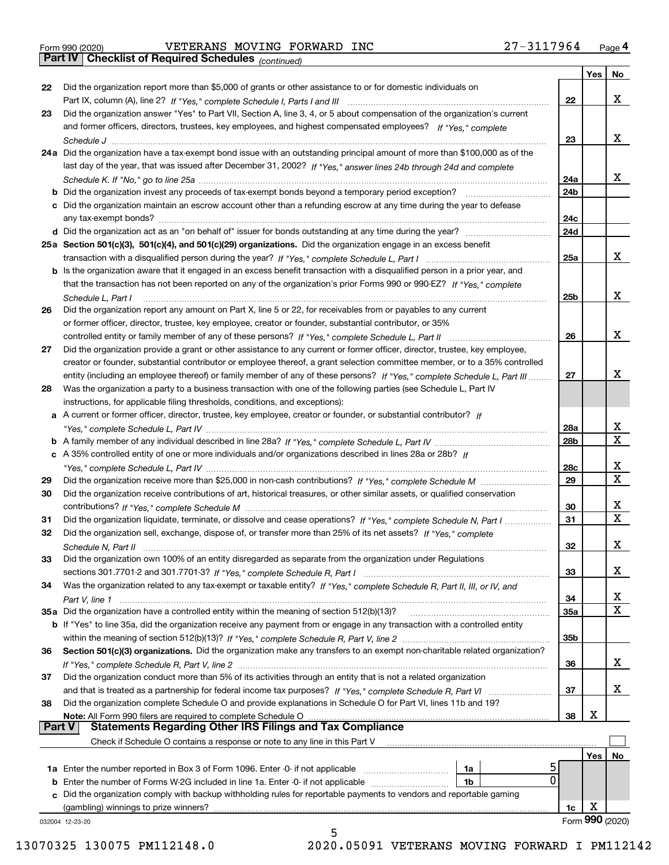|  | Form 990 (2020) |
|--|-----------------|
|  |                 |

Form 990 (2020) Page **4Part IV Checklist of Required Schedules** VETERANS MOVING FORWARD INC 27-3117964

*(continued)*

|               |                                                                                                                              |                 | Yes | <b>No</b>       |
|---------------|------------------------------------------------------------------------------------------------------------------------------|-----------------|-----|-----------------|
| 22            | Did the organization report more than \$5,000 of grants or other assistance to or for domestic individuals on                |                 |     |                 |
|               |                                                                                                                              | 22              |     | х               |
| 23            | Did the organization answer "Yes" to Part VII, Section A, line 3, 4, or 5 about compensation of the organization's current   |                 |     |                 |
|               | and former officers, directors, trustees, key employees, and highest compensated employees? If "Yes," complete               |                 |     |                 |
|               |                                                                                                                              | 23              |     | х               |
|               | 24a Did the organization have a tax-exempt bond issue with an outstanding principal amount of more than \$100,000 as of the  |                 |     |                 |
|               | last day of the year, that was issued after December 31, 2002? If "Yes," answer lines 24b through 24d and complete           |                 |     |                 |
|               |                                                                                                                              | 24a             |     | x               |
|               | <b>b</b> Did the organization invest any proceeds of tax-exempt bonds beyond a temporary period exception?                   | 24 <sub>b</sub> |     |                 |
|               | c Did the organization maintain an escrow account other than a refunding escrow at any time during the year to defease       |                 |     |                 |
|               | any tax-exempt bonds?                                                                                                        | 24c             |     |                 |
|               | d Did the organization act as an "on behalf of" issuer for bonds outstanding at any time during the year?                    | 24d             |     |                 |
|               | 25a Section 501(c)(3), 501(c)(4), and 501(c)(29) organizations. Did the organization engage in an excess benefit             |                 |     |                 |
|               |                                                                                                                              | 25a             |     | х               |
|               | b Is the organization aware that it engaged in an excess benefit transaction with a disqualified person in a prior year, and |                 |     |                 |
|               | that the transaction has not been reported on any of the organization's prior Forms 990 or 990-EZ? If "Yes," complete        |                 |     |                 |
|               | Schedule L, Part I                                                                                                           | 25 <sub>b</sub> |     | х               |
| 26            | Did the organization report any amount on Part X, line 5 or 22, for receivables from or payables to any current              |                 |     |                 |
|               | or former officer, director, trustee, key employee, creator or founder, substantial contributor, or 35%                      |                 |     |                 |
|               |                                                                                                                              | 26              |     | х               |
| 27            | Did the organization provide a grant or other assistance to any current or former officer, director, trustee, key employee,  |                 |     |                 |
|               | creator or founder, substantial contributor or employee thereof, a grant selection committee member, or to a 35% controlled  |                 |     |                 |
|               | entity (including an employee thereof) or family member of any of these persons? If "Yes," complete Schedule L, Part III     | 27              |     | х               |
| 28            | Was the organization a party to a business transaction with one of the following parties (see Schedule L, Part IV            |                 |     |                 |
|               | instructions, for applicable filing thresholds, conditions, and exceptions):                                                 |                 |     |                 |
|               | a A current or former officer, director, trustee, key employee, creator or founder, or substantial contributor? If           |                 |     |                 |
|               |                                                                                                                              | 28a             |     | x               |
|               |                                                                                                                              | 28 <sub>b</sub> |     | $\mathbf X$     |
|               | c A 35% controlled entity of one or more individuals and/or organizations described in lines 28a or 28b? If                  |                 |     |                 |
|               |                                                                                                                              | 28c             |     | х               |
| 29            |                                                                                                                              | 29              |     | $\mathbf X$     |
| 30            | Did the organization receive contributions of art, historical treasures, or other similar assets, or qualified conservation  |                 |     |                 |
|               |                                                                                                                              | 30              |     | x               |
| 31            | Did the organization liquidate, terminate, or dissolve and cease operations? If "Yes," complete Schedule N, Part I           | 31              |     | $\mathbf x$     |
| 32            | Did the organization sell, exchange, dispose of, or transfer more than 25% of its net assets? If "Yes," complete             |                 |     |                 |
|               | Schedule N, Part II                                                                                                          | 32              |     | х               |
| 33            | Did the organization own 100% of an entity disregarded as separate from the organization under Regulations                   |                 |     |                 |
|               |                                                                                                                              | 33              |     | х               |
| 34            | Was the organization related to any tax-exempt or taxable entity? If "Yes," complete Schedule R, Part II, III, or IV, and    |                 |     |                 |
|               |                                                                                                                              | 34              |     | x               |
|               | 35a Did the organization have a controlled entity within the meaning of section 512(b)(13)?                                  | 35a             |     | X               |
|               | b If "Yes" to line 35a, did the organization receive any payment from or engage in any transaction with a controlled entity  |                 |     |                 |
|               |                                                                                                                              | 35b             |     |                 |
| 36            | Section 501(c)(3) organizations. Did the organization make any transfers to an exempt non-charitable related organization?   |                 |     |                 |
|               |                                                                                                                              | 36              |     | x               |
| 37            | Did the organization conduct more than 5% of its activities through an entity that is not a related organization             |                 |     |                 |
|               | and that is treated as a partnership for federal income tax purposes? If "Yes," complete Schedule R, Part VI                 | 37              |     | x               |
| 38            | Did the organization complete Schedule O and provide explanations in Schedule O for Part VI, lines 11b and 19?               |                 |     |                 |
|               | Note: All Form 990 filers are required to complete Schedule O                                                                | 38              | х   |                 |
| <b>Part V</b> | <b>Statements Regarding Other IRS Filings and Tax Compliance</b>                                                             |                 |     |                 |
|               | Check if Schedule O contains a response or note to any line in this Part V                                                   |                 |     |                 |
|               |                                                                                                                              |                 | Yes | No              |
|               | <b>1a</b> Enter the number reported in Box 3 of Form 1096. Enter -0- if not applicable <i>manumumumum</i><br>1a<br>0         |                 |     |                 |
|               | <b>b</b> Enter the number of Forms W-2G included in line 1a. Enter -0- if not applicable<br>1b                               |                 |     |                 |
|               | c Did the organization comply with backup withholding rules for reportable payments to vendors and reportable gaming         |                 |     |                 |
|               | (gambling) winnings to prize winners?                                                                                        | 1c              | х   | Form 990 (2020) |
|               | 032004 12-23-20<br>5                                                                                                         |                 |     |                 |
|               |                                                                                                                              |                 |     |                 |

13070325 130075 PM112148.0 2020.05091 VETERANS MOVING FORWARD I PM112142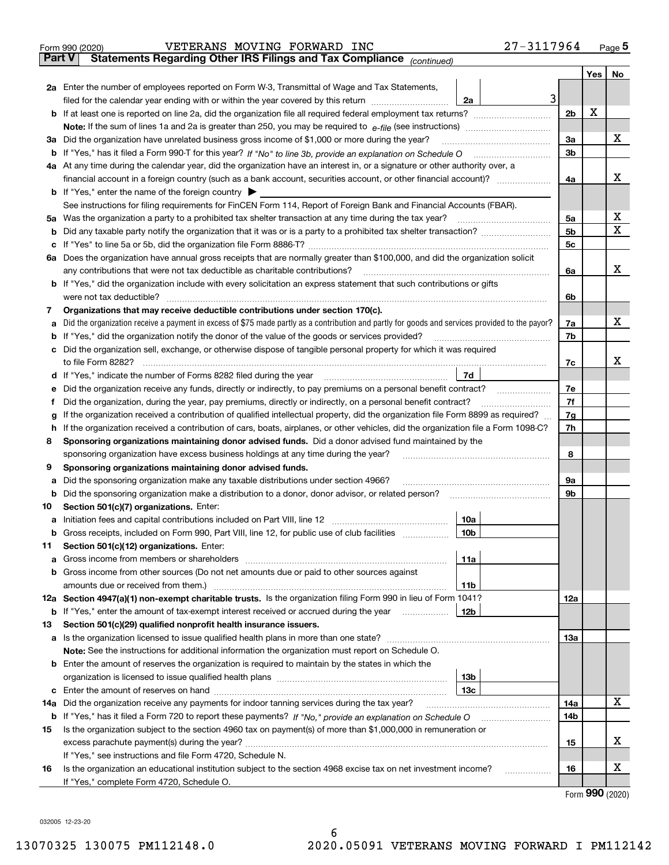|               | 27-3117964<br>VETERANS MOVING FORWARD INC<br>Form 990 (2020)                                                                                                                                          |                |     | Page $5$ |
|---------------|-------------------------------------------------------------------------------------------------------------------------------------------------------------------------------------------------------|----------------|-----|----------|
| <b>Part V</b> | Statements Regarding Other IRS Filings and Tax Compliance (continued)                                                                                                                                 |                |     |          |
|               |                                                                                                                                                                                                       |                | Yes | No       |
|               | <b>2a</b> Enter the number of employees reported on Form W-3, Transmittal of Wage and Tax Statements,                                                                                                 |                |     |          |
|               | 3<br>filed for the calendar year ending with or within the year covered by this return<br>2a                                                                                                          |                |     |          |
|               |                                                                                                                                                                                                       | 2b             | х   |          |
|               |                                                                                                                                                                                                       |                |     |          |
|               | 3a Did the organization have unrelated business gross income of \$1,000 or more during the year?                                                                                                      | За             |     | х        |
|               |                                                                                                                                                                                                       | 3b             |     |          |
|               | 4a At any time during the calendar year, did the organization have an interest in, or a signature or other authority over, a                                                                          |                |     |          |
|               |                                                                                                                                                                                                       | 4a             |     | х        |
|               | <b>b</b> If "Yes," enter the name of the foreign country $\triangleright$                                                                                                                             |                |     |          |
|               | See instructions for filing requirements for FinCEN Form 114, Report of Foreign Bank and Financial Accounts (FBAR).                                                                                   |                |     | х        |
|               | 5a Was the organization a party to a prohibited tax shelter transaction at any time during the tax year?                                                                                              | 5a             |     | х        |
|               |                                                                                                                                                                                                       | 5b             |     |          |
|               |                                                                                                                                                                                                       | 5 <sub>c</sub> |     |          |
|               | 6a Does the organization have annual gross receipts that are normally greater than \$100,000, and did the organization solicit                                                                        | 6a             |     | х        |
|               | any contributions that were not tax deductible as charitable contributions?<br>b If "Yes," did the organization include with every solicitation an express statement that such contributions or gifts |                |     |          |
|               | were not tax deductible?                                                                                                                                                                              | 6b             |     |          |
| 7             | Organizations that may receive deductible contributions under section 170(c).                                                                                                                         |                |     |          |
|               | a Did the organization receive a payment in excess of \$75 made partly as a contribution and partly for goods and services provided to the payor?                                                     | 7a             |     | х        |
|               | <b>b</b> If "Yes," did the organization notify the donor of the value of the goods or services provided?                                                                                              | 7b             |     |          |
|               | c Did the organization sell, exchange, or otherwise dispose of tangible personal property for which it was required                                                                                   |                |     |          |
|               | to file Form 8282?                                                                                                                                                                                    | 7c             |     | х        |
|               | 7d<br>d If "Yes," indicate the number of Forms 8282 filed during the year                                                                                                                             |                |     |          |
| е             | Did the organization receive any funds, directly or indirectly, to pay premiums on a personal benefit contract?                                                                                       | 7е             |     |          |
| f             | Did the organization, during the year, pay premiums, directly or indirectly, on a personal benefit contract?                                                                                          | 7f             |     |          |
| g             | If the organization received a contribution of qualified intellectual property, did the organization file Form 8899 as required?                                                                      | 7g             |     |          |
|               | h If the organization received a contribution of cars, boats, airplanes, or other vehicles, did the organization file a Form 1098-C?                                                                  | 7h             |     |          |
| 8             | Sponsoring organizations maintaining donor advised funds. Did a donor advised fund maintained by the                                                                                                  |                |     |          |
|               | sponsoring organization have excess business holdings at any time during the year?                                                                                                                    | 8              |     |          |
| 9             | Sponsoring organizations maintaining donor advised funds.                                                                                                                                             |                |     |          |
| а             | Did the sponsoring organization make any taxable distributions under section 4966?                                                                                                                    | 9а             |     |          |
|               | <b>b</b> Did the sponsoring organization make a distribution to a donor, donor advisor, or related person?                                                                                            | 9b             |     |          |
| 10            | Section 501(c)(7) organizations. Enter:                                                                                                                                                               |                |     |          |
|               | 10a<br>a Initiation fees and capital contributions included on Part VIII, line 12                                                                                                                     |                |     |          |
|               | 10 <sub>b</sub><br><b>b</b> Gross receipts, included on Form 990, Part VIII, line 12, for public use of club facilities                                                                               |                |     |          |
| 11            | Section 501(c)(12) organizations. Enter:                                                                                                                                                              |                |     |          |
| a             | 11a                                                                                                                                                                                                   |                |     |          |
|               | <b>b</b> Gross income from other sources (Do not net amounts due or paid to other sources against                                                                                                     |                |     |          |
|               | 11 <sub>b</sub>                                                                                                                                                                                       |                |     |          |
|               | 12a Section 4947(a)(1) non-exempt charitable trusts. Is the organization filing Form 990 in lieu of Form 1041?                                                                                        | 12a            |     |          |
|               | <b>b</b> If "Yes," enter the amount of tax-exempt interest received or accrued during the year <i>manument</i><br>12b                                                                                 |                |     |          |
| 13            | Section 501(c)(29) qualified nonprofit health insurance issuers.                                                                                                                                      |                |     |          |
|               | <b>a</b> Is the organization licensed to issue qualified health plans in more than one state?                                                                                                         | <b>13a</b>     |     |          |
|               | Note: See the instructions for additional information the organization must report on Schedule O.                                                                                                     |                |     |          |
|               | <b>b</b> Enter the amount of reserves the organization is required to maintain by the states in which the                                                                                             |                |     |          |
|               | 13b<br>13с                                                                                                                                                                                            |                |     |          |
|               |                                                                                                                                                                                                       | 14a            |     | x        |
| 14a           | Did the organization receive any payments for indoor tanning services during the tax year?                                                                                                            | 14b            |     |          |
| 15            | Is the organization subject to the section 4960 tax on payment(s) of more than \$1,000,000 in remuneration or                                                                                         |                |     |          |
|               |                                                                                                                                                                                                       | 15             |     | х        |
|               | If "Yes," see instructions and file Form 4720, Schedule N.                                                                                                                                            |                |     |          |
| 16            | Is the organization an educational institution subject to the section 4968 excise tax on net investment income?<br>.                                                                                  | 16             |     | х        |
|               | If "Yes," complete Form 4720, Schedule O.                                                                                                                                                             |                |     |          |
|               |                                                                                                                                                                                                       |                |     |          |

Form (2020) **990**

032005 12-23-20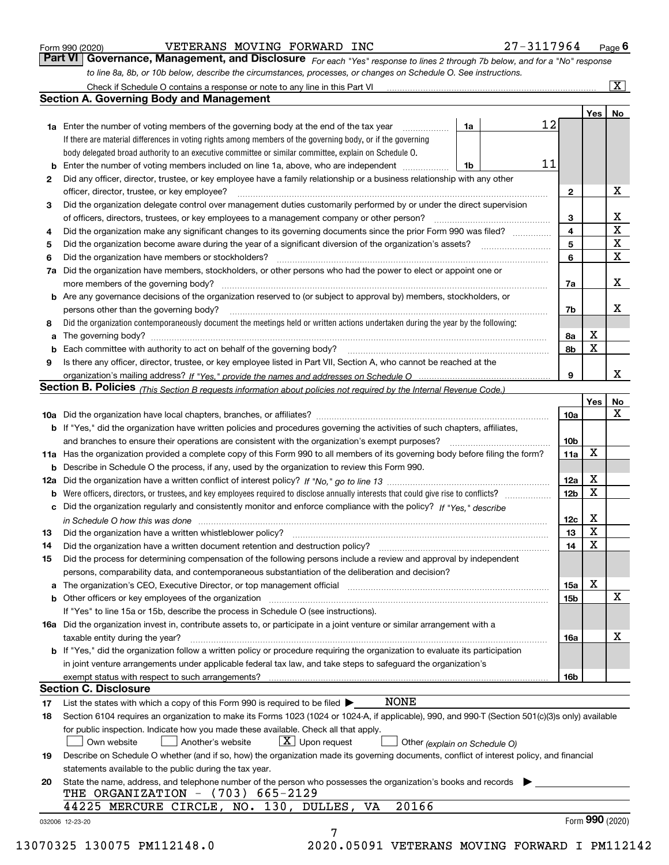|  | Form 990 (2020) |
|--|-----------------|
|  |                 |

| Form 990 (2020) | VETERANS MOVING FORWARD INC                                                                                                   |  | 27-3117964 | $P_{\text{aqe}}$ 6 |
|-----------------|-------------------------------------------------------------------------------------------------------------------------------|--|------------|--------------------|
|                 | Part VI   Governance, Management, and Disclosure For each "Yes" response to lines 2 through 7b below, and for a "No" response |  |            |                    |
|                 | to line 8a, 8b, or 10b below, describe the circumstances, processes, or changes on Schedule O. See instructions.              |  |            |                    |

|    |                                                                                                                                                                                                                                |    |    |                 | Yes | No                      |
|----|--------------------------------------------------------------------------------------------------------------------------------------------------------------------------------------------------------------------------------|----|----|-----------------|-----|-------------------------|
|    | <b>1a</b> Enter the number of voting members of the governing body at the end of the tax year                                                                                                                                  | 1a | 12 |                 |     |                         |
|    | If there are material differences in voting rights among members of the governing body, or if the governing                                                                                                                    |    |    |                 |     |                         |
|    | body delegated broad authority to an executive committee or similar committee, explain on Schedule O.                                                                                                                          |    |    |                 |     |                         |
| b  | Enter the number of voting members included on line 1a, above, who are independent <i>manumum</i>                                                                                                                              | 1b | 11 |                 |     |                         |
| 2  | Did any officer, director, trustee, or key employee have a family relationship or a business relationship with any other                                                                                                       |    |    |                 |     |                         |
|    | officer, director, trustee, or key employee?                                                                                                                                                                                   |    |    | $\mathbf{2}$    |     | X                       |
| 3  | Did the organization delegate control over management duties customarily performed by or under the direct supervision                                                                                                          |    |    |                 |     |                         |
|    |                                                                                                                                                                                                                                |    |    | 3               |     | X                       |
| 4  | Did the organization make any significant changes to its governing documents since the prior Form 990 was filed?                                                                                                               |    |    | 4               |     | $\overline{\mathbf{x}}$ |
| 5  |                                                                                                                                                                                                                                |    |    | 5               |     | X                       |
| 6  | Did the organization have members or stockholders?                                                                                                                                                                             |    |    | 6               |     | X                       |
| 7a | Did the organization have members, stockholders, or other persons who had the power to elect or appoint one or                                                                                                                 |    |    |                 |     |                         |
|    |                                                                                                                                                                                                                                |    |    | 7a              |     | x                       |
|    | <b>b</b> Are any governance decisions of the organization reserved to (or subject to approval by) members, stockholders, or                                                                                                    |    |    |                 |     |                         |
|    | persons other than the governing body?                                                                                                                                                                                         |    |    | 7b              |     | х                       |
| 8  | Did the organization contemporaneously document the meetings held or written actions undertaken during the year by the following:                                                                                              |    |    |                 |     |                         |
| a  |                                                                                                                                                                                                                                |    |    | 8a              | X   |                         |
| b  |                                                                                                                                                                                                                                |    |    | 8b              | X   |                         |
| 9  | Is there any officer, director, trustee, or key employee listed in Part VII, Section A, who cannot be reached at the                                                                                                           |    |    |                 |     |                         |
|    |                                                                                                                                                                                                                                |    |    | 9               |     | x                       |
|    | <b>Section B. Policies</b> (This Section B requests information about policies not required by the Internal Revenue Code.)                                                                                                     |    |    |                 |     |                         |
|    |                                                                                                                                                                                                                                |    |    |                 | Yes | No                      |
|    |                                                                                                                                                                                                                                |    |    | 10a             |     | X                       |
|    | <b>b</b> If "Yes," did the organization have written policies and procedures governing the activities of such chapters, affiliates,                                                                                            |    |    |                 |     |                         |
|    |                                                                                                                                                                                                                                |    |    |                 |     |                         |
|    |                                                                                                                                                                                                                                |    |    | 10 <sub>b</sub> | X   |                         |
|    | 11a Has the organization provided a complete copy of this Form 990 to all members of its governing body before filing the form?                                                                                                |    |    | 11a             |     |                         |
|    | <b>b</b> Describe in Schedule O the process, if any, used by the organization to review this Form 990.                                                                                                                         |    |    |                 |     |                         |
|    |                                                                                                                                                                                                                                |    |    | 12a             | X   |                         |
| b  |                                                                                                                                                                                                                                |    |    | 12b             | X   |                         |
|    | c Did the organization regularly and consistently monitor and enforce compliance with the policy? If "Yes." describe                                                                                                           |    |    |                 |     |                         |
|    | in Schedule O how this was done manufactured and continuum control of the state of the state of the state of t                                                                                                                 |    |    | 12c             | X   |                         |
| 13 |                                                                                                                                                                                                                                |    |    | 13              | X   |                         |
| 14 | Did the organization have a written document retention and destruction policy? manufactured and the organization have a written document retention and destruction policy?                                                     |    |    | 14              | X   |                         |
| 15 | Did the process for determining compensation of the following persons include a review and approval by independent                                                                                                             |    |    |                 |     |                         |
|    | persons, comparability data, and contemporaneous substantiation of the deliberation and decision?                                                                                                                              |    |    |                 |     |                         |
|    |                                                                                                                                                                                                                                |    |    | <b>15a</b>      | X   |                         |
|    | b Other officers or key employees of the organization manufactured content to content of the organization manufactured content of the organization manufactured content of the organization manufactured content of the organi |    |    | 15 <sub>b</sub> |     | X                       |
|    | If "Yes" to line 15a or 15b, describe the process in Schedule O (see instructions).                                                                                                                                            |    |    |                 |     |                         |
|    | 16a Did the organization invest in, contribute assets to, or participate in a joint venture or similar arrangement with a                                                                                                      |    |    |                 |     |                         |
|    | taxable entity during the year?                                                                                                                                                                                                |    |    | 16a             |     | X                       |
|    | b If "Yes," did the organization follow a written policy or procedure requiring the organization to evaluate its participation                                                                                                 |    |    |                 |     |                         |
|    | in joint venture arrangements under applicable federal tax law, and take steps to safeguard the organization's                                                                                                                 |    |    |                 |     |                         |
|    | exempt status with respect to such arrangements?                                                                                                                                                                               |    |    | 16b             |     |                         |
|    | <b>Section C. Disclosure</b>                                                                                                                                                                                                   |    |    |                 |     |                         |
| 17 | <b>NONE</b><br>List the states with which a copy of this Form 990 is required to be filed $\blacktriangleright$                                                                                                                |    |    |                 |     |                         |
| 18 | Section 6104 requires an organization to make its Forms 1023 (1024 or 1024-A, if applicable), 990, and 990-T (Section 501(c)(3)s only) available                                                                               |    |    |                 |     |                         |
|    | for public inspection. Indicate how you made these available. Check all that apply.                                                                                                                                            |    |    |                 |     |                         |
|    | $\boxed{\text{X}}$ Upon request<br>Another's website<br>Own website<br>Other (explain on Schedule O)                                                                                                                           |    |    |                 |     |                         |
| 19 | Describe on Schedule O whether (and if so, how) the organization made its governing documents, conflict of interest policy, and financial                                                                                      |    |    |                 |     |                         |
|    | statements available to the public during the tax year.                                                                                                                                                                        |    |    |                 |     |                         |
| 20 | State the name, address, and telephone number of the person who possesses the organization's books and records                                                                                                                 |    |    |                 |     |                         |
|    | THE ORGANIZATION - (703) 665-2129                                                                                                                                                                                              |    |    |                 |     |                         |
|    | 20166<br>44225 MERCURE CIRCLE, NO. 130, DULLES, VA                                                                                                                                                                             |    |    |                 |     |                         |
|    |                                                                                                                                                                                                                                |    |    |                 |     | Form 990 (2020)         |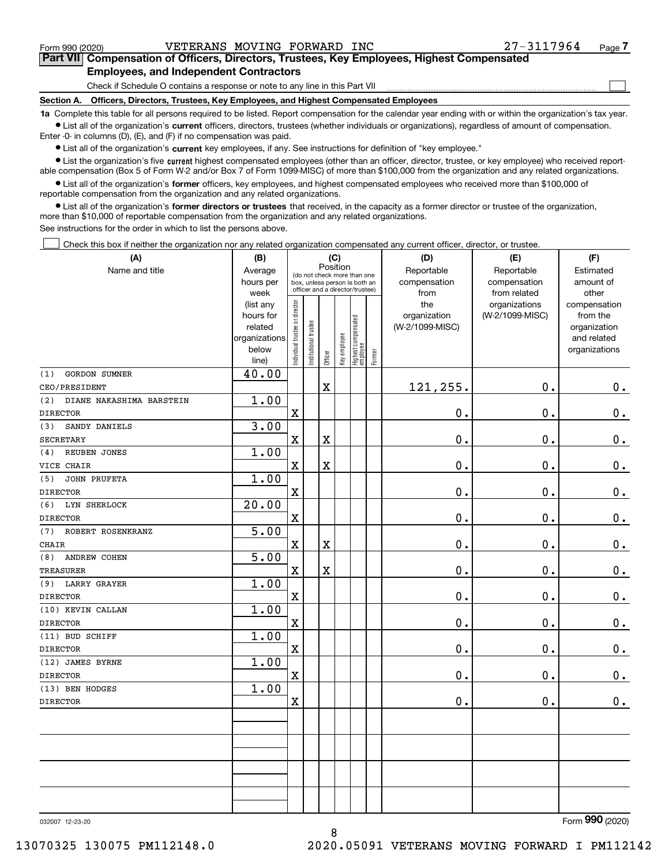$\mathcal{L}^{\text{max}}$ 

| Form 990 (2020) | VETERANS MOVING FORWARD INC                                                                |  | 27-3117964 | Page 7 |
|-----------------|--------------------------------------------------------------------------------------------|--|------------|--------|
|                 | Part VII Compensation of Officers, Directors, Trustees, Key Employees, Highest Compensated |  |            |        |
|                 | <b>Employees, and Independent Contractors</b>                                              |  |            |        |

Check if Schedule O contains a response or note to any line in this Part VII

**Section A. Officers, Directors, Trustees, Key Employees, and Highest Compensated Employees**

**1a**  Complete this table for all persons required to be listed. Report compensation for the calendar year ending with or within the organization's tax year. **•** List all of the organization's current officers, directors, trustees (whether individuals or organizations), regardless of amount of compensation.

Enter -0- in columns (D), (E), and (F) if no compensation was paid.

 $\bullet$  List all of the organization's  $\,$ current key employees, if any. See instructions for definition of "key employee."

**•** List the organization's five current highest compensated employees (other than an officer, director, trustee, or key employee) who received reportable compensation (Box 5 of Form W-2 and/or Box 7 of Form 1099-MISC) of more than \$100,000 from the organization and any related organizations.

**•** List all of the organization's former officers, key employees, and highest compensated employees who received more than \$100,000 of reportable compensation from the organization and any related organizations.

**former directors or trustees**  ¥ List all of the organization's that received, in the capacity as a former director or trustee of the organization, more than \$10,000 of reportable compensation from the organization and any related organizations.

See instructions for the order in which to list the persons above.

Check this box if neither the organization nor any related organization compensated any current officer, director, or trustee.  $\mathcal{L}^{\text{max}}$ 

| (A)                             | (B)                    |                               |                                         |             | (C)          |                                                                  |           | (D)                 | (E)                              | (F)                      |
|---------------------------------|------------------------|-------------------------------|-----------------------------------------|-------------|--------------|------------------------------------------------------------------|-----------|---------------------|----------------------------------|--------------------------|
| Name and title                  | Average                |                               | Position<br>(do not check more than one |             | Reportable   | Reportable                                                       | Estimated |                     |                                  |                          |
|                                 | hours per              |                               |                                         |             |              | box, unless person is both an<br>officer and a director/trustee) |           | compensation        | compensation                     | amount of                |
|                                 | week                   |                               |                                         |             |              |                                                                  |           | from                | from related                     | other                    |
|                                 | (list any<br>hours for |                               |                                         |             |              |                                                                  |           | the<br>organization | organizations<br>(W-2/1099-MISC) | compensation<br>from the |
|                                 | related                |                               |                                         |             |              |                                                                  |           | (W-2/1099-MISC)     |                                  | organization             |
|                                 | organizations          |                               |                                         |             |              |                                                                  |           |                     |                                  | and related              |
|                                 | below                  | ndividual trustee or director | nstitutional trustee                    |             | Key employee |                                                                  |           |                     |                                  | organizations            |
|                                 | line)                  |                               |                                         | Officer     |              | Highest compensated<br>  employee                                | Former    |                     |                                  |                          |
| GORDON SUMNER<br>(1)            | 40.00                  |                               |                                         |             |              |                                                                  |           |                     |                                  |                          |
| CEO/PRESIDENT                   |                        |                               |                                         | $\mathbf X$ |              |                                                                  |           | 121,255.            | 0.                               | $0_{.}$                  |
| (2)<br>DIANE NAKASHIMA BARSTEIN | 1.00                   |                               |                                         |             |              |                                                                  |           |                     |                                  |                          |
| <b>DIRECTOR</b>                 |                        | $\mathbf x$                   |                                         |             |              |                                                                  |           | 0.                  | 0.                               | $\mathbf 0$ .            |
| SANDY DANIELS<br>(3)            | 3.00                   |                               |                                         |             |              |                                                                  |           |                     |                                  |                          |
| <b>SECRETARY</b>                |                        | $\mathbf x$                   |                                         | $\mathbf X$ |              |                                                                  |           | 0.                  | 0.                               | $0_{.}$                  |
| REUBEN JONES<br>(4)             | 1.00                   |                               |                                         |             |              |                                                                  |           |                     |                                  |                          |
| VICE CHAIR                      |                        | $\mathbf X$                   |                                         | X           |              |                                                                  |           | 0.                  | 0.                               | $\mathbf 0$ .            |
| JOHN PRUFETA<br>(5)             | 1.00                   |                               |                                         |             |              |                                                                  |           |                     |                                  |                          |
| <b>DIRECTOR</b>                 |                        | $\mathbf x$                   |                                         |             |              |                                                                  |           | 0.                  | 0.                               | $\mathbf 0$ .            |
| (6)<br>LYN SHERLOCK             | 20.00                  |                               |                                         |             |              |                                                                  |           |                     |                                  |                          |
| <b>DIRECTOR</b>                 |                        | $\mathbf X$                   |                                         |             |              |                                                                  |           | 0.                  | 0.                               | $\mathbf 0$ .            |
| ROBERT ROSENKRANZ<br>(7)        | $\overline{5.00}$      |                               |                                         |             |              |                                                                  |           |                     |                                  |                          |
| <b>CHAIR</b>                    |                        | $\mathbf X$                   |                                         | X           |              |                                                                  |           | 0.                  | 0.                               | $\mathbf 0$ .            |
| ANDREW COHEN<br>(8)             | 5.00                   |                               |                                         |             |              |                                                                  |           |                     |                                  |                          |
| <b>TREASURER</b>                |                        | $\mathbf X$                   |                                         | X           |              |                                                                  |           | 0.                  | 0.                               | $\mathbf 0$ .            |
| (9) LARRY GRAYER                | 1.00                   |                               |                                         |             |              |                                                                  |           |                     |                                  |                          |
| <b>DIRECTOR</b>                 |                        | $\rm X$                       |                                         |             |              |                                                                  |           | 0.                  | 0.                               | $\mathbf 0$ .            |
| (10) KEVIN CALLAN               | 1.00                   |                               |                                         |             |              |                                                                  |           |                     |                                  |                          |
| <b>DIRECTOR</b>                 |                        | $\mathbf X$                   |                                         |             |              |                                                                  |           | 0.                  | 0.                               | $0_{.}$                  |
| (11) BUD SCHIFF                 | 1.00                   |                               |                                         |             |              |                                                                  |           |                     |                                  |                          |
| <b>DIRECTOR</b>                 |                        | $\mathbf X$                   |                                         |             |              |                                                                  |           | $\mathbf 0$ .       | 0.                               | $\mathbf 0$ .            |
| (12) JAMES BYRNE                | 1.00                   |                               |                                         |             |              |                                                                  |           |                     |                                  |                          |
| <b>DIRECTOR</b>                 |                        | $\mathbf X$                   |                                         |             |              |                                                                  |           | 0.                  | 0.                               | 0.                       |
| (13) BEN HODGES                 | 1.00                   |                               |                                         |             |              |                                                                  |           |                     |                                  |                          |
| <b>DIRECTOR</b>                 |                        | $\mathbf x$                   |                                         |             |              |                                                                  |           | 0.                  | 0.                               | 0.                       |
|                                 |                        |                               |                                         |             |              |                                                                  |           |                     |                                  |                          |
|                                 |                        |                               |                                         |             |              |                                                                  |           |                     |                                  |                          |
|                                 |                        |                               |                                         |             |              |                                                                  |           |                     |                                  |                          |
|                                 |                        |                               |                                         |             |              |                                                                  |           |                     |                                  |                          |
|                                 |                        |                               |                                         |             |              |                                                                  |           |                     |                                  |                          |
|                                 |                        |                               |                                         |             |              |                                                                  |           |                     |                                  |                          |
|                                 |                        |                               |                                         |             |              |                                                                  |           |                     |                                  |                          |

8

032007 12-23-20

Form (2020) **990**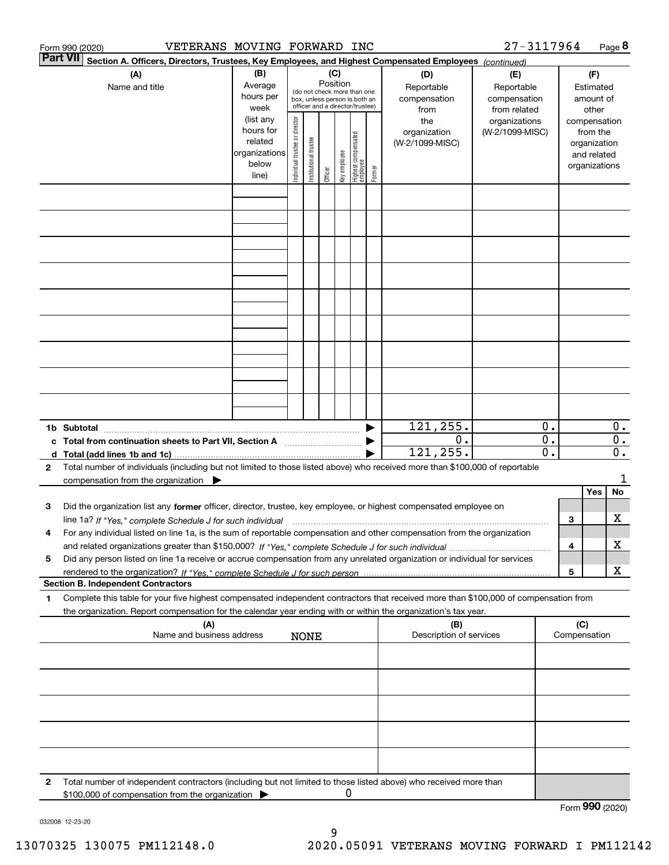|                 | VETERANS MOVING FORWARD INC<br>Form 990 (2020)                                                                                                                                                                                                                              |                                                                      |                                                                                                                                                                 |                       |         |              |                                         |                                                   |                                        | 27-3117964                             |                        |                 |                                                                          | Page 8                               |
|-----------------|-----------------------------------------------------------------------------------------------------------------------------------------------------------------------------------------------------------------------------------------------------------------------------|----------------------------------------------------------------------|-----------------------------------------------------------------------------------------------------------------------------------------------------------------|-----------------------|---------|--------------|-----------------------------------------|---------------------------------------------------|----------------------------------------|----------------------------------------|------------------------|-----------------|--------------------------------------------------------------------------|--------------------------------------|
| <b>Part VII</b> | Section A. Officers, Directors, Trustees, Key Employees, and Highest Compensated Employees (continued)                                                                                                                                                                      |                                                                      |                                                                                                                                                                 |                       |         |              |                                         |                                                   |                                        |                                        |                        |                 |                                                                          |                                      |
|                 | (A)<br>Name and title                                                                                                                                                                                                                                                       | (B)<br>Average<br>hours per<br>week                                  | (C)<br>(D)<br>Position<br>Reportable<br>(do not check more than one<br>compensation<br>box, unless person is both an<br>officer and a director/trustee)<br>from |                       |         |              |                                         | (E)<br>Reportable<br>compensation<br>from related |                                        | (F)<br>Estimated<br>amount of<br>other |                        |                 |                                                                          |                                      |
|                 |                                                                                                                                                                                                                                                                             | (list any<br>hours for<br>related<br>organizations<br>below<br>line) | Individual trustee or director                                                                                                                                  | Institutional trustee | Officer | Key employee | <br>  Highest compensated<br>  employee | Former                                            | the<br>organization<br>(W-2/1099-MISC) | organizations<br>(W-2/1099-MISC)       |                        |                 | compensation<br>from the<br>organization<br>and related<br>organizations |                                      |
|                 |                                                                                                                                                                                                                                                                             |                                                                      |                                                                                                                                                                 |                       |         |              |                                         |                                                   |                                        |                                        |                        |                 |                                                                          |                                      |
|                 |                                                                                                                                                                                                                                                                             |                                                                      |                                                                                                                                                                 |                       |         |              |                                         |                                                   |                                        |                                        |                        |                 |                                                                          |                                      |
|                 |                                                                                                                                                                                                                                                                             |                                                                      |                                                                                                                                                                 |                       |         |              |                                         |                                                   |                                        |                                        |                        |                 |                                                                          |                                      |
|                 |                                                                                                                                                                                                                                                                             |                                                                      |                                                                                                                                                                 |                       |         |              |                                         |                                                   |                                        |                                        |                        |                 |                                                                          |                                      |
|                 |                                                                                                                                                                                                                                                                             |                                                                      |                                                                                                                                                                 |                       |         |              |                                         |                                                   |                                        |                                        |                        |                 |                                                                          |                                      |
|                 |                                                                                                                                                                                                                                                                             |                                                                      |                                                                                                                                                                 |                       |         |              |                                         |                                                   |                                        |                                        |                        |                 |                                                                          |                                      |
|                 |                                                                                                                                                                                                                                                                             |                                                                      |                                                                                                                                                                 |                       |         |              |                                         |                                                   | 121, 255.                              |                                        | 0.                     |                 |                                                                          | 0.                                   |
|                 | c Total from continuation sheets to Part VII, Section A <b>manual</b> Testion Section A                                                                                                                                                                                     |                                                                      |                                                                                                                                                                 |                       |         |              |                                         |                                                   | 0.<br>121, 255.                        |                                        | $\overline{0}$ .<br>0. |                 |                                                                          | $\overline{0}$ .<br>$\overline{0}$ . |
| $\mathbf{2}$    | Total number of individuals (including but not limited to those listed above) who received more than \$100,000 of reportable<br>compensation from the organization                                                                                                          |                                                                      |                                                                                                                                                                 |                       |         |              |                                         |                                                   |                                        |                                        |                        |                 |                                                                          | 1                                    |
| 3               | Did the organization list any former officer, director, trustee, key employee, or highest compensated employee on                                                                                                                                                           |                                                                      |                                                                                                                                                                 |                       |         |              |                                         |                                                   |                                        |                                        |                        |                 | Yes                                                                      | No                                   |
|                 | line 1a? If "Yes," complete Schedule J for such individual manufactured contained and the 1a? If "Yes," complete Schedule J for such individual<br>For any individual listed on line 1a, is the sum of reportable compensation and other compensation from the organization |                                                                      |                                                                                                                                                                 |                       |         |              |                                         |                                                   |                                        |                                        |                        | З               |                                                                          | х                                    |
| 5               | Did any person listed on line 1a receive or accrue compensation from any unrelated organization or individual for services                                                                                                                                                  |                                                                      |                                                                                                                                                                 |                       |         |              |                                         |                                                   |                                        |                                        |                        | 4               |                                                                          | х                                    |
|                 | <b>Section B. Independent Contractors</b>                                                                                                                                                                                                                                   |                                                                      |                                                                                                                                                                 |                       |         |              |                                         |                                                   |                                        |                                        |                        | 5               |                                                                          | х                                    |
| 1               | Complete this table for your five highest compensated independent contractors that received more than \$100,000 of compensation from                                                                                                                                        |                                                                      |                                                                                                                                                                 |                       |         |              |                                         |                                                   |                                        |                                        |                        |                 |                                                                          |                                      |
|                 | the organization. Report compensation for the calendar year ending with or within the organization's tax year.<br>(A)                                                                                                                                                       |                                                                      |                                                                                                                                                                 |                       |         |              |                                         |                                                   | (B)                                    |                                        |                        | (C)             |                                                                          |                                      |
|                 | Name and business address                                                                                                                                                                                                                                                   |                                                                      |                                                                                                                                                                 | <b>NONE</b>           |         |              |                                         |                                                   | Description of services                |                                        |                        | Compensation    |                                                                          |                                      |
|                 |                                                                                                                                                                                                                                                                             |                                                                      |                                                                                                                                                                 |                       |         |              |                                         |                                                   |                                        |                                        |                        |                 |                                                                          |                                      |
|                 |                                                                                                                                                                                                                                                                             |                                                                      |                                                                                                                                                                 |                       |         |              |                                         |                                                   |                                        |                                        |                        |                 |                                                                          |                                      |
|                 |                                                                                                                                                                                                                                                                             |                                                                      |                                                                                                                                                                 |                       |         |              |                                         |                                                   |                                        |                                        |                        |                 |                                                                          |                                      |
| 2               | Total number of independent contractors (including but not limited to those listed above) who received more than                                                                                                                                                            |                                                                      |                                                                                                                                                                 |                       |         |              |                                         |                                                   |                                        |                                        |                        |                 |                                                                          |                                      |
|                 | \$100,000 of compensation from the organization                                                                                                                                                                                                                             |                                                                      |                                                                                                                                                                 |                       |         | 0            |                                         |                                                   |                                        |                                        |                        | Form 990 (2020) |                                                                          |                                      |

032008 12-23-20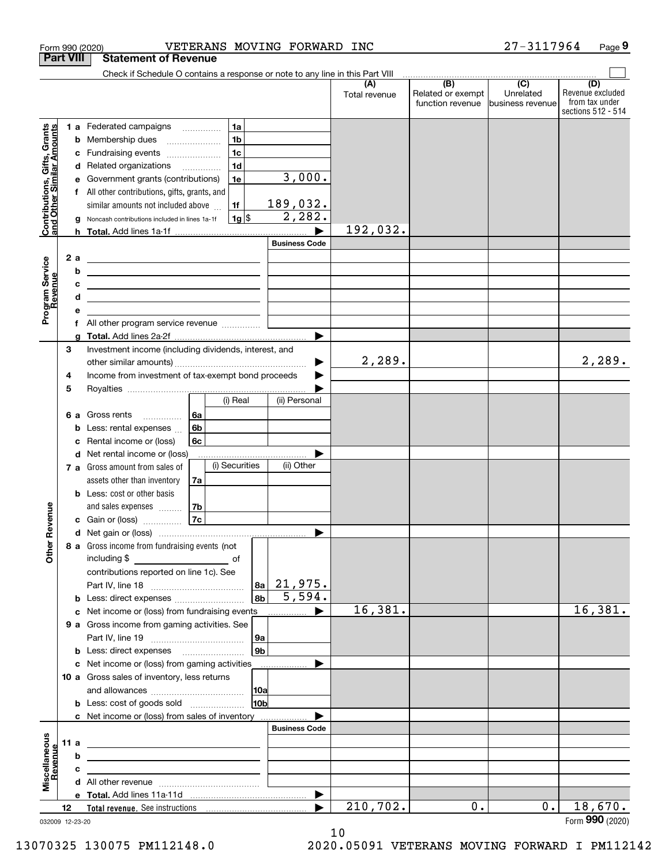|                                                           |                  | VETERANS MOVING FORWARD INC<br>Form 990 (2020)                                                                           |                          |                      |                                                     | 27-3117964                    | Page 9                                                          |
|-----------------------------------------------------------|------------------|--------------------------------------------------------------------------------------------------------------------------|--------------------------|----------------------|-----------------------------------------------------|-------------------------------|-----------------------------------------------------------------|
|                                                           | <b>Part VIII</b> | <b>Statement of Revenue</b>                                                                                              |                          |                      |                                                     |                               |                                                                 |
|                                                           |                  | Check if Schedule O contains a response or note to any line in this Part VIII                                            |                          |                      | $\overline{(\mathsf{B})}$ $\overline{(\mathsf{C})}$ |                               |                                                                 |
|                                                           |                  |                                                                                                                          |                          | (A)<br>Total revenue | Related or exempt<br>function revenue               | Unrelated<br>business revenue | (D)<br>Revenue excluded<br>from tax under<br>sections 512 - 514 |
|                                                           |                  | 1a<br>1 a Federated campaigns                                                                                            |                          |                      |                                                     |                               |                                                                 |
|                                                           | b                | 1 <sub>b</sub><br>Membership dues                                                                                        |                          |                      |                                                     |                               |                                                                 |
|                                                           | с                | 1 <sub>c</sub><br>Fundraising events                                                                                     |                          |                      |                                                     |                               |                                                                 |
|                                                           | d                | 1 <sub>d</sub><br>Related organizations <i>mimiming</i>                                                                  |                          |                      |                                                     |                               |                                                                 |
|                                                           | е                | Government grants (contributions)<br>1e                                                                                  | 3,000.                   |                      |                                                     |                               |                                                                 |
| Contributions, Gifts, Grants<br>and Other Similar Amounts | f                | All other contributions, gifts, grants, and                                                                              |                          |                      |                                                     |                               |                                                                 |
|                                                           |                  | similar amounts not included above<br>1f                                                                                 | 189,032.                 |                      |                                                     |                               |                                                                 |
|                                                           | g                | $1g$ \$<br>Noncash contributions included in lines 1a-1f                                                                 | 2,282.                   |                      |                                                     |                               |                                                                 |
|                                                           |                  |                                                                                                                          |                          | 192,032.             |                                                     |                               |                                                                 |
|                                                           |                  |                                                                                                                          | <b>Business Code</b>     |                      |                                                     |                               |                                                                 |
|                                                           | 2a               | <u> 1980 - Andrea State Barbara, amerikan personal (h. 1980).</u>                                                        |                          |                      |                                                     |                               |                                                                 |
|                                                           | b                | <u> 1989 - Johann Barn, fransk politik amerikansk politik (</u>                                                          |                          |                      |                                                     |                               |                                                                 |
| Program Service<br>Revenue                                | с<br>d           | <u> Alexander (Alexander Alexander Alexander Alexander Alexander Alexander Alexander Alexander Alexander Alexander</u>   |                          |                      |                                                     |                               |                                                                 |
|                                                           | е                | <u> 1989 - Johann Stein, mars an de Brasilia (b. 1989)</u>                                                               |                          |                      |                                                     |                               |                                                                 |
|                                                           | f                |                                                                                                                          |                          |                      |                                                     |                               |                                                                 |
|                                                           | g                |                                                                                                                          |                          |                      |                                                     |                               |                                                                 |
|                                                           | 3                | Investment income (including dividends, interest, and                                                                    |                          |                      |                                                     |                               |                                                                 |
|                                                           |                  |                                                                                                                          | ▶                        | 2,289.               |                                                     |                               | 2,289.                                                          |
|                                                           | 4                | Income from investment of tax-exempt bond proceeds                                                                       |                          |                      |                                                     |                               |                                                                 |
|                                                           | 5                |                                                                                                                          |                          |                      |                                                     |                               |                                                                 |
|                                                           |                  | (i) Real                                                                                                                 | (ii) Personal            |                      |                                                     |                               |                                                                 |
|                                                           | 6а               | 6a<br>Gross rents                                                                                                        |                          |                      |                                                     |                               |                                                                 |
|                                                           | b                | 6b<br>Less: rental expenses                                                                                              |                          |                      |                                                     |                               |                                                                 |
|                                                           | c                | 6c<br>Rental income or (loss)                                                                                            |                          |                      |                                                     |                               |                                                                 |
|                                                           |                  | d Net rental income or (loss)                                                                                            |                          |                      |                                                     |                               |                                                                 |
|                                                           |                  | (i) Securities<br>7 a Gross amount from sales of                                                                         | (ii) Other               |                      |                                                     |                               |                                                                 |
|                                                           |                  | assets other than inventory<br>7a                                                                                        |                          |                      |                                                     |                               |                                                                 |
|                                                           |                  | <b>b</b> Less: cost or other basis<br>7b<br>and sales expenses                                                           |                          |                      |                                                     |                               |                                                                 |
| evenue                                                    |                  | 7c<br>c Gain or (loss)                                                                                                   |                          |                      |                                                     |                               |                                                                 |
|                                                           |                  |                                                                                                                          |                          |                      |                                                     |                               |                                                                 |
| Other <sub>R</sub>                                        |                  | 8 a Gross income from fundraising events (not                                                                            |                          |                      |                                                     |                               |                                                                 |
|                                                           |                  |                                                                                                                          |                          |                      |                                                     |                               |                                                                 |
|                                                           |                  | contributions reported on line 1c). See                                                                                  |                          |                      |                                                     |                               |                                                                 |
|                                                           |                  |                                                                                                                          | $ a_2 $ 21,975.          |                      |                                                     |                               |                                                                 |
|                                                           |                  | <b>b</b> Less: direct expenses                                                                                           | 5,594.<br>8 <sub>b</sub> |                      |                                                     |                               |                                                                 |
|                                                           |                  | c Net income or (loss) from fundraising events                                                                           | ▶                        | 16,381.              |                                                     |                               | 16,381.                                                         |
|                                                           |                  | 9 a Gross income from gaming activities. See                                                                             |                          |                      |                                                     |                               |                                                                 |
|                                                           |                  |                                                                                                                          | 9a                       |                      |                                                     |                               |                                                                 |
|                                                           |                  | <b>b</b> Less: direct expenses <b>manually</b>                                                                           | 9 <sub>b</sub>           |                      |                                                     |                               |                                                                 |
|                                                           |                  | c Net income or (loss) from gaming activities                                                                            | .                        |                      |                                                     |                               |                                                                 |
|                                                           |                  | 10 a Gross sales of inventory, less returns                                                                              |                          |                      |                                                     |                               |                                                                 |
|                                                           |                  |                                                                                                                          | 10a                      |                      |                                                     |                               |                                                                 |
|                                                           |                  |                                                                                                                          | 10 <sub>b</sub>          |                      |                                                     |                               |                                                                 |
|                                                           |                  | c Net income or (loss) from sales of inventory                                                                           | <b>Business Code</b>     |                      |                                                     |                               |                                                                 |
|                                                           | 11 a             |                                                                                                                          |                          |                      |                                                     |                               |                                                                 |
| Miscellaneous<br>Revenue                                  | b                | <u> 1989 - Johann John Stein, fransk politik (d. 1989)</u>                                                               |                          |                      |                                                     |                               |                                                                 |
|                                                           | c                | <u> 1989 - Johann John Stein, fransk politik (d. 1989)</u><br><u> 1989 - Johann John Stein, fransk politik (f. 1989)</u> |                          |                      |                                                     |                               |                                                                 |
|                                                           |                  |                                                                                                                          |                          |                      |                                                     |                               |                                                                 |
|                                                           |                  |                                                                                                                          |                          |                      |                                                     |                               |                                                                 |
|                                                           | 12               |                                                                                                                          | ▶                        | 210,702.             | 0.                                                  | $0$ .                         | 18,670.                                                         |
|                                                           | 032009 12-23-20  |                                                                                                                          |                          |                      |                                                     |                               | Form 990 (2020)                                                 |

032009 12-23-20

10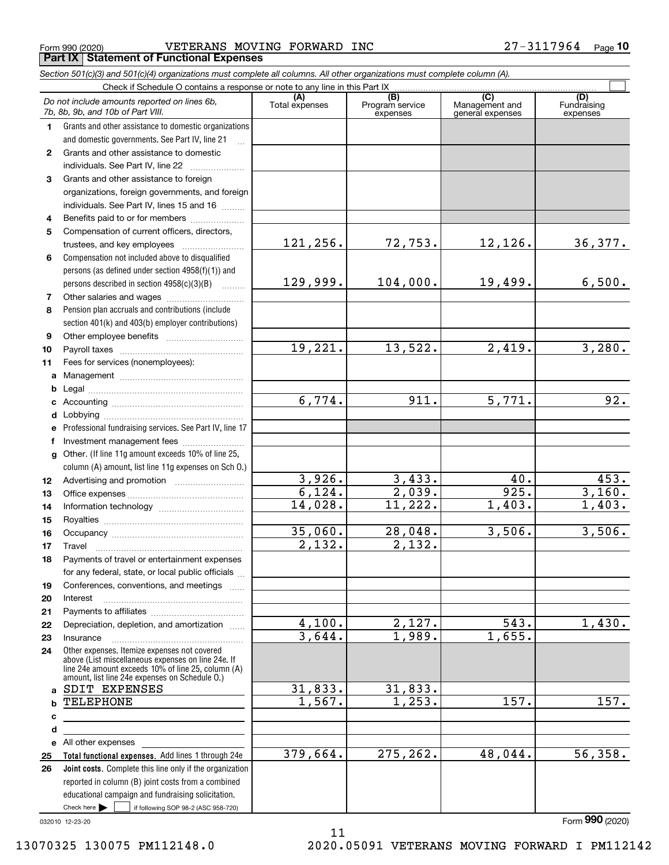$_{\rm Form}$   $_{990}$  (2020) <code>VETERANS MOVING FORWARD INC</code> 27-3117964  $_{\rm Page}$ **Part IX Statement of Functional Expenses**

*Section 501(c)(3) and 501(c)(4) organizations must complete all columns. All other organizations must complete column (A).*

|              | Check if Schedule O contains a response or note to any line in this Part IX                                                   |                      |                                    |                                           |                                |
|--------------|-------------------------------------------------------------------------------------------------------------------------------|----------------------|------------------------------------|-------------------------------------------|--------------------------------|
|              | Do not include amounts reported on lines 6b,<br>7b, 8b, 9b, and 10b of Part VIII.                                             | Total expenses       | (B)<br>Program service<br>expenses | (C)<br>Management and<br>general expenses | (D)<br>Fundraising<br>expenses |
| 1.           | Grants and other assistance to domestic organizations                                                                         |                      |                                    |                                           |                                |
|              | and domestic governments. See Part IV, line 21                                                                                |                      |                                    |                                           |                                |
| $\mathbf{2}$ | Grants and other assistance to domestic                                                                                       |                      |                                    |                                           |                                |
|              | individuals. See Part IV, line 22                                                                                             |                      |                                    |                                           |                                |
| 3            | Grants and other assistance to foreign                                                                                        |                      |                                    |                                           |                                |
|              | organizations, foreign governments, and foreign                                                                               |                      |                                    |                                           |                                |
|              | individuals. See Part IV, lines 15 and 16                                                                                     |                      |                                    |                                           |                                |
| 4            | Benefits paid to or for members                                                                                               |                      |                                    |                                           |                                |
| 5            | Compensation of current officers, directors,                                                                                  |                      |                                    |                                           |                                |
|              | trustees, and key employees                                                                                                   | 121,256.             | 72,753.                            | 12,126.                                   | 36,377.                        |
| 6            | Compensation not included above to disqualified                                                                               |                      |                                    |                                           |                                |
|              | persons (as defined under section 4958(f)(1)) and                                                                             |                      |                                    |                                           |                                |
|              | persons described in section 4958(c)(3)(B)                                                                                    | 129,999.             | 104,000.                           | 19,499.                                   | 6,500.                         |
| 7            | Other salaries and wages                                                                                                      |                      |                                    |                                           |                                |
| 8            | Pension plan accruals and contributions (include                                                                              |                      |                                    |                                           |                                |
|              | section 401(k) and 403(b) employer contributions)                                                                             |                      |                                    |                                           |                                |
| 9            |                                                                                                                               |                      |                                    |                                           |                                |
| 10           |                                                                                                                               | 19,221.              | 13,522.                            | 2,419.                                    | 3,280.                         |
| 11           | Fees for services (nonemployees):                                                                                             |                      |                                    |                                           |                                |
| a            |                                                                                                                               |                      |                                    |                                           |                                |
| b            |                                                                                                                               |                      |                                    |                                           |                                |
| c            |                                                                                                                               | 6,774.               | $\overline{911}$ .                 | 5,771.                                    | 92.                            |
| d            |                                                                                                                               |                      |                                    |                                           |                                |
| е            | Professional fundraising services. See Part IV, line 17                                                                       |                      |                                    |                                           |                                |
| f            | Investment management fees                                                                                                    |                      |                                    |                                           |                                |
| $\mathbf{q}$ | Other. (If line 11g amount exceeds 10% of line 25,                                                                            |                      |                                    |                                           |                                |
|              | column (A) amount, list line 11g expenses on Sch O.)                                                                          |                      |                                    |                                           |                                |
| 12           |                                                                                                                               | 3,926.               | 3,433.                             | 40.                                       | 453.                           |
| 13           |                                                                                                                               | 6,124.               | 2,039.                             | 925.                                      | 3,160.                         |
| 14           |                                                                                                                               | 14,028.              | 11,222.                            | 1,403.                                    | $\overline{1,403}$ .           |
| 15           |                                                                                                                               |                      |                                    |                                           |                                |
| 16           |                                                                                                                               | 35,060.              | 28,048.                            | 3,506.                                    | 3,506.                         |
| 17           | Travel                                                                                                                        | $\overline{2,132}$ . | 2,132.                             |                                           |                                |
| 18           | Payments of travel or entertainment expenses                                                                                  |                      |                                    |                                           |                                |
|              | for any federal, state, or local public officials                                                                             |                      |                                    |                                           |                                |
| 19           | Conferences, conventions, and meetings                                                                                        |                      |                                    |                                           |                                |
| 20           | Interest                                                                                                                      |                      |                                    |                                           |                                |
| 21           |                                                                                                                               |                      |                                    |                                           |                                |
| 22           | Depreciation, depletion, and amortization                                                                                     | 4,100.               | <u>2,127.</u>                      | 543.                                      | 1,430.                         |
| 23           | Insurance                                                                                                                     | 3,644.               | 1,989.                             | 1,655.                                    |                                |
| 24           | Other expenses. Itemize expenses not covered<br>above (List miscellaneous expenses on line 24e. If                            |                      |                                    |                                           |                                |
|              | line 24e amount exceeds 10% of line 25, column (A)                                                                            |                      |                                    |                                           |                                |
|              | amount, list line 24e expenses on Schedule O.)                                                                                |                      |                                    |                                           |                                |
| a            | SDIT EXPENSES                                                                                                                 | 31,833.              | 31,833.                            |                                           |                                |
|              | <b>TELEPHONE</b>                                                                                                              | 1,567.               | 1,253.                             | 157.                                      | 157.                           |
| с            |                                                                                                                               |                      |                                    |                                           |                                |
| d            |                                                                                                                               |                      |                                    |                                           |                                |
| е            | All other expenses                                                                                                            | 379,664.             | 275,262.                           | 48,044.                                   | 56, 358.                       |
| 25           | Total functional expenses. Add lines 1 through 24e                                                                            |                      |                                    |                                           |                                |
| 26           | <b>Joint costs.</b> Complete this line only if the organization                                                               |                      |                                    |                                           |                                |
|              | reported in column (B) joint costs from a combined                                                                            |                      |                                    |                                           |                                |
|              | educational campaign and fundraising solicitation.<br>Check here $\blacktriangleright$<br>if following SOP 98-2 (ASC 958-720) |                      |                                    |                                           |                                |
|              |                                                                                                                               |                      |                                    |                                           |                                |

032010 12-23-20

Form (2020) **990**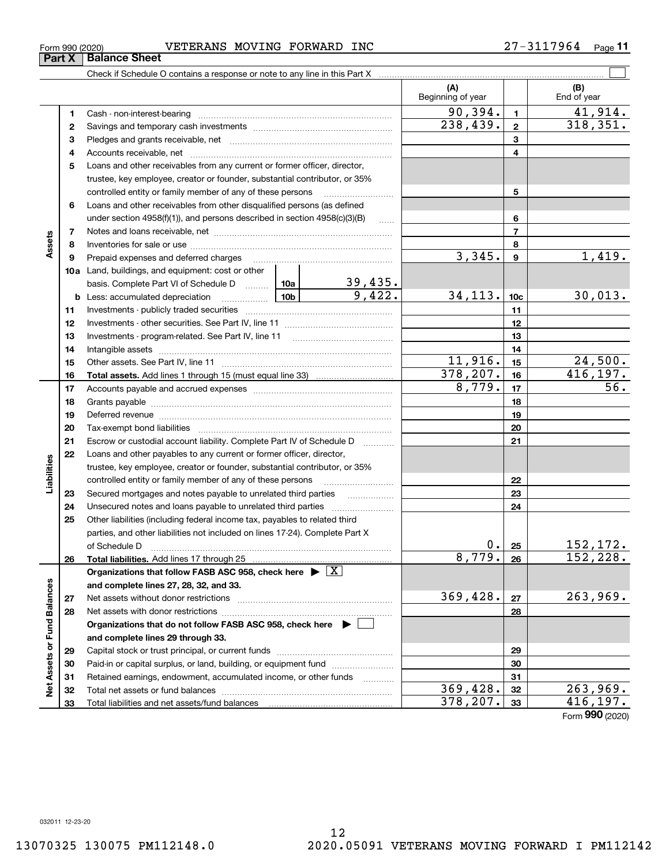| Form 990 (2020) |                               | VETERANS MOVING FORWARD |  | <b>INC</b> | 27-3117964 | Page |
|-----------------|-------------------------------|-------------------------|--|------------|------------|------|
|                 | <b>Part X   Balance Sheet</b> |                         |  |            |            |      |

|                             |    |                                                                                    |  |                          | (A)<br>Beginning of year |                 | (B)<br>End of year |
|-----------------------------|----|------------------------------------------------------------------------------------|--|--------------------------|--------------------------|-----------------|--------------------|
|                             | 1  |                                                                                    |  |                          | 90, 394.                 | $\mathbf{1}$    | 41,914.            |
|                             | 2  |                                                                                    |  | 238,439.                 | $\mathbf{2}$             | 318,351.        |                    |
|                             | з  |                                                                                    |  |                          |                          | 3               |                    |
|                             | 4  |                                                                                    |  |                          |                          | 4               |                    |
|                             | 5  | Loans and other receivables from any current or former officer, director,          |  |                          |                          |                 |                    |
|                             |    | trustee, key employee, creator or founder, substantial contributor, or 35%         |  |                          |                          |                 |                    |
|                             |    | controlled entity or family member of any of these persons                         |  |                          |                          | 5               |                    |
|                             | 6  | Loans and other receivables from other disqualified persons (as defined            |  |                          |                          |                 |                    |
|                             |    | under section $4958(f)(1)$ , and persons described in section $4958(c)(3)(B)$      |  | $\ldots$                 |                          | 6               |                    |
|                             | 7  |                                                                                    |  |                          | $\overline{7}$           |                 |                    |
| Assets                      | 8  |                                                                                    |  |                          |                          | 8               |                    |
|                             | 9  | Prepaid expenses and deferred charges                                              |  |                          | 3,345.                   | $\mathbf{9}$    | 1,419.             |
|                             |    | <b>10a</b> Land, buildings, and equipment: cost or other                           |  |                          |                          |                 |                    |
|                             |    | basis. Complete Part VI of Schedule D  10a                                         |  | $\frac{39,435}{9,422}$ . |                          |                 |                    |
|                             | b  | <u>  10b</u>  <br>Less: accumulated depreciation                                   |  |                          | 34, 113.                 | 10 <sub>c</sub> | 30,013.            |
|                             | 11 |                                                                                    |  | 11                       |                          |                 |                    |
|                             | 12 |                                                                                    |  | 12                       |                          |                 |                    |
|                             | 13 |                                                                                    |  | 13                       |                          |                 |                    |
|                             | 14 |                                                                                    |  | 14                       |                          |                 |                    |
|                             | 15 |                                                                                    |  |                          | 11,916.                  | 15              | 24,500.            |
|                             | 16 |                                                                                    |  |                          | 378, 207.                | 16              | 416, 197.          |
|                             | 17 |                                                                                    |  |                          | 8,779.                   | 17              | $\overline{56}$ .  |
|                             | 18 |                                                                                    |  |                          |                          | 18              |                    |
|                             | 19 |                                                                                    |  | 19                       |                          |                 |                    |
|                             | 20 |                                                                                    |  |                          |                          | 20              |                    |
|                             | 21 | Escrow or custodial account liability. Complete Part IV of Schedule D              |  | .                        |                          | 21              |                    |
|                             | 22 | Loans and other payables to any current or former officer, director,               |  |                          |                          |                 |                    |
| abilities                   |    | trustee, key employee, creator or founder, substantial contributor, or 35%         |  |                          |                          |                 |                    |
|                             |    | controlled entity or family member of any of these persons                         |  |                          |                          | 22              |                    |
| ⊐                           | 23 | Secured mortgages and notes payable to unrelated third parties                     |  |                          |                          | 23              |                    |
|                             | 24 | Unsecured notes and loans payable to unrelated third parties                       |  |                          |                          | 24              |                    |
|                             | 25 | Other liabilities (including federal income tax, payables to related third         |  |                          |                          |                 |                    |
|                             |    | parties, and other liabilities not included on lines 17-24). Complete Part X       |  |                          |                          |                 |                    |
|                             |    | of Schedule D                                                                      |  |                          | 0.1                      | 25              | <u>152,172.</u>    |
|                             | 26 |                                                                                    |  |                          | 8,779.                   | 26              | 152,228.           |
|                             |    | Organizations that follow FASB ASC 958, check here $\blacktriangleright \boxed{X}$ |  |                          |                          |                 |                    |
|                             |    | and complete lines 27, 28, 32, and 33.                                             |  |                          |                          |                 |                    |
|                             | 27 | Net assets without donor restrictions                                              |  |                          | 369,428.                 | 27              | 263,969.           |
|                             | 28 | Net assets with donor restrictions                                                 |  |                          |                          | 28              |                    |
|                             |    | Organizations that do not follow FASB ASC 958, check here $\blacktriangleright$    |  |                          |                          |                 |                    |
| Net Assets or Fund Balances |    | and complete lines 29 through 33.                                                  |  |                          |                          |                 |                    |
|                             | 29 |                                                                                    |  |                          |                          | 29              |                    |
|                             | 30 | Paid-in or capital surplus, or land, building, or equipment fund                   |  |                          |                          | 30              |                    |
|                             | 31 | Retained earnings, endowment, accumulated income, or other funds                   |  |                          |                          | 31              |                    |
|                             | 32 |                                                                                    |  |                          | 369,428.                 | 32              | 263,969.           |
|                             | 33 |                                                                                    |  |                          | 378,207.                 | 33              | 416,197.           |

Form (2020) **990**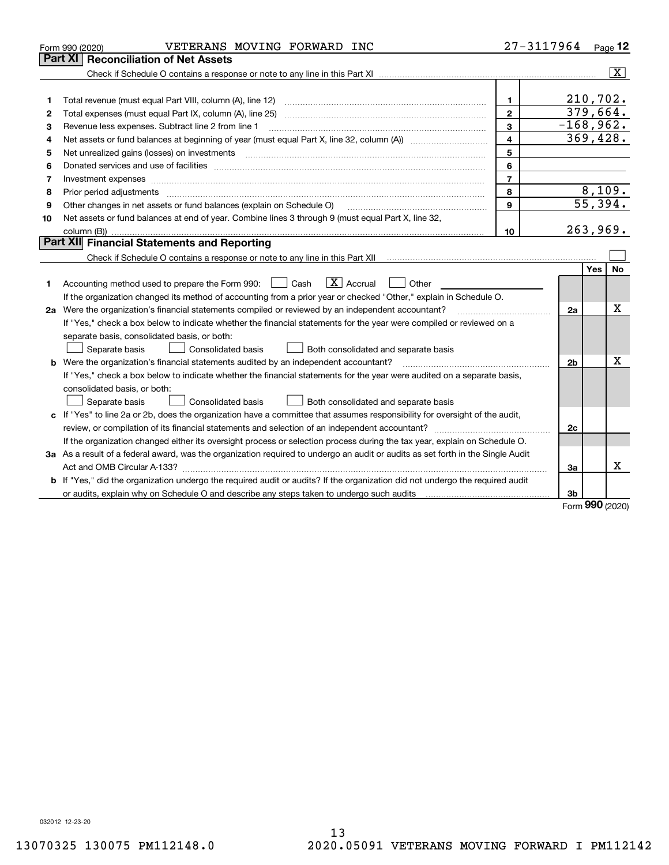|    | VETERANS MOVING FORWARD INC<br>Form 990 (2020)                                                                                  | 27-3117964 Page 12 |                |                          |
|----|---------------------------------------------------------------------------------------------------------------------------------|--------------------|----------------|--------------------------|
|    | Part XI<br><b>Reconciliation of Net Assets</b>                                                                                  |                    |                |                          |
|    |                                                                                                                                 |                    |                | $\overline{\mathbf{X}}$  |
|    |                                                                                                                                 |                    |                |                          |
| 1  | Total revenue (must equal Part VIII, column (A), line 12)                                                                       | $\mathbf{1}$       |                | 210,702.                 |
| 2  | Total expenses (must equal Part IX, column (A), line 25)                                                                        | $\mathbf{2}$       |                | 379,664.                 |
| 3  | Revenue less expenses. Subtract line 2 from line 1                                                                              | 3                  |                | $-168,962.$              |
| 4  |                                                                                                                                 | $\overline{4}$     |                | 369,428.                 |
| 5  | Net unrealized gains (losses) on investments                                                                                    | 5                  |                |                          |
| 6  |                                                                                                                                 | 6                  |                |                          |
| 7  |                                                                                                                                 | $\overline{7}$     |                |                          |
| 8  | Prior period adjustments                                                                                                        | 8                  |                | $\frac{8,109.}{55,394.}$ |
| 9  | Other changes in net assets or fund balances (explain on Schedule O)                                                            | 9                  |                |                          |
| 10 | Net assets or fund balances at end of year. Combine lines 3 through 9 (must equal Part X, line 32,                              |                    |                |                          |
|    | column (B))                                                                                                                     | 10                 |                | 263,969.                 |
|    | Part XII Financial Statements and Reporting                                                                                     |                    |                |                          |
|    |                                                                                                                                 |                    |                |                          |
|    |                                                                                                                                 |                    |                | No<br>Yes                |
| 1. | $\boxed{\mathbf{X}}$ Accrual<br>Accounting method used to prepare the Form 990: <u>II</u> Cash<br>Other                         |                    |                |                          |
|    | If the organization changed its method of accounting from a prior year or checked "Other," explain in Schedule O.               |                    |                |                          |
|    | 2a Were the organization's financial statements compiled or reviewed by an independent accountant?                              |                    | 2a             | x                        |
|    | If "Yes," check a box below to indicate whether the financial statements for the year were compiled or reviewed on a            |                    |                |                          |
|    | separate basis, consolidated basis, or both:                                                                                    |                    |                |                          |
|    | Separate basis<br>Consolidated basis<br>Both consolidated and separate basis                                                    |                    |                |                          |
|    | <b>b</b> Were the organization's financial statements audited by an independent accountant?                                     |                    | 2 <sub>b</sub> | x                        |
|    | If "Yes," check a box below to indicate whether the financial statements for the year were audited on a separate basis,         |                    |                |                          |
|    | consolidated basis, or both:                                                                                                    |                    |                |                          |
|    | Separate basis<br><b>Consolidated basis</b><br>Both consolidated and separate basis                                             |                    |                |                          |
|    | c If "Yes" to line 2a or 2b, does the organization have a committee that assumes responsibility for oversight of the audit,     |                    |                |                          |
|    |                                                                                                                                 |                    | 2c             |                          |
|    | If the organization changed either its oversight process or selection process during the tax year, explain on Schedule O.       |                    |                |                          |
|    | 3a As a result of a federal award, was the organization required to undergo an audit or audits as set forth in the Single Audit |                    |                |                          |
|    |                                                                                                                                 |                    | За             | x                        |
|    | b If "Yes," did the organization undergo the required audit or audits? If the organization did not undergo the required audit   |                    |                |                          |
|    |                                                                                                                                 |                    | 3b             |                          |

Form (2020) **990**

032012 12-23-20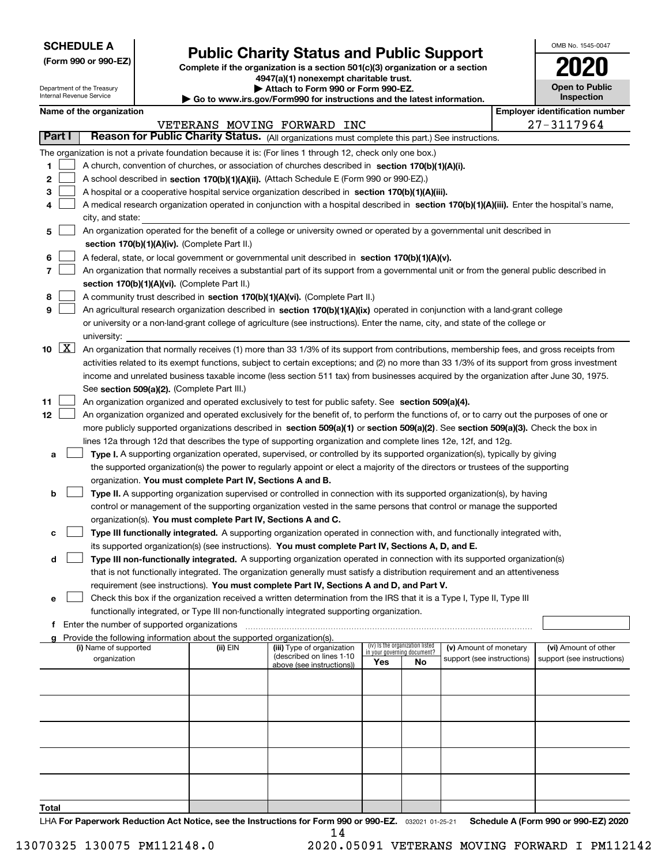| <b>SCHEDULE A</b> |
|-------------------|
|-------------------|

Department of the Treasury Internal Revenue Service

| (Form 990 or 990-EZ) |  |  |  |  |
|----------------------|--|--|--|--|
|----------------------|--|--|--|--|

# **Public Charity Status and Public Support**

**Complete if the organization is a section 501(c)(3) organization or a section 4947(a)(1) nonexempt charitable trust.**

| Attach to Form 990 or Form 990-EZ. |  |
|------------------------------------|--|
|------------------------------------|--|

**| Go to www.irs.gov/Form990 for instructions and the latest information.**

| OMB No. 1545-0047                   |  |
|-------------------------------------|--|
| 2020                                |  |
| <b>Open to Public</b><br>Inspection |  |

|               |                     | Name of the organization                                                                                                                     |          |                                                        |                             |                                 |                            | <b>Employer identification number</b>              |
|---------------|---------------------|----------------------------------------------------------------------------------------------------------------------------------------------|----------|--------------------------------------------------------|-----------------------------|---------------------------------|----------------------------|----------------------------------------------------|
|               |                     |                                                                                                                                              |          | VETERANS MOVING FORWARD INC                            |                             |                                 |                            | 27-3117964                                         |
| <b>Part I</b> |                     | Reason for Public Charity Status. (All organizations must complete this part.) See instructions.                                             |          |                                                        |                             |                                 |                            |                                                    |
|               |                     | The organization is not a private foundation because it is: (For lines 1 through 12, check only one box.)                                    |          |                                                        |                             |                                 |                            |                                                    |
| 1             |                     | A church, convention of churches, or association of churches described in section 170(b)(1)(A)(i).                                           |          |                                                        |                             |                                 |                            |                                                    |
| 2             |                     | A school described in section 170(b)(1)(A)(ii). (Attach Schedule E (Form 990 or 990-EZ).)                                                    |          |                                                        |                             |                                 |                            |                                                    |
| З             |                     | A hospital or a cooperative hospital service organization described in section 170(b)(1)(A)(iii).                                            |          |                                                        |                             |                                 |                            |                                                    |
|               |                     | A medical research organization operated in conjunction with a hospital described in section 170(b)(1)(A)(iii). Enter the hospital's name,   |          |                                                        |                             |                                 |                            |                                                    |
|               |                     | city, and state:                                                                                                                             |          |                                                        |                             |                                 |                            |                                                    |
| 5             |                     | An organization operated for the benefit of a college or university owned or operated by a governmental unit described in                    |          |                                                        |                             |                                 |                            |                                                    |
|               |                     | section 170(b)(1)(A)(iv). (Complete Part II.)                                                                                                |          |                                                        |                             |                                 |                            |                                                    |
| 6             |                     | A federal, state, or local government or governmental unit described in section 170(b)(1)(A)(v).                                             |          |                                                        |                             |                                 |                            |                                                    |
| 7             |                     | An organization that normally receives a substantial part of its support from a governmental unit or from the general public described in    |          |                                                        |                             |                                 |                            |                                                    |
|               |                     | section 170(b)(1)(A)(vi). (Complete Part II.)                                                                                                |          |                                                        |                             |                                 |                            |                                                    |
| 8             |                     | A community trust described in section 170(b)(1)(A)(vi). (Complete Part II.)                                                                 |          |                                                        |                             |                                 |                            |                                                    |
| 9             |                     | An agricultural research organization described in section 170(b)(1)(A)(ix) operated in conjunction with a land-grant college                |          |                                                        |                             |                                 |                            |                                                    |
|               |                     | or university or a non-land-grant college of agriculture (see instructions). Enter the name, city, and state of the college or               |          |                                                        |                             |                                 |                            |                                                    |
|               |                     | university:                                                                                                                                  |          |                                                        |                             |                                 |                            |                                                    |
| 10            | $\lfloor x \rfloor$ | An organization that normally receives (1) more than 33 1/3% of its support from contributions, membership fees, and gross receipts from     |          |                                                        |                             |                                 |                            |                                                    |
|               |                     | activities related to its exempt functions, subject to certain exceptions; and (2) no more than 33 1/3% of its support from gross investment |          |                                                        |                             |                                 |                            |                                                    |
|               |                     | income and unrelated business taxable income (less section 511 tax) from businesses acquired by the organization after June 30, 1975.        |          |                                                        |                             |                                 |                            |                                                    |
|               |                     | See section 509(a)(2). (Complete Part III.)                                                                                                  |          |                                                        |                             |                                 |                            |                                                    |
| 11            |                     | An organization organized and operated exclusively to test for public safety. See section 509(a)(4).                                         |          |                                                        |                             |                                 |                            |                                                    |
| 12            |                     | An organization organized and operated exclusively for the benefit of, to perform the functions of, or to carry out the purposes of one or   |          |                                                        |                             |                                 |                            |                                                    |
|               |                     | more publicly supported organizations described in section 509(a)(1) or section 509(a)(2). See section 509(a)(3). Check the box in           |          |                                                        |                             |                                 |                            |                                                    |
|               |                     | lines 12a through 12d that describes the type of supporting organization and complete lines 12e, 12f, and 12g.                               |          |                                                        |                             |                                 |                            |                                                    |
| а             |                     | Type I. A supporting organization operated, supervised, or controlled by its supported organization(s), typically by giving                  |          |                                                        |                             |                                 |                            |                                                    |
|               |                     | the supported organization(s) the power to regularly appoint or elect a majority of the directors or trustees of the supporting              |          |                                                        |                             |                                 |                            |                                                    |
|               |                     | organization. You must complete Part IV, Sections A and B.                                                                                   |          |                                                        |                             |                                 |                            |                                                    |
| b             |                     | Type II. A supporting organization supervised or controlled in connection with its supported organization(s), by having                      |          |                                                        |                             |                                 |                            |                                                    |
|               |                     | control or management of the supporting organization vested in the same persons that control or manage the supported                         |          |                                                        |                             |                                 |                            |                                                    |
|               |                     | organization(s). You must complete Part IV, Sections A and C.                                                                                |          |                                                        |                             |                                 |                            |                                                    |
| c             |                     | Type III functionally integrated. A supporting organization operated in connection with, and functionally integrated with,                   |          |                                                        |                             |                                 |                            |                                                    |
|               |                     | its supported organization(s) (see instructions). You must complete Part IV, Sections A, D, and E.                                           |          |                                                        |                             |                                 |                            |                                                    |
| d             |                     | Type III non-functionally integrated. A supporting organization operated in connection with its supported organization(s)                    |          |                                                        |                             |                                 |                            |                                                    |
|               |                     | that is not functionally integrated. The organization generally must satisfy a distribution requirement and an attentiveness                 |          |                                                        |                             |                                 |                            |                                                    |
|               |                     | requirement (see instructions). You must complete Part IV, Sections A and D, and Part V.                                                     |          |                                                        |                             |                                 |                            |                                                    |
| е             |                     | Check this box if the organization received a written determination from the IRS that it is a Type I, Type II, Type III                      |          |                                                        |                             |                                 |                            |                                                    |
|               |                     | functionally integrated, or Type III non-functionally integrated supporting organization.                                                    |          |                                                        |                             |                                 |                            |                                                    |
|               |                     | f Enter the number of supported organizations                                                                                                |          |                                                        |                             |                                 |                            |                                                    |
|               |                     | g Provide the following information about the supported organization(s).                                                                     |          |                                                        |                             |                                 |                            |                                                    |
|               |                     | (i) Name of supported                                                                                                                        | (ii) EIN | (iii) Type of organization<br>(described on lines 1-10 | in your governing document? | (iv) Is the organization listed | (v) Amount of monetary     | (vi) Amount of other<br>support (see instructions) |
|               |                     | organization                                                                                                                                 |          | above (see instructions))                              | Yes                         | No                              | support (see instructions) |                                                    |
|               |                     |                                                                                                                                              |          |                                                        |                             |                                 |                            |                                                    |
|               |                     |                                                                                                                                              |          |                                                        |                             |                                 |                            |                                                    |
|               |                     |                                                                                                                                              |          |                                                        |                             |                                 |                            |                                                    |
|               |                     |                                                                                                                                              |          |                                                        |                             |                                 |                            |                                                    |
|               |                     |                                                                                                                                              |          |                                                        |                             |                                 |                            |                                                    |
|               |                     |                                                                                                                                              |          |                                                        |                             |                                 |                            |                                                    |
|               |                     |                                                                                                                                              |          |                                                        |                             |                                 |                            |                                                    |
|               |                     |                                                                                                                                              |          |                                                        |                             |                                 |                            |                                                    |
|               |                     |                                                                                                                                              |          |                                                        |                             |                                 |                            |                                                    |
|               |                     |                                                                                                                                              |          |                                                        |                             |                                 |                            |                                                    |
| Total         |                     |                                                                                                                                              |          |                                                        |                             |                                 |                            |                                                    |

LHA For Paperwork Reduction Act Notice, see the Instructions for Form 990 or 990-EZ. <sub>032021</sub> o1-25-21 Schedule A (Form 990 or 990-EZ) 2020 14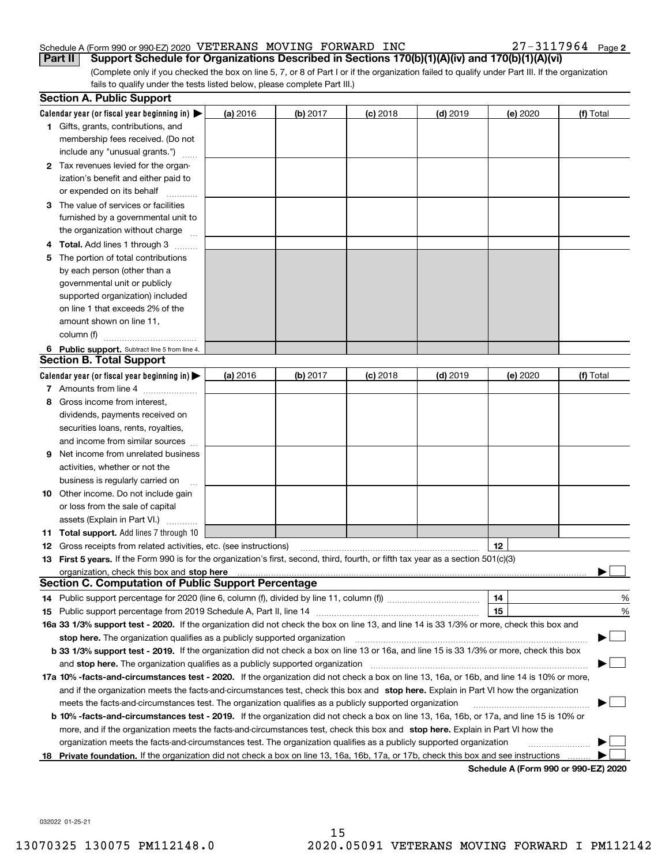#### Schedule A (Form 990 or 990-EZ) 2020 Page VETERANS MOVING FORWARD INC 27-3117964 **Part II** Support Schedule for Organizations Described in Sections 170(b)(1)(A)(iv) and 170(b)(1)(A)(vi)

27-3117964 Page 2

(Complete only if you checked the box on line 5, 7, or 8 of Part I or if the organization failed to qualify under Part III. If the organization fails to qualify under the tests listed below, please complete Part III.)

|    | <b>Section A. Public Support</b>                                                                                                                                                                                              |          |          |            |            |                                      |           |
|----|-------------------------------------------------------------------------------------------------------------------------------------------------------------------------------------------------------------------------------|----------|----------|------------|------------|--------------------------------------|-----------|
|    | Calendar year (or fiscal year beginning in) $\blacktriangleright$                                                                                                                                                             | (a) 2016 | (b) 2017 | $(c)$ 2018 | $(d)$ 2019 | (e) 2020                             | (f) Total |
|    | <b>1</b> Gifts, grants, contributions, and                                                                                                                                                                                    |          |          |            |            |                                      |           |
|    | membership fees received. (Do not                                                                                                                                                                                             |          |          |            |            |                                      |           |
|    | include any "unusual grants.")                                                                                                                                                                                                |          |          |            |            |                                      |           |
|    | 2 Tax revenues levied for the organ-                                                                                                                                                                                          |          |          |            |            |                                      |           |
|    | ization's benefit and either paid to                                                                                                                                                                                          |          |          |            |            |                                      |           |
|    | or expended on its behalf                                                                                                                                                                                                     |          |          |            |            |                                      |           |
|    | 3 The value of services or facilities                                                                                                                                                                                         |          |          |            |            |                                      |           |
|    | furnished by a governmental unit to                                                                                                                                                                                           |          |          |            |            |                                      |           |
|    | the organization without charge                                                                                                                                                                                               |          |          |            |            |                                      |           |
|    | <b>4 Total.</b> Add lines 1 through 3                                                                                                                                                                                         |          |          |            |            |                                      |           |
| 5. | The portion of total contributions                                                                                                                                                                                            |          |          |            |            |                                      |           |
|    | by each person (other than a                                                                                                                                                                                                  |          |          |            |            |                                      |           |
|    | governmental unit or publicly                                                                                                                                                                                                 |          |          |            |            |                                      |           |
|    | supported organization) included                                                                                                                                                                                              |          |          |            |            |                                      |           |
|    | on line 1 that exceeds 2% of the                                                                                                                                                                                              |          |          |            |            |                                      |           |
|    | amount shown on line 11,                                                                                                                                                                                                      |          |          |            |            |                                      |           |
|    | column (f)                                                                                                                                                                                                                    |          |          |            |            |                                      |           |
|    | 6 Public support. Subtract line 5 from line 4.                                                                                                                                                                                |          |          |            |            |                                      |           |
|    | <b>Section B. Total Support</b>                                                                                                                                                                                               |          |          |            |            |                                      |           |
|    | Calendar year (or fiscal year beginning in) $\blacktriangleright$                                                                                                                                                             | (a) 2016 | (b) 2017 | $(c)$ 2018 | $(d)$ 2019 | (e) 2020                             | (f) Total |
|    | 7 Amounts from line 4                                                                                                                                                                                                         |          |          |            |            |                                      |           |
| 8  | Gross income from interest,                                                                                                                                                                                                   |          |          |            |            |                                      |           |
|    | dividends, payments received on                                                                                                                                                                                               |          |          |            |            |                                      |           |
|    | securities loans, rents, royalties,                                                                                                                                                                                           |          |          |            |            |                                      |           |
|    | and income from similar sources                                                                                                                                                                                               |          |          |            |            |                                      |           |
| 9  | Net income from unrelated business                                                                                                                                                                                            |          |          |            |            |                                      |           |
|    | activities, whether or not the                                                                                                                                                                                                |          |          |            |            |                                      |           |
|    | business is regularly carried on                                                                                                                                                                                              |          |          |            |            |                                      |           |
|    | <b>10</b> Other income. Do not include gain                                                                                                                                                                                   |          |          |            |            |                                      |           |
|    | or loss from the sale of capital                                                                                                                                                                                              |          |          |            |            |                                      |           |
|    | assets (Explain in Part VI.)                                                                                                                                                                                                  |          |          |            |            |                                      |           |
|    | 11 Total support. Add lines 7 through 10                                                                                                                                                                                      |          |          |            |            |                                      |           |
|    | <b>12</b> Gross receipts from related activities, etc. (see instructions)                                                                                                                                                     |          |          |            |            | 12                                   |           |
|    | 13 First 5 years. If the Form 990 is for the organization's first, second, third, fourth, or fifth tax year as a section 501(c)(3)                                                                                            |          |          |            |            |                                      |           |
|    | organization, check this box and stop here manufactured and state and state and state and state and state and stop here and stop here are all and state and state and state and state and state and state and state and state |          |          |            |            |                                      |           |
|    | <b>Section C. Computation of Public Support Percentage</b>                                                                                                                                                                    |          |          |            |            |                                      |           |
|    | 14 Public support percentage for 2020 (line 6, column (f), divided by line 11, column (f) <i>mummumumum</i>                                                                                                                   |          |          |            |            | 14                                   | %         |
|    |                                                                                                                                                                                                                               |          |          |            |            | 15                                   | %         |
|    | 16a 33 1/3% support test - 2020. If the organization did not check the box on line 13, and line 14 is 33 1/3% or more, check this box and                                                                                     |          |          |            |            |                                      |           |
|    | stop here. The organization qualifies as a publicly supported organization                                                                                                                                                    |          |          |            |            |                                      |           |
|    | b 33 1/3% support test - 2019. If the organization did not check a box on line 13 or 16a, and line 15 is 33 1/3% or more, check this box                                                                                      |          |          |            |            |                                      |           |
|    | and stop here. The organization qualifies as a publicly supported organization                                                                                                                                                |          |          |            |            |                                      |           |
|    | 17a 10% -facts-and-circumstances test - 2020. If the organization did not check a box on line 13, 16a, or 16b, and line 14 is 10% or more,                                                                                    |          |          |            |            |                                      |           |
|    | and if the organization meets the facts-and-circumstances test, check this box and stop here. Explain in Part VI how the organization                                                                                         |          |          |            |            |                                      |           |
|    | meets the facts-and-circumstances test. The organization qualifies as a publicly supported organization                                                                                                                       |          |          |            |            |                                      |           |
|    | <b>b 10% -facts-and-circumstances test - 2019.</b> If the organization did not check a box on line 13, 16a, 16b, or 17a, and line 15 is 10% or                                                                                |          |          |            |            |                                      |           |
|    | more, and if the organization meets the facts-and-circumstances test, check this box and stop here. Explain in Part VI how the                                                                                                |          |          |            |            |                                      |           |
|    | organization meets the facts-and-circumstances test. The organization qualifies as a publicly supported organization                                                                                                          |          |          |            |            |                                      |           |
|    | 18 Private foundation. If the organization did not check a box on line 13, 16a, 16b, 17a, or 17b, check this box and see instructions                                                                                         |          |          |            |            |                                      |           |
|    |                                                                                                                                                                                                                               |          |          |            |            | Schedule A (Form 990 or 990-F7) 2020 |           |

**Schedule A (Form 990 or 990-EZ) 2020**

032022 01-25-21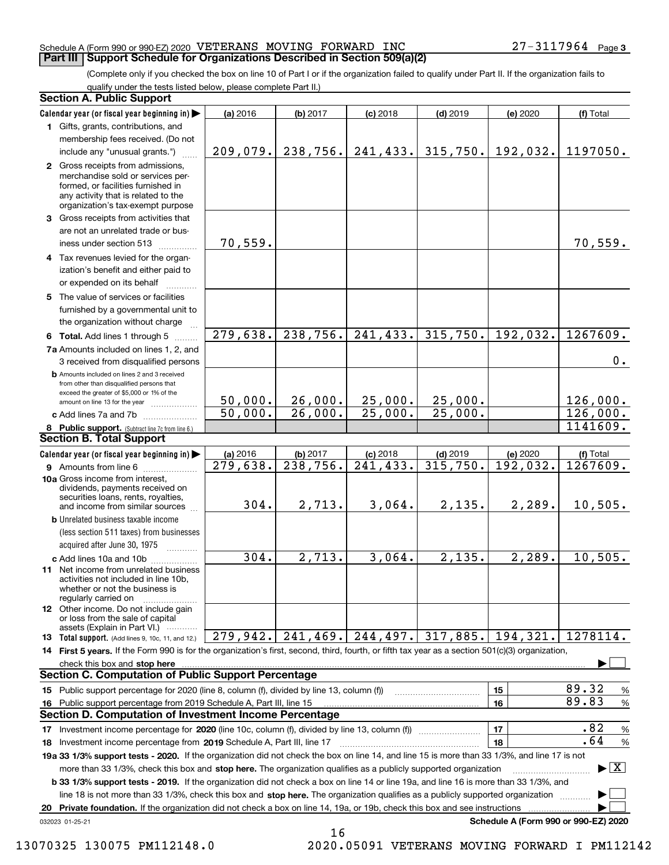#### Schedule A (Form 990 or 990-EZ) 2020 Page VETERANS MOVING FORWARD INC 27-3117964 **Part III Support Schedule for Organizations Described in Section 509(a)(2)**

(Complete only if you checked the box on line 10 of Part I or if the organization failed to qualify under Part II. If the organization fails to qualify under the tests listed below, please complete Part II.)

#### **8 Public support.** (Subtract line 7c from line 6.) **b** Amounts included on lines 2 and 3 received from other than disqualified persons that exceed the greater of \$5,000 or 1% of the amount on line 13 for the year  $\ldots$ ............... **13 Total support.** (Add lines 9, 10c, 11, and 12.) 032023 01-25-21 **Calendar year (or fiscal year beginning in) | Calendar year (or fiscal year beginning in) | (a)** 2016 **| (b)** 2017 **| (c)** 2018 **| (d)** 2019 **| (e)** 2020 **| (f) 1**Gifts, grants, contributions, and **2** Gross receipts from admissions, **3** Gross receipts from activities that **4**Tax revenues levied for the organ-**5** The value of services or facilities **6 Total.** Add lines 1 through 5  $\ldots$ ... **7a**Amounts included on lines 1, 2, and **c** Add lines 7a and 7b  $\ldots$   $\ldots$   $\ldots$  ... **(a)** 2016 **| (b)** 2017 **| (c)** 2018 **| (d)** 2019 **| (e)** 2020 **| (f) 9** Amounts from line 6  $^{10}$ **10a**Gross income from interest, **b** Unrelated business taxable income **c** Add lines 10a and 10b  $^{100}$ **11** Net income from unrelated business **12** Other income. Do not include gain **14 First 5 years.**  If the Form 990 is for the organization's first, second, third, fourth, or fifth tax year as a section 501(c)(3) organization, **stop here** check this box and | **1516151617** Investment income percentage for 2020 (line 10c, column (f), divided by line 13, column (f)) **18 2019** Investment income percentage from Schedule A, Part III, line 17 ~~~~~~~~~~~~~~~~~~**19a 33 1/3% support tests - 2020.** If the organization did not check the box on line 14, and line 15 is more than 33 1/3%, and line 17 is not **20Private foundation.**  If the organization did not check a box on line 14, 19a, or 19b, check this box and see instructions | **1718b 33 1/3% support tests - 2019.** If the organization did not check a box on line 14 or line 19a, and line 16 is more than 33 1/3%, and more than 33 1/3%, check this box and stop here. The organization qualifies as a publicly supported organization *manimumment* line 18 is not more than 33 1/3%, check this box and stop here. The organization qualifies as a publicly supported organization  $\Box$ **Schedule A (Form 990 or 990-EZ) 2020** (less section 511 taxes) from businesses acquired after June 30, 1975 (a) 2016 16 **| (b)** 2017 **| (c)** 2018 **| (d)** 2019 **| (e)** 2020 **| (f)** Total membership fees received. (Do not include any "unusual grants.") merchandise sold or services performed, or facilities furnished in any activity that is related to the organization's tax-exempt purpose are not an unrelated trade or business under section 513  $\quad$ ization's benefit and either paid to or expended on its behalf  $^{+}_{-}\,$   $^{+}\,$   $^{+}\,$ furnished by a governmental unit to the organization without charge 3 received from disqualified persons (a) 2016 16 **| (b)** 2017 **| (c)** 2018 **| (d)** 2019 **| (e)** 2020 **| (f)** Total dividends, payments received on securities loans, rents, royalties, and income from similar sources activities not included in line 10b, whether or not the business is regularly carried on or loss from the sale of capital assets (Explain in Part VI.) ............ Public support percentage for 2020 (line 8, column (f), divided by line 13, column (f)) Public support percentage from 2019 Schedule A, Part III, line 15 % 89.32 % 89.83 % .82 % .64 **Section A. Public Support Section B. Total Support Section C. Computation of Public Support Percentage Section D. Computation of Investment Income Percentage**  $\mathcal{L}^{\text{max}}$  $\boxed{\text{X}}$  $\mathcal{L}^{\text{max}}$  $\mathcal{L}^{\text{max}}$ 209,079. 238,756. 241,433. 315,750. 192,032. 1197050. 70,559. 70,559. 279,638. 238,756. 241,433. 315,750. 192,032. 1267609. 279,638. 238,756. 241,433. 315,750. 192,032. 1267609. 0. 50,000. 26,000. 25,000. 25,000. 126,000. 50,000. 26,000. 25,000. 25,000. 126,000. 1141609.  $304. | 2,713. | 3,064. | 2,135. | 2,289. | 10,505.$ 304. 2,713. 3,064. 2,135. 2,289. 10,505. 1278114. 279,942. 241,469. 244,497. 317,885. 194,321. 16

13070325 130075 PM112148.0 2020.05091 VETERANS MOVING FORWARD I PM112142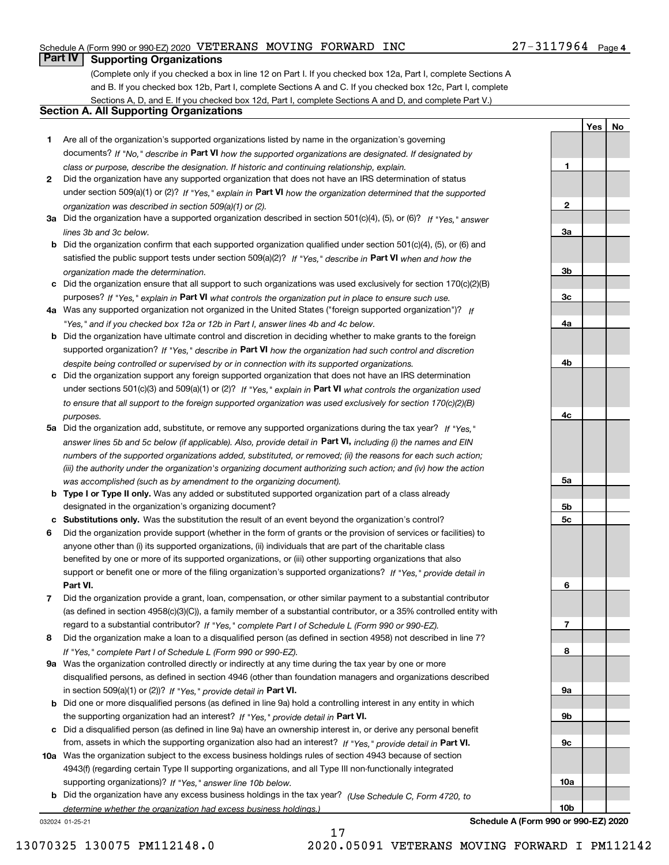### Schedule A (Form 990 or 990-EZ) 2020 Page VETERANS MOVING FORWARD INC 27-3117964

### **Part IV Supporting Organizations**

(Complete only if you checked a box in line 12 on Part I. If you checked box 12a, Part I, complete Sections A and B. If you checked box 12b, Part I, complete Sections A and C. If you checked box 12c, Part I, complete Sections A, D, and E. If you checked box 12d, Part I, complete Sections A and D, and complete Part V.)

### **Section A. All Supporting Organizations**

- **1** Are all of the organization's supported organizations listed by name in the organization's governing documents? If "No," describe in **Part VI** how the supported organizations are designated. If designated by *class or purpose, describe the designation. If historic and continuing relationship, explain.*
- **2** Did the organization have any supported organization that does not have an IRS determination of status under section 509(a)(1) or (2)? If "Yes," explain in Part VI how the organization determined that the supported *organization was described in section 509(a)(1) or (2).*
- **3a** Did the organization have a supported organization described in section 501(c)(4), (5), or (6)? If "Yes," answer *lines 3b and 3c below.*
- **b** Did the organization confirm that each supported organization qualified under section 501(c)(4), (5), or (6) and satisfied the public support tests under section 509(a)(2)? If "Yes," describe in **Part VI** when and how the *organization made the determination.*
- **c**Did the organization ensure that all support to such organizations was used exclusively for section 170(c)(2)(B) purposes? If "Yes," explain in **Part VI** what controls the organization put in place to ensure such use.
- **4a***If* Was any supported organization not organized in the United States ("foreign supported organization")? *"Yes," and if you checked box 12a or 12b in Part I, answer lines 4b and 4c below.*
- **b** Did the organization have ultimate control and discretion in deciding whether to make grants to the foreign supported organization? If "Yes," describe in **Part VI** how the organization had such control and discretion *despite being controlled or supervised by or in connection with its supported organizations.*
- **c** Did the organization support any foreign supported organization that does not have an IRS determination under sections 501(c)(3) and 509(a)(1) or (2)? If "Yes," explain in **Part VI** what controls the organization used *to ensure that all support to the foreign supported organization was used exclusively for section 170(c)(2)(B) purposes.*
- **5a** Did the organization add, substitute, or remove any supported organizations during the tax year? If "Yes," answer lines 5b and 5c below (if applicable). Also, provide detail in **Part VI,** including (i) the names and EIN *numbers of the supported organizations added, substituted, or removed; (ii) the reasons for each such action; (iii) the authority under the organization's organizing document authorizing such action; and (iv) how the action was accomplished (such as by amendment to the organizing document).*
- **b** Type I or Type II only. Was any added or substituted supported organization part of a class already designated in the organization's organizing document?
- **cSubstitutions only.**  Was the substitution the result of an event beyond the organization's control?
- **6** Did the organization provide support (whether in the form of grants or the provision of services or facilities) to **Part VI.** *If "Yes," provide detail in* support or benefit one or more of the filing organization's supported organizations? anyone other than (i) its supported organizations, (ii) individuals that are part of the charitable class benefited by one or more of its supported organizations, or (iii) other supporting organizations that also
- **7**Did the organization provide a grant, loan, compensation, or other similar payment to a substantial contributor *If "Yes," complete Part I of Schedule L (Form 990 or 990-EZ).* regard to a substantial contributor? (as defined in section 4958(c)(3)(C)), a family member of a substantial contributor, or a 35% controlled entity with
- **8** Did the organization make a loan to a disqualified person (as defined in section 4958) not described in line 7? *If "Yes," complete Part I of Schedule L (Form 990 or 990-EZ).*
- **9a** Was the organization controlled directly or indirectly at any time during the tax year by one or more in section 509(a)(1) or (2))? If "Yes," *provide detail in* <code>Part VI.</code> disqualified persons, as defined in section 4946 (other than foundation managers and organizations described
- **b** Did one or more disqualified persons (as defined in line 9a) hold a controlling interest in any entity in which the supporting organization had an interest? If "Yes," provide detail in P**art VI**.
- **c**Did a disqualified person (as defined in line 9a) have an ownership interest in, or derive any personal benefit from, assets in which the supporting organization also had an interest? If "Yes," provide detail in P**art VI.**
- **10a** Was the organization subject to the excess business holdings rules of section 4943 because of section supporting organizations)? If "Yes," answer line 10b below. 4943(f) (regarding certain Type II supporting organizations, and all Type III non-functionally integrated
- **b** Did the organization have any excess business holdings in the tax year? (Use Schedule C, Form 4720, to *determine whether the organization had excess business holdings.)*

032024 01-25-21

**10b**

**Schedule A (Form 990 or 990-EZ) 2020**

**1**

**2**

**3a**

**3b**

**3c**

**4a**

**4b**

**4c**

**5a**

**5b5c**

**6**

**7**

**8**

**9a**

**9b**

**9c**

**10a**

**YesNo**

17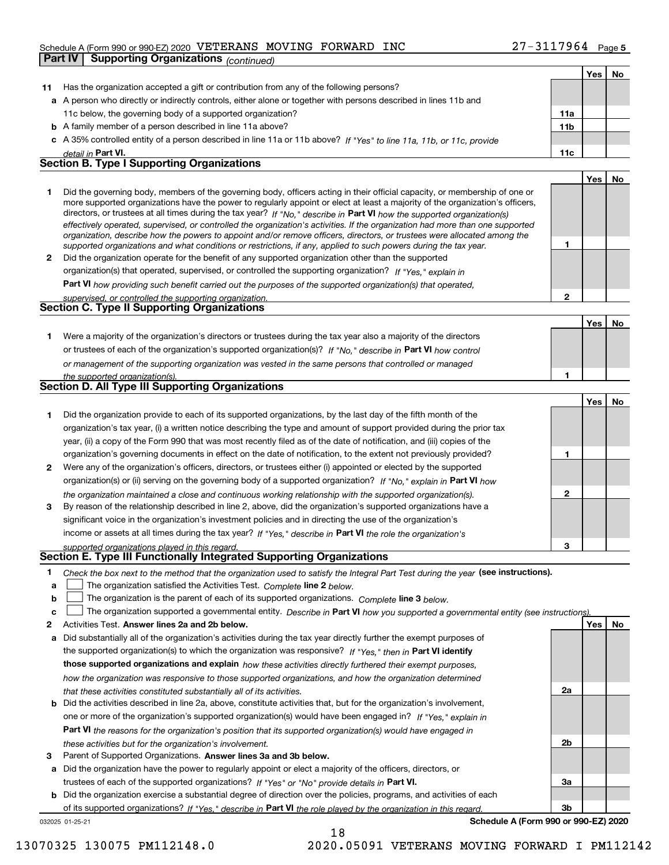#### Schedule A (Form 990 or 990-EZ) 2020 Page VETERANS MOVING FORWARD INC 27-3117964

|              | <b>Supporting Organizations (continued)</b><br>Part IV                                                                                                                                                                                                    |                 |     |    |
|--------------|-----------------------------------------------------------------------------------------------------------------------------------------------------------------------------------------------------------------------------------------------------------|-----------------|-----|----|
|              |                                                                                                                                                                                                                                                           |                 | Yes | No |
| 11           | Has the organization accepted a gift or contribution from any of the following persons?                                                                                                                                                                   |                 |     |    |
|              | a A person who directly or indirectly controls, either alone or together with persons described in lines 11b and                                                                                                                                          |                 |     |    |
|              | 11c below, the governing body of a supported organization?                                                                                                                                                                                                | 11a             |     |    |
|              | <b>b</b> A family member of a person described in line 11a above?                                                                                                                                                                                         | 11 <sub>b</sub> |     |    |
|              | c A 35% controlled entity of a person described in line 11a or 11b above? If "Yes" to line 11a, 11b, or 11c, provide                                                                                                                                      |                 |     |    |
|              | detail in Part VI.                                                                                                                                                                                                                                        | 11c             |     |    |
|              | <b>Section B. Type I Supporting Organizations</b>                                                                                                                                                                                                         |                 |     |    |
|              |                                                                                                                                                                                                                                                           |                 | Yes | No |
| 1.           | Did the governing body, members of the governing body, officers acting in their official capacity, or membership of one or                                                                                                                                |                 |     |    |
|              | more supported organizations have the power to regularly appoint or elect at least a majority of the organization's officers,                                                                                                                             |                 |     |    |
|              | directors, or trustees at all times during the tax year? If "No," describe in Part VI how the supported organization(s)<br>effectively operated, supervised, or controlled the organization's activities. If the organization had more than one supported |                 |     |    |
|              | organization, describe how the powers to appoint and/or remove officers, directors, or trustees were allocated among the                                                                                                                                  |                 |     |    |
|              | supported organizations and what conditions or restrictions, if any, applied to such powers during the tax year.                                                                                                                                          | 1               |     |    |
| $\mathbf{2}$ | Did the organization operate for the benefit of any supported organization other than the supported                                                                                                                                                       |                 |     |    |
|              | organization(s) that operated, supervised, or controlled the supporting organization? If "Yes," explain in                                                                                                                                                |                 |     |    |
|              | <b>Part VI</b> how providing such benefit carried out the purposes of the supported organization(s) that operated,                                                                                                                                        |                 |     |    |
|              | supervised, or controlled the supporting organization.                                                                                                                                                                                                    | $\mathbf{2}$    |     |    |
|              | Section C. Type II Supporting Organizations                                                                                                                                                                                                               |                 |     |    |
|              |                                                                                                                                                                                                                                                           |                 | Yes | No |
| 1.           | Were a majority of the organization's directors or trustees during the tax year also a majority of the directors                                                                                                                                          |                 |     |    |
|              | or trustees of each of the organization's supported organization(s)? If "No," describe in Part VI how control                                                                                                                                             |                 |     |    |
|              | or management of the supporting organization was vested in the same persons that controlled or managed                                                                                                                                                    |                 |     |    |
|              | the supported organization(s).<br>Section D. All Type III Supporting Organizations                                                                                                                                                                        | 1               |     |    |
|              |                                                                                                                                                                                                                                                           |                 |     |    |
|              |                                                                                                                                                                                                                                                           |                 | Yes | No |
| 1            | Did the organization provide to each of its supported organizations, by the last day of the fifth month of the<br>organization's tax year, (i) a written notice describing the type and amount of support provided during the prior tax                   |                 |     |    |
|              | year, (ii) a copy of the Form 990 that was most recently filed as of the date of notification, and (iii) copies of the                                                                                                                                    |                 |     |    |
|              | organization's governing documents in effect on the date of notification, to the extent not previously provided?                                                                                                                                          | 1               |     |    |
| 2            | Were any of the organization's officers, directors, or trustees either (i) appointed or elected by the supported                                                                                                                                          |                 |     |    |
|              | organization(s) or (ii) serving on the governing body of a supported organization? If "No," explain in Part VI how                                                                                                                                        |                 |     |    |
|              | the organization maintained a close and continuous working relationship with the supported organization(s).                                                                                                                                               | $\mathbf{2}$    |     |    |
| 3            | By reason of the relationship described in line 2, above, did the organization's supported organizations have a                                                                                                                                           |                 |     |    |
|              | significant voice in the organization's investment policies and in directing the use of the organization's                                                                                                                                                |                 |     |    |
|              | income or assets at all times during the tax year? If "Yes," describe in Part VI the role the organization's                                                                                                                                              |                 |     |    |
|              | supported organizations played in this regard.                                                                                                                                                                                                            | з               |     |    |
|              | Section E. Type III Functionally Integrated Supporting Organizations                                                                                                                                                                                      |                 |     |    |
| 1            | Check the box next to the method that the organization used to satisfy the Integral Part Test during the year (see instructions).                                                                                                                         |                 |     |    |
| a            | The organization satisfied the Activities Test. Complete line 2 below.                                                                                                                                                                                    |                 |     |    |
| b            | The organization is the parent of each of its supported organizations. Complete line 3 below.                                                                                                                                                             |                 |     |    |
| c            | The organization supported a governmental entity. Describe in Part VI how you supported a governmental entity (see instructions).                                                                                                                         |                 |     |    |
| 2            | Activities Test. Answer lines 2a and 2b below.                                                                                                                                                                                                            |                 | Yes | No |
| a            | Did substantially all of the organization's activities during the tax year directly further the exempt purposes of                                                                                                                                        |                 |     |    |
|              | the supported organization(s) to which the organization was responsive? If "Yes," then in Part VI identify                                                                                                                                                |                 |     |    |
|              | those supported organizations and explain how these activities directly furthered their exempt purposes,                                                                                                                                                  |                 |     |    |
|              | how the organization was responsive to those supported organizations, and how the organization determined                                                                                                                                                 |                 |     |    |
|              | that these activities constituted substantially all of its activities.                                                                                                                                                                                    | 2a              |     |    |
|              | <b>b</b> Did the activities described in line 2a, above, constitute activities that, but for the organization's involvement,                                                                                                                              |                 |     |    |
|              | one or more of the organization's supported organization(s) would have been engaged in? If "Yes," explain in                                                                                                                                              |                 |     |    |
|              | <b>Part VI</b> the reasons for the organization's position that its supported organization(s) would have engaged in                                                                                                                                       |                 |     |    |
|              | these activities but for the organization's involvement.                                                                                                                                                                                                  | 2b              |     |    |

**3** Parent of Supported Organizations. Answer lines 3a and 3b below.

**a** Did the organization have the power to regularly appoint or elect a majority of the officers, directors, or trustees of each of the supported organizations? If "Yes" or "No" provide details in **Part VI.** 

**b** Did the organization exercise a substantial degree of direction over the policies, programs, and activities of each of its supported organizations? If "Yes," describe in Part VI the role played by the organization in this regard.

18

032025 01-25-21

**Schedule A (Form 990 or 990-EZ) 2020**

**3a**

**3b**

13070325 130075 PM112148.0 2020.05091 VETERANS MOVING FORWARD I PM112142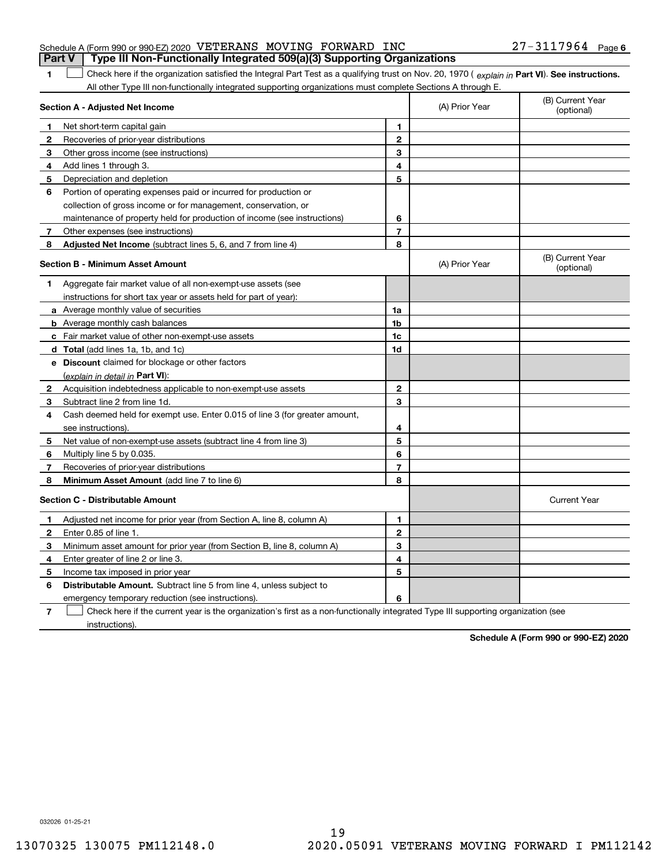| <b>Part V</b> Type III Non-Functionally Integrated 509(a)(3) Supporting Organizations |  |  |                       |  |
|---------------------------------------------------------------------------------------|--|--|-----------------------|--|
| Schedule A (Form 990 or 990-EZ) 2020 VETERANS MOVING FORWARD INC                      |  |  | $27 - 3117964$ Page 6 |  |

1 Check here if the organization satisfied the Integral Part Test as a qualifying trust on Nov. 20, 1970 (explain in Part VI). See instructions. All other Type III non-functionally integrated supporting organizations must complete Sections A through E.

|              | Section A - Adjusted Net Income                                                                                                   |                | (A) Prior Year | (B) Current Year<br>(optional) |
|--------------|-----------------------------------------------------------------------------------------------------------------------------------|----------------|----------------|--------------------------------|
| 1            | Net short-term capital gain                                                                                                       | 1              |                |                                |
| 2            | Recoveries of prior-year distributions                                                                                            | $\mathbf{2}$   |                |                                |
| 3            | Other gross income (see instructions)                                                                                             | 3              |                |                                |
| 4            | Add lines 1 through 3.                                                                                                            | 4              |                |                                |
| 5            | Depreciation and depletion                                                                                                        | 5              |                |                                |
| 6            | Portion of operating expenses paid or incurred for production or                                                                  |                |                |                                |
|              | collection of gross income or for management, conservation, or                                                                    |                |                |                                |
|              | maintenance of property held for production of income (see instructions)                                                          | 6              |                |                                |
| 7            | Other expenses (see instructions)                                                                                                 | $\overline{7}$ |                |                                |
| 8            | Adjusted Net Income (subtract lines 5, 6, and 7 from line 4)                                                                      | 8              |                |                                |
|              | <b>Section B - Minimum Asset Amount</b>                                                                                           |                | (A) Prior Year | (B) Current Year<br>(optional) |
| 1            | Aggregate fair market value of all non-exempt-use assets (see                                                                     |                |                |                                |
|              | instructions for short tax year or assets held for part of year):                                                                 |                |                |                                |
|              | <b>a</b> Average monthly value of securities                                                                                      | 1a             |                |                                |
|              | <b>b</b> Average monthly cash balances                                                                                            | 1 <sub>b</sub> |                |                                |
|              | c Fair market value of other non-exempt-use assets                                                                                | 1c             |                |                                |
|              | d Total (add lines 1a, 1b, and 1c)                                                                                                | 1d             |                |                                |
|              | e Discount claimed for blockage or other factors                                                                                  |                |                |                                |
|              | (explain in detail in Part VI):                                                                                                   |                |                |                                |
| $\mathbf{2}$ | Acquisition indebtedness applicable to non-exempt-use assets                                                                      | $\mathbf{2}$   |                |                                |
| 3            | Subtract line 2 from line 1d.                                                                                                     | 3              |                |                                |
| 4            | Cash deemed held for exempt use. Enter 0.015 of line 3 (for greater amount,                                                       |                |                |                                |
|              | see instructions).                                                                                                                | 4              |                |                                |
| 5            | Net value of non-exempt-use assets (subtract line 4 from line 3)                                                                  | 5              |                |                                |
| 6            | Multiply line 5 by 0.035.                                                                                                         | 6              |                |                                |
| 7            | Recoveries of prior-year distributions                                                                                            | $\overline{7}$ |                |                                |
| 8            | Minimum Asset Amount (add line 7 to line 6)                                                                                       | 8              |                |                                |
|              | <b>Section C - Distributable Amount</b>                                                                                           |                |                | <b>Current Year</b>            |
| 1            | Adjusted net income for prior year (from Section A, line 8, column A)                                                             | 1              |                |                                |
| 2            | Enter 0.85 of line 1.                                                                                                             | $\mathbf{2}$   |                |                                |
| 3            | Minimum asset amount for prior year (from Section B, line 8, column A)                                                            | 3              |                |                                |
| 4            | Enter greater of line 2 or line 3.                                                                                                | 4              |                |                                |
| 5            | Income tax imposed in prior year                                                                                                  | 5              |                |                                |
| 6            | <b>Distributable Amount.</b> Subtract line 5 from line 4, unless subject to                                                       |                |                |                                |
|              | emergency temporary reduction (see instructions).                                                                                 | 6              |                |                                |
| 7            | Check here if the current year is the organization's first as a non-functionally integrated Type III supporting organization (see |                |                |                                |

instructions).

**1**

**Schedule A (Form 990 or 990-EZ) 2020**

032026 01-25-21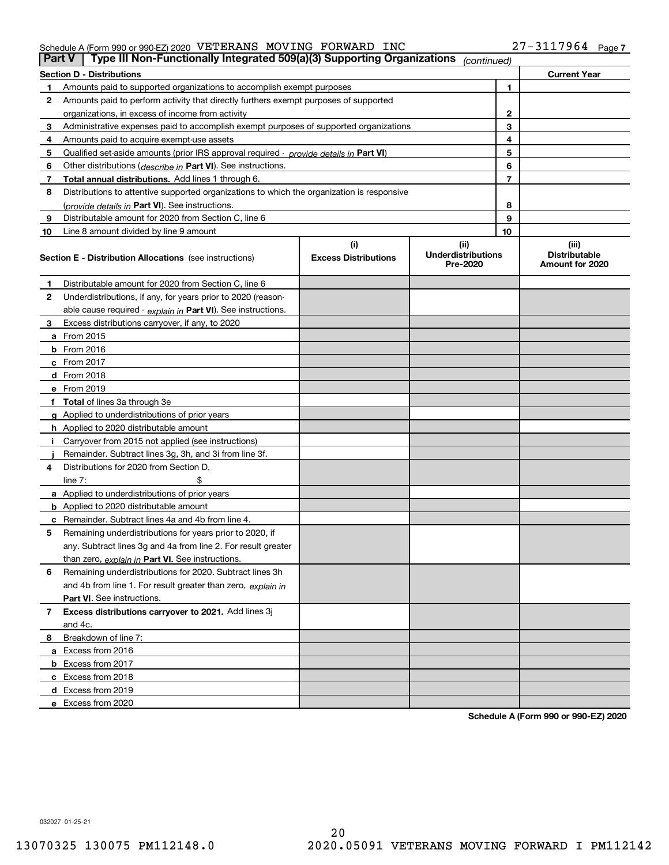#### Schedule A (Form 990 or 990-EZ) 2020 Page VETERANS MOVING FORWARD INC 27-3117964

| <b>Part V</b> | Type III Non-Functionally Integrated 509(a)(3) Supporting Organizations                    |                             | (continued)                           |    |                                         |
|---------------|--------------------------------------------------------------------------------------------|-----------------------------|---------------------------------------|----|-----------------------------------------|
|               | <b>Section D - Distributions</b>                                                           |                             |                                       |    | <b>Current Year</b>                     |
| 1             | Amounts paid to supported organizations to accomplish exempt purposes                      |                             |                                       | 1  |                                         |
| 2             | Amounts paid to perform activity that directly furthers exempt purposes of supported       |                             |                                       |    |                                         |
|               | organizations, in excess of income from activity                                           |                             |                                       | 2  |                                         |
| 3             | Administrative expenses paid to accomplish exempt purposes of supported organizations      |                             |                                       | 3  |                                         |
| 4             | Amounts paid to acquire exempt-use assets                                                  |                             |                                       | 4  |                                         |
| 5             | Qualified set-aside amounts (prior IRS approval required - provide details in Part VI)     |                             |                                       | 5  |                                         |
| 6             | Other distributions (describe in Part VI). See instructions.                               |                             |                                       | 6  |                                         |
| 7             | Total annual distributions. Add lines 1 through 6.                                         |                             |                                       | 7  |                                         |
| 8             | Distributions to attentive supported organizations to which the organization is responsive |                             |                                       |    |                                         |
|               | (provide details in Part VI). See instructions.                                            |                             |                                       | 8  |                                         |
| 9             | Distributable amount for 2020 from Section C, line 6                                       |                             |                                       | 9  |                                         |
| 10            | Line 8 amount divided by line 9 amount                                                     |                             |                                       | 10 |                                         |
|               |                                                                                            | (i)                         | (ii)                                  |    | (iii)                                   |
|               | <b>Section E - Distribution Allocations</b> (see instructions)                             | <b>Excess Distributions</b> | <b>Underdistributions</b><br>Pre-2020 |    | <b>Distributable</b><br>Amount for 2020 |
| 1             | Distributable amount for 2020 from Section C, line 6                                       |                             |                                       |    |                                         |
| 2             | Underdistributions, if any, for years prior to 2020 (reason-                               |                             |                                       |    |                                         |
|               | able cause required - explain in Part VI). See instructions.                               |                             |                                       |    |                                         |
| 3             | Excess distributions carryover, if any, to 2020                                            |                             |                                       |    |                                         |
|               | <b>a</b> From 2015                                                                         |                             |                                       |    |                                         |
|               | <b>b</b> From 2016                                                                         |                             |                                       |    |                                         |
|               | c From 2017                                                                                |                             |                                       |    |                                         |
|               | <b>d</b> From 2018                                                                         |                             |                                       |    |                                         |
|               | e From 2019                                                                                |                             |                                       |    |                                         |
|               | f Total of lines 3a through 3e                                                             |                             |                                       |    |                                         |
|               | g Applied to underdistributions of prior years                                             |                             |                                       |    |                                         |
|               | <b>h</b> Applied to 2020 distributable amount                                              |                             |                                       |    |                                         |
|               | Carryover from 2015 not applied (see instructions)                                         |                             |                                       |    |                                         |
|               | Remainder. Subtract lines 3g, 3h, and 3i from line 3f.                                     |                             |                                       |    |                                         |
| 4             | Distributions for 2020 from Section D,                                                     |                             |                                       |    |                                         |
|               | line $7:$                                                                                  |                             |                                       |    |                                         |
|               | a Applied to underdistributions of prior years                                             |                             |                                       |    |                                         |
|               | <b>b</b> Applied to 2020 distributable amount                                              |                             |                                       |    |                                         |
|               | c Remainder. Subtract lines 4a and 4b from line 4.                                         |                             |                                       |    |                                         |
| 5             | Remaining underdistributions for years prior to 2020, if                                   |                             |                                       |    |                                         |
|               | any. Subtract lines 3g and 4a from line 2. For result greater                              |                             |                                       |    |                                         |
|               | than zero, explain in Part VI. See instructions.                                           |                             |                                       |    |                                         |
| 6             | Remaining underdistributions for 2020. Subtract lines 3h                                   |                             |                                       |    |                                         |
|               | and 4b from line 1. For result greater than zero, explain in                               |                             |                                       |    |                                         |
|               | Part VI. See instructions.                                                                 |                             |                                       |    |                                         |
| 7             | Excess distributions carryover to 2021. Add lines 3j                                       |                             |                                       |    |                                         |
|               | and 4c.                                                                                    |                             |                                       |    |                                         |
| 8             | Breakdown of line 7:                                                                       |                             |                                       |    |                                         |
|               | a Excess from 2016                                                                         |                             |                                       |    |                                         |
|               | <b>b</b> Excess from 2017                                                                  |                             |                                       |    |                                         |
|               | c Excess from 2018                                                                         |                             |                                       |    |                                         |
|               | d Excess from 2019                                                                         |                             |                                       |    |                                         |
|               | e Excess from 2020                                                                         |                             |                                       |    |                                         |

**Schedule A (Form 990 or 990-EZ) 2020**

032027 01-25-21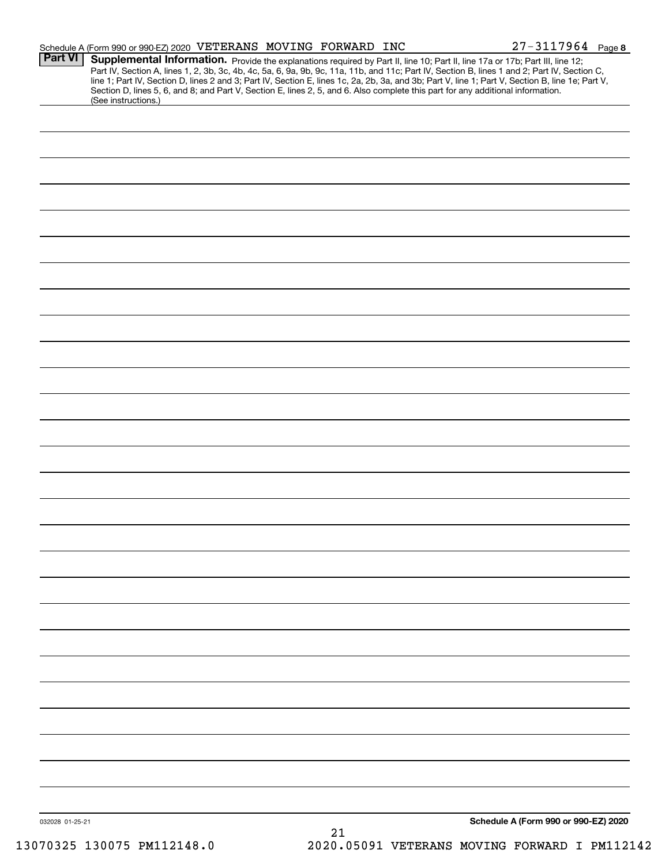| <b>Part VI</b>  | Schedule A (Form 990 or 990-EZ) 2020 VETERANS MOVING FORWARD INC                                                                                                                                                                                                                    |    | $27 - 3117964$ Page 8                         |
|-----------------|-------------------------------------------------------------------------------------------------------------------------------------------------------------------------------------------------------------------------------------------------------------------------------------|----|-----------------------------------------------|
|                 | <b>Supplemental Information.</b> Provide the explanations required by Part II, line 10; Part II, line 17a or 17b; Part III, line 12;<br>Part IV, Section A, lines 1, 2, 3b, 3c, 4b, 4c, 5a, 6, 9a, 9b, 9c, 11a, 11b, and 11c; Part IV,                                              |    |                                               |
|                 | line 1; Part IV, Section D, lines 2 and 3; Part IV, Section E, lines 1c, 2a, 2b, 3a, and 3b; Part V, line 1; Part V, Section B, line 1e; Part V,<br>Section D, lines 5, 6, and 8; and Part V, Section E, lines 2, 5, and 6. Also complete this part for any additional information. |    |                                               |
|                 | (See instructions.)                                                                                                                                                                                                                                                                 |    |                                               |
|                 |                                                                                                                                                                                                                                                                                     |    |                                               |
|                 |                                                                                                                                                                                                                                                                                     |    |                                               |
|                 |                                                                                                                                                                                                                                                                                     |    |                                               |
|                 |                                                                                                                                                                                                                                                                                     |    |                                               |
|                 |                                                                                                                                                                                                                                                                                     |    |                                               |
|                 |                                                                                                                                                                                                                                                                                     |    |                                               |
|                 |                                                                                                                                                                                                                                                                                     |    |                                               |
|                 |                                                                                                                                                                                                                                                                                     |    |                                               |
|                 |                                                                                                                                                                                                                                                                                     |    |                                               |
|                 |                                                                                                                                                                                                                                                                                     |    |                                               |
|                 |                                                                                                                                                                                                                                                                                     |    |                                               |
|                 |                                                                                                                                                                                                                                                                                     |    |                                               |
|                 |                                                                                                                                                                                                                                                                                     |    |                                               |
|                 |                                                                                                                                                                                                                                                                                     |    |                                               |
|                 |                                                                                                                                                                                                                                                                                     |    |                                               |
|                 |                                                                                                                                                                                                                                                                                     |    |                                               |
|                 |                                                                                                                                                                                                                                                                                     |    |                                               |
|                 |                                                                                                                                                                                                                                                                                     |    |                                               |
|                 |                                                                                                                                                                                                                                                                                     |    |                                               |
|                 |                                                                                                                                                                                                                                                                                     |    |                                               |
|                 |                                                                                                                                                                                                                                                                                     |    |                                               |
|                 |                                                                                                                                                                                                                                                                                     |    |                                               |
|                 |                                                                                                                                                                                                                                                                                     |    |                                               |
|                 |                                                                                                                                                                                                                                                                                     |    |                                               |
|                 |                                                                                                                                                                                                                                                                                     |    |                                               |
|                 |                                                                                                                                                                                                                                                                                     |    |                                               |
|                 |                                                                                                                                                                                                                                                                                     |    |                                               |
|                 |                                                                                                                                                                                                                                                                                     |    |                                               |
|                 |                                                                                                                                                                                                                                                                                     |    |                                               |
|                 |                                                                                                                                                                                                                                                                                     |    |                                               |
|                 |                                                                                                                                                                                                                                                                                     |    |                                               |
|                 |                                                                                                                                                                                                                                                                                     |    |                                               |
|                 |                                                                                                                                                                                                                                                                                     |    |                                               |
|                 |                                                                                                                                                                                                                                                                                     |    |                                               |
|                 |                                                                                                                                                                                                                                                                                     |    |                                               |
|                 |                                                                                                                                                                                                                                                                                     |    |                                               |
|                 |                                                                                                                                                                                                                                                                                     |    |                                               |
|                 |                                                                                                                                                                                                                                                                                     |    |                                               |
|                 |                                                                                                                                                                                                                                                                                     |    |                                               |
|                 |                                                                                                                                                                                                                                                                                     |    |                                               |
|                 |                                                                                                                                                                                                                                                                                     |    |                                               |
|                 |                                                                                                                                                                                                                                                                                     |    |                                               |
|                 |                                                                                                                                                                                                                                                                                     |    |                                               |
|                 |                                                                                                                                                                                                                                                                                     |    |                                               |
|                 |                                                                                                                                                                                                                                                                                     |    |                                               |
|                 |                                                                                                                                                                                                                                                                                     |    |                                               |
|                 |                                                                                                                                                                                                                                                                                     |    |                                               |
|                 |                                                                                                                                                                                                                                                                                     |    |                                               |
|                 |                                                                                                                                                                                                                                                                                     |    |                                               |
| 032028 01-25-21 |                                                                                                                                                                                                                                                                                     |    | Schedule A (Form 990 or 990-EZ) 2020          |
|                 |                                                                                                                                                                                                                                                                                     | 21 |                                               |
|                 | 13070325 130075 PM112148.0                                                                                                                                                                                                                                                          |    | 2020.05091 VETERANS MOVING FORWARD I PM112142 |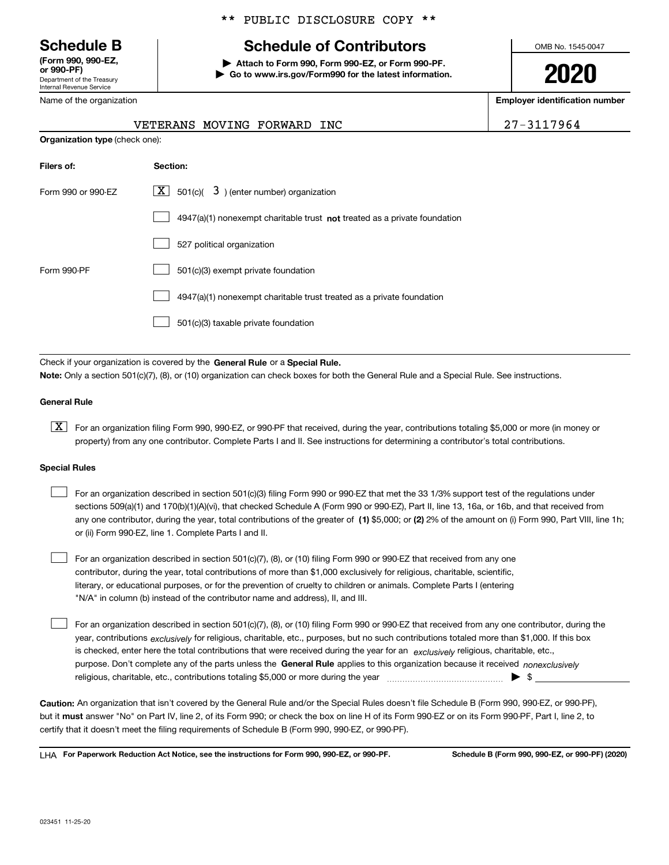Department of the Treasury Internal Revenue Service **(Form 990, 990-EZ, or 990-PF)**

Name of the organization

**Organization type** (check one):

### \*\* PUBLIC DISCLOSURE COPY \*\*

# **Schedule B Schedule of Contributors**

**| Attach to Form 990, Form 990-EZ, or Form 990-PF. | Go to www.irs.gov/Form990 for the latest information.** OMB No. 1545-0047

**2020**

**Employer identification number**

| $27 - 311$ |
|------------|

| VETERANS MOVING FORWARD INC | 27-3117964 |
|-----------------------------|------------|
|                             |            |

| Filers of:         | Section:                                                                           |
|--------------------|------------------------------------------------------------------------------------|
| Form 990 or 990-EZ | $\lfloor \mathbf{X} \rfloor$ 501(c)( 3) (enter number) organization                |
|                    | $4947(a)(1)$ nonexempt charitable trust <b>not</b> treated as a private foundation |
|                    | 527 political organization                                                         |
| Form 990-PF        | 501(c)(3) exempt private foundation                                                |
|                    | 4947(a)(1) nonexempt charitable trust treated as a private foundation              |
|                    | 501(c)(3) taxable private foundation                                               |

Check if your organization is covered by the **General Rule** or a **Special Rule. Note:**  Only a section 501(c)(7), (8), or (10) organization can check boxes for both the General Rule and a Special Rule. See instructions.

#### **General Rule**

 $\boxed{\textbf{X}}$  For an organization filing Form 990, 990-EZ, or 990-PF that received, during the year, contributions totaling \$5,000 or more (in money or property) from any one contributor. Complete Parts I and II. See instructions for determining a contributor's total contributions.

#### **Special Rules**

| For an organization described in section 501(c)(3) filing Form 990 or 990-EZ that met the 33 1/3% support test of the regulations under               |
|-------------------------------------------------------------------------------------------------------------------------------------------------------|
| sections 509(a)(1) and 170(b)(1)(A)(vi), that checked Schedule A (Form 990 or 990-EZ), Part II, line 13, 16a, or 16b, and that received from          |
| any one contributor, during the year, total contributions of the greater of (1) \$5,000; or (2) 2% of the amount on (i) Form 990, Part VIII, line 1h; |
| or (ii) Form 990-EZ, line 1. Complete Parts I and II.                                                                                                 |

For an organization described in section 501(c)(7), (8), or (10) filing Form 990 or 990-EZ that received from any one contributor, during the year, total contributions of more than \$1,000 exclusively for religious, charitable, scientific, literary, or educational purposes, or for the prevention of cruelty to children or animals. Complete Parts I (entering "N/A" in column (b) instead of the contributor name and address), II, and III.  $\mathcal{L}^{\text{max}}$ 

purpose. Don't complete any of the parts unless the **General Rule** applies to this organization because it received *nonexclusively* year, contributions <sub>exclusively</sub> for religious, charitable, etc., purposes, but no such contributions totaled more than \$1,000. If this box is checked, enter here the total contributions that were received during the year for an  $\;$ exclusively religious, charitable, etc., For an organization described in section 501(c)(7), (8), or (10) filing Form 990 or 990-EZ that received from any one contributor, during the religious, charitable, etc., contributions totaling \$5,000 or more during the year  $\Box$ — $\Box$   $\Box$  $\mathcal{L}^{\text{max}}$ 

**Caution:**  An organization that isn't covered by the General Rule and/or the Special Rules doesn't file Schedule B (Form 990, 990-EZ, or 990-PF),  **must** but it answer "No" on Part IV, line 2, of its Form 990; or check the box on line H of its Form 990-EZ or on its Form 990-PF, Part I, line 2, to certify that it doesn't meet the filing requirements of Schedule B (Form 990, 990-EZ, or 990-PF).

**For Paperwork Reduction Act Notice, see the instructions for Form 990, 990-EZ, or 990-PF. Schedule B (Form 990, 990-EZ, or 990-PF) (2020)** LHA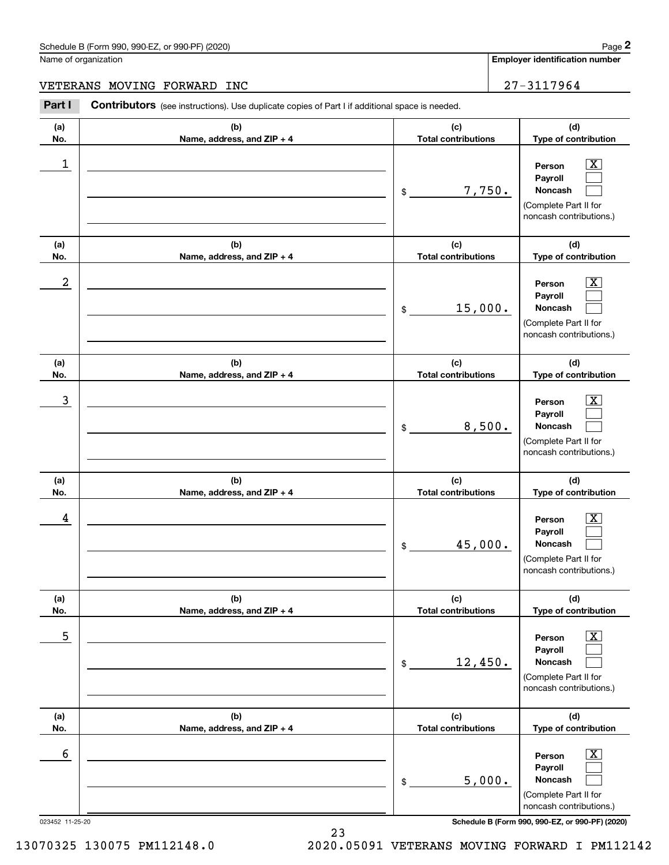#### Schedule B (Form 990, 990-EZ, or 990-PF) (2020) **Page 2** Page 2 and the state of the state of the state of the state of the state of the state of the state of the state of the state of the state of the state of the state o

Name of organization

**Employer identification number**

**(a)No.(b)Name, address, and ZIP + 4 (c)Total contributions (d)Type of contribution PersonPayrollNoncash (a)No.(b)Name, address, and ZIP + 4 (c)Total contributions (d)Type of contribution PersonPayrollNoncash (a)No.(b)Name, address, and ZIP + 4 (c)Total contributions (d)Type of contribution PersonPayrollNoncash (a) No.(b) Name, address, and ZIP + 4 (c) Total contributions (d) Type of contribution PersonPayrollNoncash (a) No.(b) Name, address, and ZIP + 4 (c) Total contributions (d) Type of contribution PersonPayrollNoncash (a) No.(b)Name, address, and ZIP + 4 (c) Total contributions (d)Type of contribution PersonPayrollNoncash Contributors** (see instructions). Use duplicate copies of Part I if additional space is needed. \$(Complete Part II for noncash contributions.) \$(Complete Part II for noncash contributions.) \$(Complete Part II for noncash contributions.) \$(Complete Part II for noncash contributions.) \$(Complete Part II for noncash contributions.) \$(Complete Part II for Chedule B (Form 990, 990-EZ, or 990-PF) (2020)<br>Iame of organization<br>**2PART I 2PHERANS MOVING FORWARD INC 27-3117964**<br>**Part I Contributors** (see instructions). Use duplicate copies of Part I if additional space is nee  $|X|$  $\mathcal{L}^{\text{max}}$  $\mathcal{L}^{\text{max}}$  $\boxed{\text{X}}$  $\mathcal{L}^{\text{max}}$  $\mathcal{L}^{\text{max}}$  $|X|$  $\mathcal{L}^{\text{max}}$  $\mathcal{L}^{\text{max}}$  $\boxed{\text{X}}$  $\mathcal{L}^{\text{max}}$  $\mathcal{L}^{\text{max}}$  $\boxed{\text{X}}$  $\mathcal{L}^{\text{max}}$  $\mathcal{L}^{\text{max}}$  $\boxed{\text{X}}$  $\mathcal{L}^{\text{max}}$  $\mathcal{L}^{\text{max}}$  $\begin{array}{c|c|c|c|c|c} 1 & \hspace{1.5cm} & \hspace{1.5cm} & \hspace{1.5cm} & \hspace{1.5cm} & \hspace{1.5cm} & \hspace{1.5cm} & \hspace{1.5cm} & \hspace{1.5cm} & \hspace{1.5cm} & \hspace{1.5cm} & \hspace{1.5cm} & \hspace{1.5cm} & \hspace{1.5cm} & \hspace{1.5cm} & \hspace{1.5cm} & \hspace{1.5cm} & \hspace{1.5cm} & \hspace{1.5cm} & \hspace{1.5cm} & \hspace{1.5cm} &$ 7,750.  $2$  | Person  $\overline{\text{X}}$ 15,000.  $\overline{3}$  | Person  $\overline{X}$ 8,500.  $4$  | Person  $\overline{\text{X}}$ 45,000.  $\sim$  5 | Person X 12,450.  $\sim$  6 | Person X 5,000. VETERANS MOVING FORWARD INC 27-3117964

023452 11-25-20 **Schedule B (Form 990, 990-EZ, or 990-PF) (2020)**

noncash contributions.)

23 13070325 130075 PM112148.0 2020.05091 VETERANS MOVING FORWARD I PM112142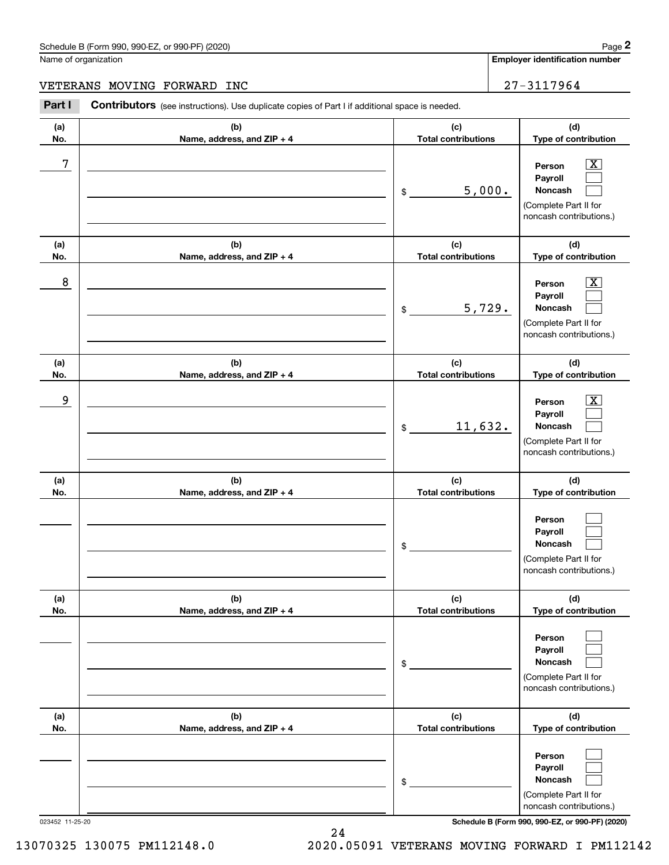## Schedule B (Form 990, 990-EZ, or 990-PF) (2020) Page 2

|            | Schedule B (Form 990, 990-EZ, or 990-PF) (2020)                                                |                                   | Page 2                                                                                                      |
|------------|------------------------------------------------------------------------------------------------|-----------------------------------|-------------------------------------------------------------------------------------------------------------|
|            | Name of organization                                                                           |                                   | <b>Employer identification number</b>                                                                       |
|            | VETERANS MOVING FORWARD INC                                                                    |                                   | 27-3117964                                                                                                  |
| Part I     | Contributors (see instructions). Use duplicate copies of Part I if additional space is needed. |                                   |                                                                                                             |
| (a)<br>No. | (b)<br>Name, address, and ZIP + 4                                                              | (c)<br><b>Total contributions</b> | (d)<br>Type of contribution                                                                                 |
| 7          |                                                                                                | 5,000.<br>\$                      | $\overline{\mathbf{X}}$<br>Person<br>Payroll<br>Noncash<br>(Complete Part II for<br>noncash contributions.) |
| (a)<br>No. | (b)<br>Name, address, and ZIP + 4                                                              | (c)<br><b>Total contributions</b> | (d)<br>Type of contribution                                                                                 |
| 8          |                                                                                                | 5,729.<br>\$                      | $\mathbf{X}$<br>Person<br>Payroll<br>Noncash<br>(Complete Part II for<br>noncash contributions.)            |
| (a)<br>No. | (b)<br>Name, address, and ZIP + 4                                                              | (c)<br><b>Total contributions</b> | (d)<br>Type of contribution                                                                                 |
| 9          |                                                                                                | 11,632.<br>\$                     | $\overline{\text{X}}$<br>Person<br>Payroll<br>Noncash<br>(Complete Part II for<br>noncash contributions.)   |
| (a)<br>No. | (b)<br>Name, address, and ZIP + 4                                                              | (c)<br><b>Total contributions</b> | (d)<br>Type of contribution                                                                                 |
|            |                                                                                                | \$                                | Person<br>Payroll<br>Noncash<br>(Complete Part II for<br>noncash contributions.)                            |
| (a)<br>No. | (b)<br>Name, address, and ZIP + 4                                                              | (c)<br><b>Total contributions</b> | (d)<br>Type of contribution                                                                                 |
|            |                                                                                                | \$                                | Person<br>Payroll<br>Noncash<br>(Complete Part II for<br>noncash contributions.)                            |
| (a)<br>No. | (b)<br>Name, address, and ZIP + 4                                                              | (c)<br><b>Total contributions</b> | (d)<br>Type of contribution                                                                                 |
|            |                                                                                                | $$^{\circ}$                       | Person<br>Payroll<br>Noncash<br>(Complete Part II for                                                       |

023452 11-25-20 **Schedule B (Form 990, 990-EZ, or 990-PF) (2020)**

noncash contributions.)

13070325 130075 PM112148.0 2020.05091 VETERANS MOVING FORWARD I PM112142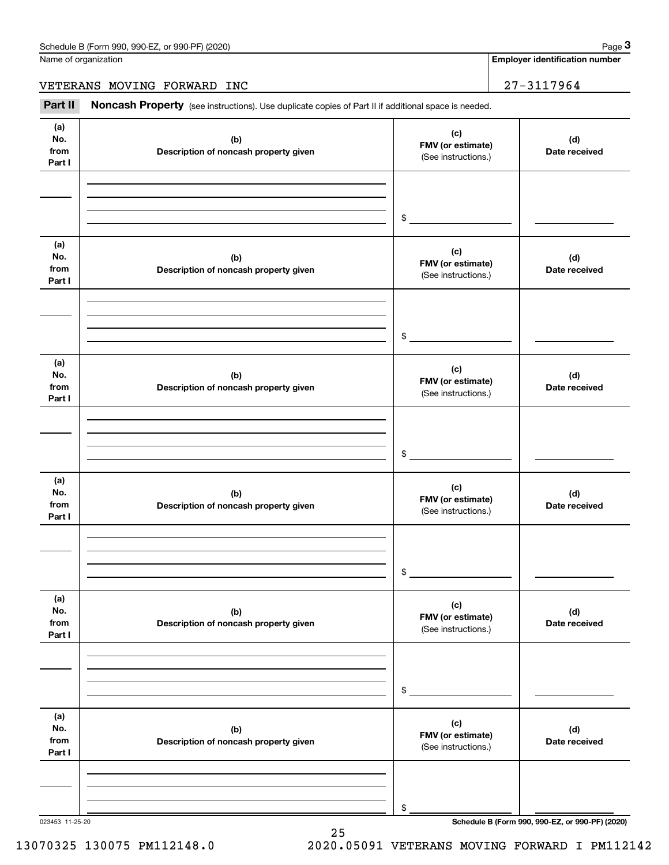**Employer identification number**

VETERANS MOVING FORWARD INC 27-3117964

(see instructions). Use duplicate copies of Part II if additional space is needed.<br> **1999 | Employer identification number**<br> **1999 | Part II | Noncash Property** (see instructions). Use duplicate copies of Part II if additi

| (a)<br>No.<br>from<br>Part I | (b)<br>Description of noncash property given | (c)<br>FMV (or estimate)<br>(See instructions.) | (d)<br>Date received                            |
|------------------------------|----------------------------------------------|-------------------------------------------------|-------------------------------------------------|
|                              |                                              | $\sim$                                          |                                                 |
| (a)<br>No.<br>from<br>Part I | (b)<br>Description of noncash property given | (c)<br>FMV (or estimate)<br>(See instructions.) | (d)<br>Date received                            |
|                              |                                              | $\sim$                                          |                                                 |
| (a)<br>No.<br>from<br>Part I | (b)<br>Description of noncash property given | (c)<br>FMV (or estimate)<br>(See instructions.) | (d)<br>Date received                            |
|                              |                                              | $\frac{1}{2}$                                   |                                                 |
| (a)<br>No.<br>from<br>Part I | (b)<br>Description of noncash property given | (c)<br>FMV (or estimate)<br>(See instructions.) | (d)<br>Date received                            |
|                              |                                              | $\frac{1}{2}$                                   |                                                 |
| (a)<br>No.<br>from<br>Part I | (b)<br>Description of noncash property given | (c)<br>FMV (or estimate)<br>(See instructions.) | (d)<br>Date received                            |
|                              |                                              | \$                                              |                                                 |
| (a)<br>No.<br>from<br>Part I | (b)<br>Description of noncash property given | (c)<br>FMV (or estimate)<br>(See instructions.) | (d)<br>Date received                            |
|                              |                                              | \$                                              |                                                 |
| 023453 11-25-20              |                                              |                                                 | Schedule B (Form 990, 990-EZ, or 990-PF) (2020) |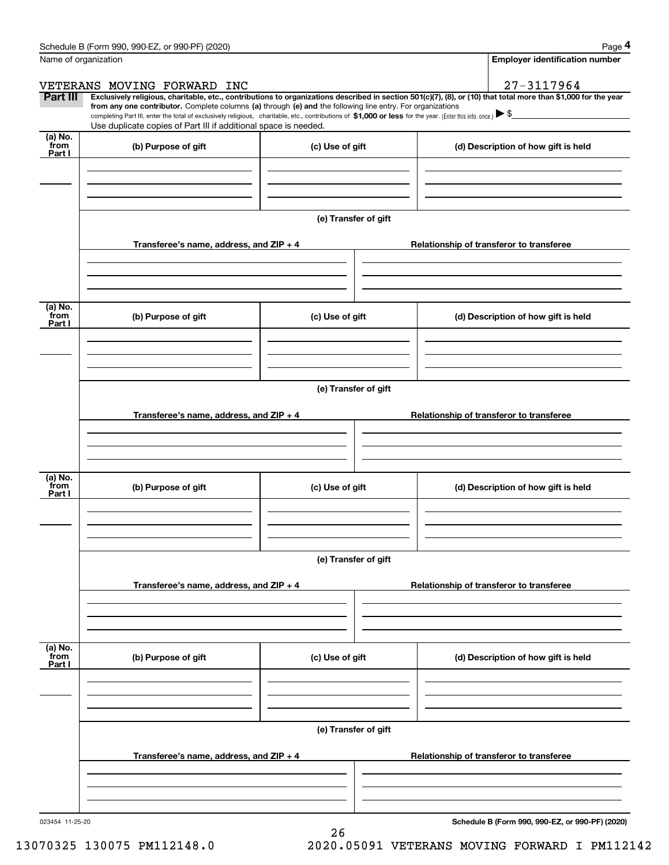|                           | Schedule B (Form 990, 990-EZ, or 990-PF) (2020)                                                                                                                               |                                                                  | Page 4                                                                                                                                                                                                                                                                                                                                              |  |  |  |  |  |
|---------------------------|-------------------------------------------------------------------------------------------------------------------------------------------------------------------------------|------------------------------------------------------------------|-----------------------------------------------------------------------------------------------------------------------------------------------------------------------------------------------------------------------------------------------------------------------------------------------------------------------------------------------------|--|--|--|--|--|
|                           | Name of organization                                                                                                                                                          |                                                                  | <b>Employer identification number</b>                                                                                                                                                                                                                                                                                                               |  |  |  |  |  |
|                           | VETERANS MOVING FORWARD INC                                                                                                                                                   |                                                                  | 27-3117964                                                                                                                                                                                                                                                                                                                                          |  |  |  |  |  |
| Part III                  | from any one contributor. Complete columns (a) through (e) and the following line entry. For organizations<br>Use duplicate copies of Part III if additional space is needed. |                                                                  | Exclusively religious, charitable, etc., contributions to organizations described in section 501(c)(7), (8), or (10) that total more than \$1,000 for the year<br>completing Part III, enter the total of exclusively religious, charitable, etc., contributions of \$1,000 or less for the year. (Enter this info. once.) $\blacktriangleright$ \$ |  |  |  |  |  |
| (a) No.<br>from<br>Part I | (b) Purpose of gift                                                                                                                                                           | (c) Use of gift                                                  | (d) Description of how gift is held                                                                                                                                                                                                                                                                                                                 |  |  |  |  |  |
|                           |                                                                                                                                                                               |                                                                  |                                                                                                                                                                                                                                                                                                                                                     |  |  |  |  |  |
|                           |                                                                                                                                                                               | (e) Transfer of gift                                             |                                                                                                                                                                                                                                                                                                                                                     |  |  |  |  |  |
|                           | Transferee's name, address, and $ZIP + 4$                                                                                                                                     |                                                                  | Relationship of transferor to transferee                                                                                                                                                                                                                                                                                                            |  |  |  |  |  |
| (a) No.<br>from           | (b) Purpose of gift                                                                                                                                                           | (c) Use of gift                                                  | (d) Description of how gift is held                                                                                                                                                                                                                                                                                                                 |  |  |  |  |  |
| Part I                    |                                                                                                                                                                               |                                                                  |                                                                                                                                                                                                                                                                                                                                                     |  |  |  |  |  |
|                           |                                                                                                                                                                               |                                                                  |                                                                                                                                                                                                                                                                                                                                                     |  |  |  |  |  |
|                           | (e) Transfer of gift                                                                                                                                                          |                                                                  |                                                                                                                                                                                                                                                                                                                                                     |  |  |  |  |  |
|                           | Transferee's name, address, and $ZIP + 4$                                                                                                                                     |                                                                  | Relationship of transferor to transferee                                                                                                                                                                                                                                                                                                            |  |  |  |  |  |
| (a) No.<br>from           | (b) Purpose of gift                                                                                                                                                           | (c) Use of gift                                                  | (d) Description of how gift is held                                                                                                                                                                                                                                                                                                                 |  |  |  |  |  |
| Part I                    |                                                                                                                                                                               |                                                                  |                                                                                                                                                                                                                                                                                                                                                     |  |  |  |  |  |
|                           |                                                                                                                                                                               | (e) Transfer of gift                                             |                                                                                                                                                                                                                                                                                                                                                     |  |  |  |  |  |
|                           | Transferee's name, address, and ZIP + 4                                                                                                                                       |                                                                  | Relationship of transferor to transferee                                                                                                                                                                                                                                                                                                            |  |  |  |  |  |
|                           |                                                                                                                                                                               |                                                                  |                                                                                                                                                                                                                                                                                                                                                     |  |  |  |  |  |
| (a) No.<br>from<br>Part I | (b) Purpose of gift                                                                                                                                                           | (c) Use of gift                                                  | (d) Description of how gift is held                                                                                                                                                                                                                                                                                                                 |  |  |  |  |  |
|                           |                                                                                                                                                                               |                                                                  |                                                                                                                                                                                                                                                                                                                                                     |  |  |  |  |  |
|                           | Transferee's name, address, and ZIP + 4                                                                                                                                       | (e) Transfer of gift<br>Relationship of transferor to transferee |                                                                                                                                                                                                                                                                                                                                                     |  |  |  |  |  |
|                           |                                                                                                                                                                               |                                                                  |                                                                                                                                                                                                                                                                                                                                                     |  |  |  |  |  |
|                           |                                                                                                                                                                               |                                                                  |                                                                                                                                                                                                                                                                                                                                                     |  |  |  |  |  |

26

023454 11-25-20

**Schedule B (Form 990, 990-EZ, or 990-PF) (2020)**

13070325 130075 PM112148.0 2020.05091 VETERANS MOVING FORWARD I PM112142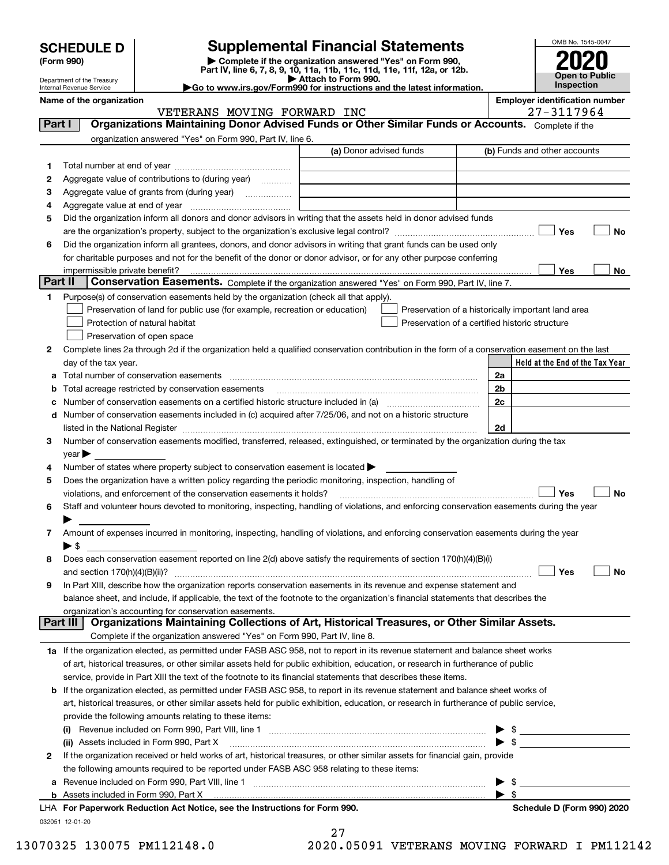| <b>SCHEDULE D</b> |  |
|-------------------|--|
|-------------------|--|

| (Form 990) |  |
|------------|--|
|------------|--|

# **SCHEDULE D Supplemental Financial Statements**

(Form 990)<br>
Pepartment of the Treasury<br>
Department of the Treasury<br>
Department of the Treasury<br>
Department of the Treasury<br> **Co to www.irs.gov/Form990 for instructions and the latest information.**<br> **Co to www.irs.gov/Form9** 



Department of the Treasury Internal Revenue Service

**Name of the organization Employer identification number**

|              | VETERANS MOVING FORWARD INC                                                                                                                    | 27-3117964                                         |
|--------------|------------------------------------------------------------------------------------------------------------------------------------------------|----------------------------------------------------|
| Part I       | Organizations Maintaining Donor Advised Funds or Other Similar Funds or Accounts. Complete if the                                              |                                                    |
|              | organization answered "Yes" on Form 990, Part IV, line 6.                                                                                      |                                                    |
|              | (a) Donor advised funds                                                                                                                        | (b) Funds and other accounts                       |
| 1.           |                                                                                                                                                |                                                    |
| 2            | Aggregate value of contributions to (during year)                                                                                              |                                                    |
| з            | Aggregate value of grants from (during year)                                                                                                   |                                                    |
| 4            |                                                                                                                                                |                                                    |
| 5            | Did the organization inform all donors and donor advisors in writing that the assets held in donor advised funds                               |                                                    |
|              |                                                                                                                                                | Yes<br>No                                          |
| 6            | Did the organization inform all grantees, donors, and donor advisors in writing that grant funds can be used only                              |                                                    |
|              | for charitable purposes and not for the benefit of the donor or donor advisor, or for any other purpose conferring                             |                                                    |
|              |                                                                                                                                                | Yes<br>No                                          |
| Part II      | Conservation Easements. Complete if the organization answered "Yes" on Form 990, Part IV, line 7.                                              |                                                    |
| 1            | Purpose(s) of conservation easements held by the organization (check all that apply).                                                          |                                                    |
|              | Preservation of land for public use (for example, recreation or education)                                                                     | Preservation of a historically important land area |
|              | Protection of natural habitat                                                                                                                  | Preservation of a certified historic structure     |
|              | Preservation of open space                                                                                                                     |                                                    |
| 2            | Complete lines 2a through 2d if the organization held a qualified conservation contribution in the form of a conservation easement on the last |                                                    |
|              | day of the tax year.                                                                                                                           | Held at the End of the Tax Year                    |
| а            | Total number of conservation easements                                                                                                         | 2a                                                 |
| b            | Total acreage restricted by conservation easements                                                                                             | 2 <sub>b</sub>                                     |
| с            | Number of conservation easements on a certified historic structure included in (a) manufacture included in (a)                                 | 2c                                                 |
| d            | Number of conservation easements included in (c) acquired after 7/25/06, and not on a historic structure                                       |                                                    |
|              | listed in the National Register [111] [12] The Mational Register [11] Matter Matter Matter Matter Matter Matter                                | 2d                                                 |
| З.           | Number of conservation easements modified, transferred, released, extinguished, or terminated by the organization during the tax               |                                                    |
|              | year                                                                                                                                           |                                                    |
| 4            | Number of states where property subject to conservation easement is located >                                                                  |                                                    |
| 5            | Does the organization have a written policy regarding the periodic monitoring, inspection, handling of                                         |                                                    |
|              | violations, and enforcement of the conservation easements it holds?                                                                            | Yes<br>No                                          |
| 6            | Staff and volunteer hours devoted to monitoring, inspecting, handling of violations, and enforcing conservation easements during the year      |                                                    |
|              |                                                                                                                                                |                                                    |
| 7            | Amount of expenses incurred in monitoring, inspecting, handling of violations, and enforcing conservation easements during the year            |                                                    |
|              | $\blacktriangleright$ s                                                                                                                        |                                                    |
| 8            | Does each conservation easement reported on line 2(d) above satisfy the requirements of section 170(h)(4)(B)(i)                                |                                                    |
|              |                                                                                                                                                | Yes<br>No                                          |
| 9            | In Part XIII, describe how the organization reports conservation easements in its revenue and expense statement and                            |                                                    |
|              | balance sheet, and include, if applicable, the text of the footnote to the organization's financial statements that describes the              |                                                    |
|              | organization's accounting for conservation easements.                                                                                          |                                                    |
| Part III     | Organizations Maintaining Collections of Art, Historical Treasures, or Other Similar Assets.                                                   |                                                    |
|              | Complete if the organization answered "Yes" on Form 990, Part IV, line 8.                                                                      |                                                    |
|              | 1a If the organization elected, as permitted under FASB ASC 958, not to report in its revenue statement and balance sheet works                |                                                    |
|              | of art, historical treasures, or other similar assets held for public exhibition, education, or research in furtherance of public              |                                                    |
|              | service, provide in Part XIII the text of the footnote to its financial statements that describes these items.                                 |                                                    |
| b            | If the organization elected, as permitted under FASB ASC 958, to report in its revenue statement and balance sheet works of                    |                                                    |
|              | art, historical treasures, or other similar assets held for public exhibition, education, or research in furtherance of public service,        |                                                    |
|              | provide the following amounts relating to these items:                                                                                         |                                                    |
|              |                                                                                                                                                | - \$                                               |
|              | (ii) Assets included in Form 990, Part X                                                                                                       | $\blacktriangleright$ \$                           |
| $\mathbf{2}$ | If the organization received or held works of art, historical treasures, or other similar assets for financial gain, provide                   |                                                    |
|              | the following amounts required to be reported under FASB ASC 958 relating to these items:                                                      |                                                    |
| а            |                                                                                                                                                | - \$                                               |
|              |                                                                                                                                                | - \$                                               |
|              | LHA For Paperwork Reduction Act Notice, see the Instructions for Form 990.                                                                     | Schedule D (Form 990) 2020                         |
|              | 032051 12-01-20                                                                                                                                |                                                    |
|              | 27                                                                                                                                             |                                                    |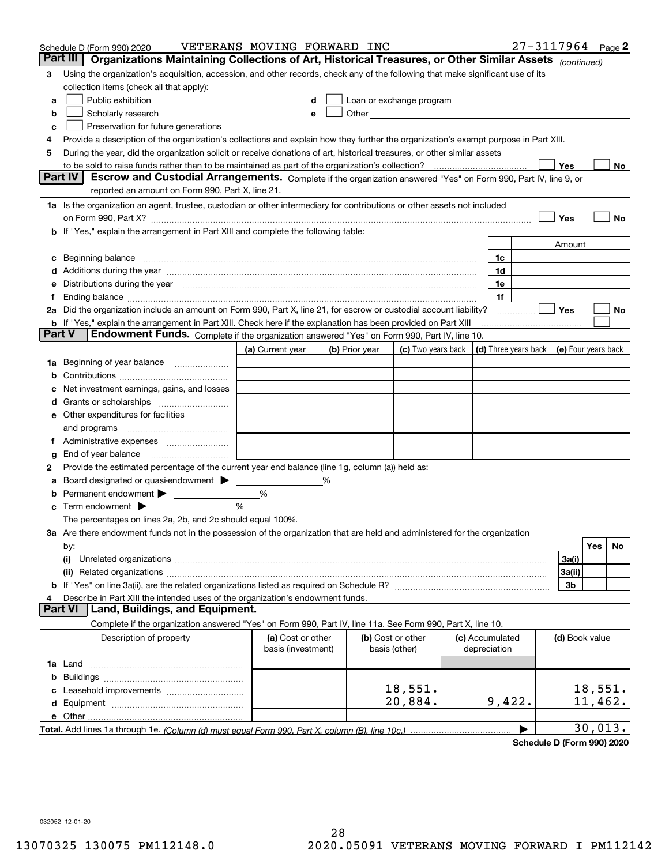|        | Schedule D (Form 990) 2020                                                                                                                                                                                                     | VETERANS MOVING FORWARD INC             |   |                |                                                                                                                                                                                                                               |                                 | $27 - 3117964$ Page 2 |                     |         |     |
|--------|--------------------------------------------------------------------------------------------------------------------------------------------------------------------------------------------------------------------------------|-----------------------------------------|---|----------------|-------------------------------------------------------------------------------------------------------------------------------------------------------------------------------------------------------------------------------|---------------------------------|-----------------------|---------------------|---------|-----|
|        | Part III<br>Organizations Maintaining Collections of Art, Historical Treasures, or Other Similar Assets (continued)                                                                                                            |                                         |   |                |                                                                                                                                                                                                                               |                                 |                       |                     |         |     |
| 3      | Using the organization's acquisition, accession, and other records, check any of the following that make significant use of its                                                                                                |                                         |   |                |                                                                                                                                                                                                                               |                                 |                       |                     |         |     |
|        | collection items (check all that apply):                                                                                                                                                                                       |                                         |   |                |                                                                                                                                                                                                                               |                                 |                       |                     |         |     |
| a      | Public exhibition                                                                                                                                                                                                              |                                         |   |                | Loan or exchange program                                                                                                                                                                                                      |                                 |                       |                     |         |     |
| b      | Scholarly research                                                                                                                                                                                                             | е                                       |   |                | Other and the contract of the contract of the contract of the contract of the contract of the contract of the contract of the contract of the contract of the contract of the contract of the contract of the contract of the |                                 |                       |                     |         |     |
| с      | Preservation for future generations                                                                                                                                                                                            |                                         |   |                |                                                                                                                                                                                                                               |                                 |                       |                     |         |     |
| 4      | Provide a description of the organization's collections and explain how they further the organization's exempt purpose in Part XIII.                                                                                           |                                         |   |                |                                                                                                                                                                                                                               |                                 |                       |                     |         |     |
| 5      | During the year, did the organization solicit or receive donations of art, historical treasures, or other similar assets                                                                                                       |                                         |   |                |                                                                                                                                                                                                                               |                                 |                       |                     |         |     |
|        | to be sold to raise funds rather than to be maintained as part of the organization's collection?                                                                                                                               |                                         |   |                |                                                                                                                                                                                                                               |                                 |                       | Yes                 |         | No  |
|        | <b>Part IV</b><br>Escrow and Custodial Arrangements. Complete if the organization answered "Yes" on Form 990, Part IV, line 9, or                                                                                              |                                         |   |                |                                                                                                                                                                                                                               |                                 |                       |                     |         |     |
|        | reported an amount on Form 990, Part X, line 21.                                                                                                                                                                               |                                         |   |                |                                                                                                                                                                                                                               |                                 |                       |                     |         |     |
|        | 1a Is the organization an agent, trustee, custodian or other intermediary for contributions or other assets not included                                                                                                       |                                         |   |                |                                                                                                                                                                                                                               |                                 |                       |                     |         |     |
|        | on Form 990, Part X? [11] matter contracts and contracts and contracts are contracted and contracts are contracted and contract and contract of the contract of the contract of the contract of the contract of the contract o |                                         |   |                |                                                                                                                                                                                                                               |                                 |                       | Yes                 |         | No  |
|        | b If "Yes," explain the arrangement in Part XIII and complete the following table:                                                                                                                                             |                                         |   |                |                                                                                                                                                                                                                               |                                 |                       |                     |         |     |
|        |                                                                                                                                                                                                                                |                                         |   |                |                                                                                                                                                                                                                               |                                 |                       | Amount              |         |     |
| c      | Beginning balance material content contracts and content and content and content and content and content and content and content and content and content and content and content and content and content and content and conte |                                         |   |                |                                                                                                                                                                                                                               | 1c                              |                       |                     |         |     |
|        | Additions during the year manufactured and an account of the state of the state of the state of the state of the state of the state of the state of the state of the state of the state of the state of the state of the state |                                         |   |                |                                                                                                                                                                                                                               | 1d                              |                       |                     |         |     |
|        | Distributions during the year manufactured and continuum and continuum and continuum and continuum and continuum                                                                                                               |                                         |   |                |                                                                                                                                                                                                                               | 1e                              |                       |                     |         |     |
| Ť.     |                                                                                                                                                                                                                                |                                         |   |                |                                                                                                                                                                                                                               | 1f                              |                       |                     |         |     |
|        | 2a Did the organization include an amount on Form 990, Part X, line 21, for escrow or custodial account liability?                                                                                                             |                                         |   |                |                                                                                                                                                                                                                               |                                 | .                     | Yes                 |         | No  |
| Part V | <b>b</b> If "Yes," explain the arrangement in Part XIII. Check here if the explanation has been provided on Part XIII                                                                                                          |                                         |   |                |                                                                                                                                                                                                                               |                                 |                       |                     |         |     |
|        | Endowment Funds. Complete if the organization answered "Yes" on Form 990, Part IV, line 10.                                                                                                                                    |                                         |   |                |                                                                                                                                                                                                                               |                                 |                       |                     |         |     |
|        |                                                                                                                                                                                                                                | (a) Current year                        |   | (b) Prior year | (c) Two years back                                                                                                                                                                                                            |                                 | (d) Three years back  | (e) Four years back |         |     |
| 1a     | Beginning of year balance                                                                                                                                                                                                      |                                         |   |                |                                                                                                                                                                                                                               |                                 |                       |                     |         |     |
|        |                                                                                                                                                                                                                                |                                         |   |                |                                                                                                                                                                                                                               |                                 |                       |                     |         |     |
|        | Net investment earnings, gains, and losses                                                                                                                                                                                     |                                         |   |                |                                                                                                                                                                                                                               |                                 |                       |                     |         |     |
| d      |                                                                                                                                                                                                                                |                                         |   |                |                                                                                                                                                                                                                               |                                 |                       |                     |         |     |
|        | e Other expenditures for facilities                                                                                                                                                                                            |                                         |   |                |                                                                                                                                                                                                                               |                                 |                       |                     |         |     |
|        | and programs                                                                                                                                                                                                                   |                                         |   |                |                                                                                                                                                                                                                               |                                 |                       |                     |         |     |
|        |                                                                                                                                                                                                                                |                                         |   |                |                                                                                                                                                                                                                               |                                 |                       |                     |         |     |
| g      | End of year balance<br>Provide the estimated percentage of the current year end balance (line 1g, column (a)) held as:                                                                                                         |                                         |   |                |                                                                                                                                                                                                                               |                                 |                       |                     |         |     |
| 2      | Board designated or quasi-endowment                                                                                                                                                                                            |                                         | ℅ |                |                                                                                                                                                                                                                               |                                 |                       |                     |         |     |
| а      | Permanent endowment > <u>example</u>                                                                                                                                                                                           | %                                       |   |                |                                                                                                                                                                                                                               |                                 |                       |                     |         |     |
|        | Term endowment $\blacktriangleright$                                                                                                                                                                                           | %                                       |   |                |                                                                                                                                                                                                                               |                                 |                       |                     |         |     |
|        | The percentages on lines 2a, 2b, and 2c should equal 100%.                                                                                                                                                                     |                                         |   |                |                                                                                                                                                                                                                               |                                 |                       |                     |         |     |
|        | 3a Are there endowment funds not in the possession of the organization that are held and administered for the organization                                                                                                     |                                         |   |                |                                                                                                                                                                                                                               |                                 |                       |                     |         |     |
|        | by:                                                                                                                                                                                                                            |                                         |   |                |                                                                                                                                                                                                                               |                                 |                       |                     | Yes     | No. |
|        | (i)                                                                                                                                                                                                                            |                                         |   |                |                                                                                                                                                                                                                               |                                 |                       | 3a(i)               |         |     |
|        |                                                                                                                                                                                                                                |                                         |   |                |                                                                                                                                                                                                                               |                                 |                       | 3a(ii)              |         |     |
|        |                                                                                                                                                                                                                                |                                         |   |                |                                                                                                                                                                                                                               |                                 |                       | 3b                  |         |     |
| 4      | Describe in Part XIII the intended uses of the organization's endowment funds.                                                                                                                                                 |                                         |   |                |                                                                                                                                                                                                                               |                                 |                       |                     |         |     |
|        | Land, Buildings, and Equipment.<br>Part VI                                                                                                                                                                                     |                                         |   |                |                                                                                                                                                                                                                               |                                 |                       |                     |         |     |
|        | Complete if the organization answered "Yes" on Form 990, Part IV, line 11a. See Form 990, Part X, line 10.                                                                                                                     |                                         |   |                |                                                                                                                                                                                                                               |                                 |                       |                     |         |     |
|        | Description of property                                                                                                                                                                                                        | (a) Cost or other<br>basis (investment) |   |                | (b) Cost or other<br>basis (other)                                                                                                                                                                                            | (c) Accumulated<br>depreciation |                       | (d) Book value      |         |     |
|        |                                                                                                                                                                                                                                |                                         |   |                |                                                                                                                                                                                                                               |                                 |                       |                     |         |     |
| b      |                                                                                                                                                                                                                                |                                         |   |                |                                                                                                                                                                                                                               |                                 |                       |                     |         |     |
|        |                                                                                                                                                                                                                                |                                         |   |                | 18,551.                                                                                                                                                                                                                       |                                 |                       |                     | 18,551. |     |
|        |                                                                                                                                                                                                                                |                                         |   |                | 20,884.                                                                                                                                                                                                                       | 9,422.                          |                       |                     | 11,462. |     |
|        |                                                                                                                                                                                                                                |                                         |   |                |                                                                                                                                                                                                                               |                                 |                       |                     |         |     |
|        |                                                                                                                                                                                                                                |                                         |   |                |                                                                                                                                                                                                                               |                                 |                       |                     | 30,013. |     |

**Schedule D (Form 990) 2020**

032052 12-01-20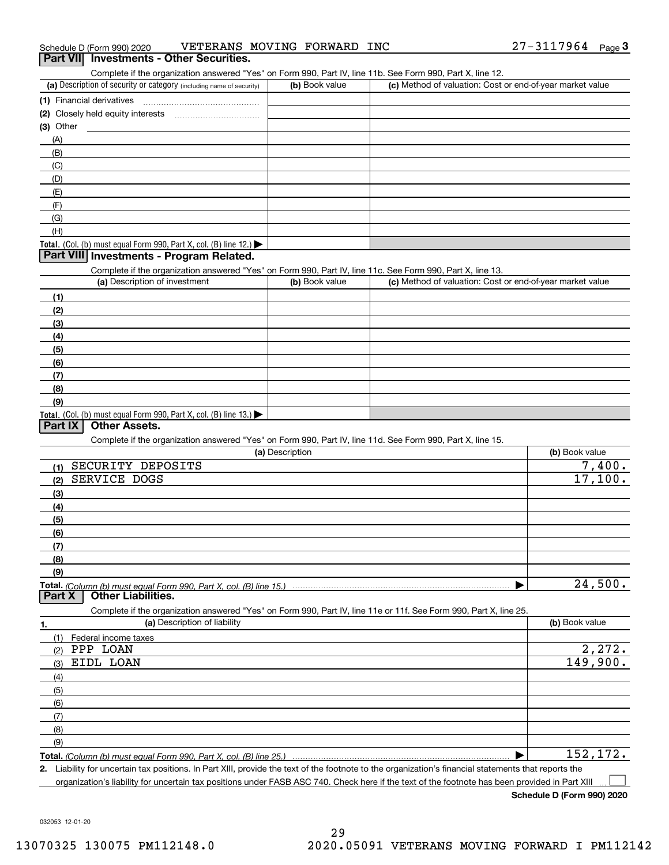| Schedule D (Form 990) 2020 | VETERANS MOVING FORWARD 1                       |  | INC | ⌒ 冖<br>27-3117964 | Page |
|----------------------------|-------------------------------------------------|--|-----|-------------------|------|
|                            | <b>Part VII</b> Investments - Other Securities. |  |     |                   |      |

#### (a) Description of security or category (including name of security)  $\vert$  (b) Book value  $\vert$  (c) **(1)** Financial derivatives ~~~~~~~~~~~~~~~ **(2)** Closely held equity interests ~~~~~~~~~~~ **(3)** Other Complete if the organization answered "Yes" on Form 990, Part IV, line 11b. See Form 990, Part X, line 12.  $(b)$  Book value  $\vert$  (c) Method of valuation: Cost or end-of-year market value (A)(B)

| ( ) /                                                               |  |
|---------------------------------------------------------------------|--|
| (C)                                                                 |  |
| (D)                                                                 |  |
| (E)                                                                 |  |
| (F)                                                                 |  |
| (G)                                                                 |  |
| (H)                                                                 |  |
| Total. (Col. (b) must equal Form 990, Part X, col. (B) line $12$ .) |  |

### **Part VIII Investments - Program Related.**

Complete if the organization answered "Yes" on Form 990, Part IV, line 11c. See Form 990, Part X, line 13.

| complete in the organization anomology root of it child ooo, it artist, much the occur child ooo, it artist, much to:<br>(a) Description of investment | (b) Book value | (c) Method of valuation: Cost or end-of-year market value |
|--------------------------------------------------------------------------------------------------------------------------------------------------------|----------------|-----------------------------------------------------------|
| (1)                                                                                                                                                    |                |                                                           |
| (2)                                                                                                                                                    |                |                                                           |
| (3)                                                                                                                                                    |                |                                                           |
| (4)                                                                                                                                                    |                |                                                           |
| (5)                                                                                                                                                    |                |                                                           |
| (6)                                                                                                                                                    |                |                                                           |
|                                                                                                                                                        |                |                                                           |
| (8)                                                                                                                                                    |                |                                                           |
| (9)                                                                                                                                                    |                |                                                           |
| <b>Total.</b> (Col. (b) must equal Form 990, Part X, col. (B) line $13$ .)                                                                             |                |                                                           |

### **Part IX Other Assets.**

Complete if the organization answered "Yes" on Form 990, Part IV, line 11d. See Form 990, Part X, line 15.

| (a) Description                                                                                                   | (b) Book value |
|-------------------------------------------------------------------------------------------------------------------|----------------|
| SECURITY DEPOSITS<br>(1)                                                                                          | 7,400.         |
| <b>SERVICE DOGS</b><br>(2)                                                                                        | 17,100.        |
| $\qquad \qquad (3)$                                                                                               |                |
| (4)                                                                                                               |                |
| (5)                                                                                                               |                |
| (6)                                                                                                               |                |
| (7)                                                                                                               |                |
| (8)                                                                                                               |                |
| (9)                                                                                                               |                |
|                                                                                                                   | 24,500.        |
| <b>Other Liabilities.</b><br>Part X                                                                               |                |
| Complete if the organization answered "Yes" on Form 990, Part IV, line 11e or 11f. See Form 990, Part X, line 25. |                |
| (a) Description of liability<br>1.                                                                                | (b) Book value |

| (1) Federal income taxes |           |
|--------------------------|-----------|
| PPP LOAN<br>(2)          | 2,272.    |
| EIDL LOAN<br>(3)         | 149,900.  |
| (4)                      |           |
| $\frac{1}{2}$ (5)        |           |
| (6)                      |           |
| (7)                      |           |
| (8)                      |           |
| (9)                      |           |
|                          | 152, 172. |

**Total.**  *(Column (b) must equal Form 990, Part X, col. (B) line 25.)* 

**2.**Liability for uncertain tax positions. In Part XIII, provide the text of the footnote to the organization's financial statements that reports the organization's liability for uncertain tax positions under FASB ASC 740. Check here if the text of the footnote has been provided in Part XIII  $\mathcal{L}^{\text{max}}$ 

**Schedule D (Form 990) 2020**

032053 12-01-20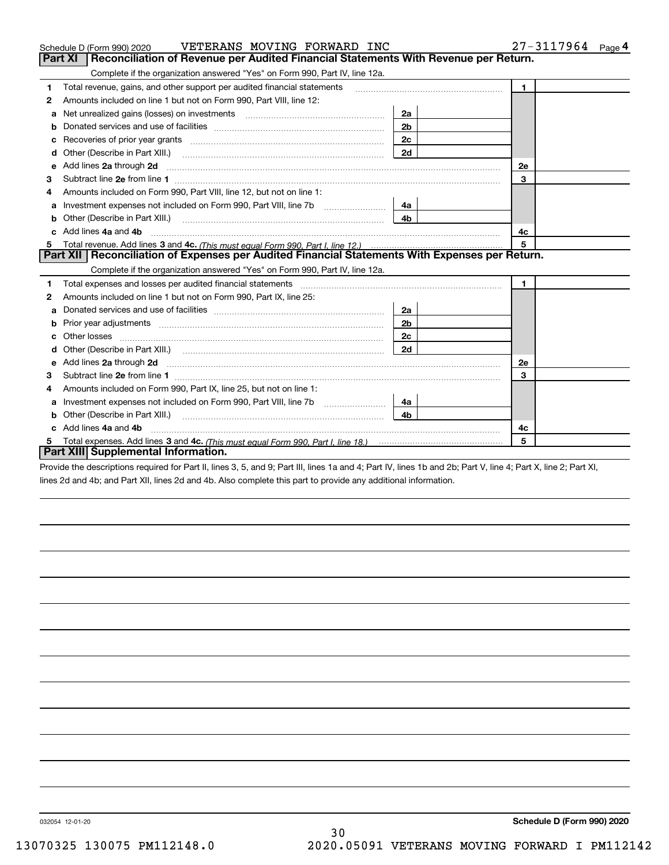|    | VETERANS MOVING FORWARD INC<br>Schedule D (Form 990) 2020                                                                                                                                                                          |                | 27-3117964<br>Page 4 |
|----|------------------------------------------------------------------------------------------------------------------------------------------------------------------------------------------------------------------------------------|----------------|----------------------|
|    | Reconciliation of Revenue per Audited Financial Statements With Revenue per Return.<br>Part XI                                                                                                                                     |                |                      |
|    | Complete if the organization answered "Yes" on Form 990, Part IV, line 12a.                                                                                                                                                        |                |                      |
| 1  | Total revenue, gains, and other support per audited financial statements                                                                                                                                                           |                | $\blacktriangleleft$ |
| 2  | Amounts included on line 1 but not on Form 990, Part VIII, line 12:                                                                                                                                                                |                |                      |
| a  |                                                                                                                                                                                                                                    | 2a             |                      |
|    |                                                                                                                                                                                                                                    | 2 <sub>b</sub> |                      |
|    |                                                                                                                                                                                                                                    | 2c             |                      |
| d  | Other (Describe in Part XIII.) <b>Construction Contract Construction</b> Chemistry Chemistry Chemistry Chemistry Chemistry                                                                                                         | 2d             |                      |
| е  | Add lines 2a through 2d                                                                                                                                                                                                            |                | 2e                   |
| 3  |                                                                                                                                                                                                                                    |                | 3                    |
| 4  | Amounts included on Form 990, Part VIII, line 12, but not on line 1:                                                                                                                                                               |                |                      |
| а  |                                                                                                                                                                                                                                    | 4a             |                      |
| b  |                                                                                                                                                                                                                                    | 4 <sub>b</sub> |                      |
| c. | Add lines 4a and 4b                                                                                                                                                                                                                |                | 4с                   |
|    |                                                                                                                                                                                                                                    |                | 5                    |
|    | Part XII   Reconciliation of Expenses per Audited Financial Statements With Expenses per Return.                                                                                                                                   |                |                      |
|    | Complete if the organization answered "Yes" on Form 990, Part IV, line 12a.                                                                                                                                                        |                |                      |
| 1  | Total expenses and losses per audited financial statements [11] [12] manuscription control expenses and losses per audited financial statements [11] [12] manuscription of the statements [12] manuscription of the statements     |                | $\mathbf{1}$         |
| 2  | Amounts included on line 1 but not on Form 990, Part IX, line 25:                                                                                                                                                                  |                |                      |
| a  |                                                                                                                                                                                                                                    | 2a             |                      |
| b  |                                                                                                                                                                                                                                    | 2 <sub>b</sub> |                      |
| c  |                                                                                                                                                                                                                                    | 2с             |                      |
| d  |                                                                                                                                                                                                                                    | 2d             |                      |
| е  | Add lines 2a through 2d <b>contract and all anomalisation</b> and all anomalisation of the state of the state of the state of the state of the state of the state of the state of the state of the state of the state of the state |                | 2e                   |
| 3  |                                                                                                                                                                                                                                    |                | 3                    |
| 4  | Amounts included on Form 990, Part IX, line 25, but not on line 1:                                                                                                                                                                 |                |                      |
| а  |                                                                                                                                                                                                                                    | 4a l           |                      |
| b  |                                                                                                                                                                                                                                    | 4b             |                      |
|    |                                                                                                                                                                                                                                    |                |                      |
|    | Add lines 4a and 4b                                                                                                                                                                                                                |                | 4c                   |
|    | Part XIII Supplemental Information.                                                                                                                                                                                                |                | 5                    |

Provide the descriptions required for Part II, lines 3, 5, and 9; Part III, lines 1a and 4; Part IV, lines 1b and 2b; Part V, line 4; Part X, line 2; Part XI, lines 2d and 4b; and Part XII, lines 2d and 4b. Also complete this part to provide any additional information.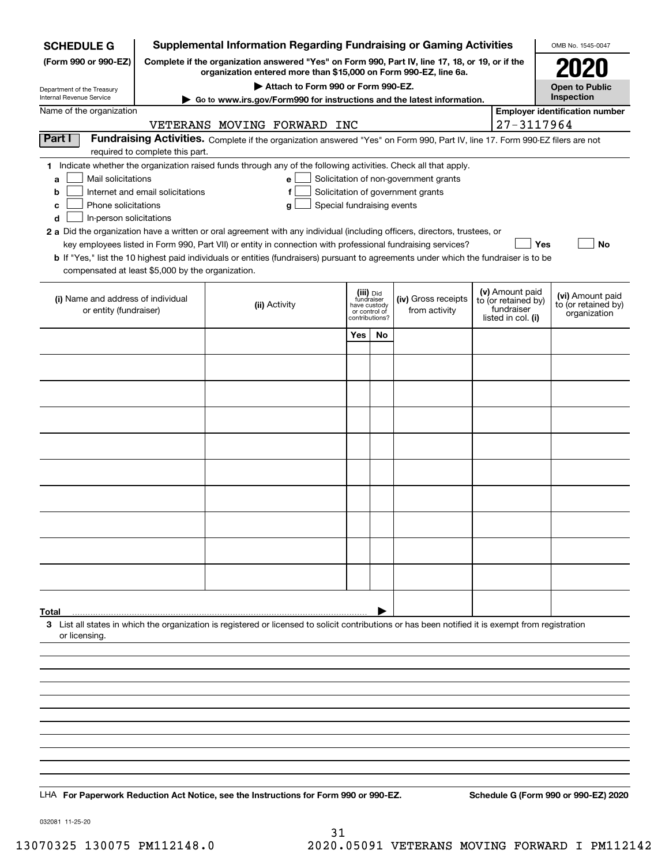| <b>SCHEDULE G</b>                                            |                                  | <b>Supplemental Information Regarding Fundraising or Gaming Activities</b>                                                                                          |                                                                            |    |                                       |                                                                            | OMB No. 1545-0047                                       |
|--------------------------------------------------------------|----------------------------------|---------------------------------------------------------------------------------------------------------------------------------------------------------------------|----------------------------------------------------------------------------|----|---------------------------------------|----------------------------------------------------------------------------|---------------------------------------------------------|
| (Form 990 or 990-EZ)                                         |                                  | Complete if the organization answered "Yes" on Form 990, Part IV, line 17, 18, or 19, or if the<br>organization entered more than \$15,000 on Form 990-EZ, line 6a. |                                                                            |    |                                       |                                                                            |                                                         |
| Department of the Treasury                                   |                                  | Attach to Form 990 or Form 990-EZ.                                                                                                                                  |                                                                            |    |                                       |                                                                            | <b>Open to Public</b>                                   |
| Internal Revenue Service                                     |                                  | Go to www.irs.gov/Form990 for instructions and the latest information.                                                                                              |                                                                            |    |                                       |                                                                            | Inspection                                              |
| Name of the organization                                     |                                  | VETERANS MOVING FORWARD INC                                                                                                                                         |                                                                            |    |                                       | 27-3117964                                                                 | <b>Employer identification number</b>                   |
| Part I                                                       |                                  | Fundraising Activities. Complete if the organization answered "Yes" on Form 990, Part IV, line 17. Form 990-EZ filers are not                                       |                                                                            |    |                                       |                                                                            |                                                         |
|                                                              | required to complete this part.  | 1 Indicate whether the organization raised funds through any of the following activities. Check all that apply.                                                     |                                                                            |    |                                       |                                                                            |                                                         |
| Mail solicitations<br>a                                      |                                  | e l                                                                                                                                                                 |                                                                            |    | Solicitation of non-government grants |                                                                            |                                                         |
| b                                                            | Internet and email solicitations | f                                                                                                                                                                   |                                                                            |    | Solicitation of government grants     |                                                                            |                                                         |
| Phone solicitations<br>с<br>d<br>In-person solicitations     |                                  | Special fundraising events<br>g                                                                                                                                     |                                                                            |    |                                       |                                                                            |                                                         |
|                                                              |                                  | 2 a Did the organization have a written or oral agreement with any individual (including officers, directors, trustees, or                                          |                                                                            |    |                                       |                                                                            |                                                         |
|                                                              |                                  | key employees listed in Form 990, Part VII) or entity in connection with professional fundraising services?                                                         |                                                                            |    |                                       | Yes                                                                        | No                                                      |
| compensated at least \$5,000 by the organization.            |                                  | <b>b</b> If "Yes," list the 10 highest paid individuals or entities (fundraisers) pursuant to agreements under which the fundraiser is to be                        |                                                                            |    |                                       |                                                                            |                                                         |
|                                                              |                                  |                                                                                                                                                                     |                                                                            |    |                                       |                                                                            |                                                         |
| (i) Name and address of individual<br>or entity (fundraiser) |                                  | (ii) Activity                                                                                                                                                       | (iii) Did<br>fundraiser<br>have custody<br>or control of<br>contributions? |    | (iv) Gross receipts<br>from activity  | (v) Amount paid<br>to (or retained by)<br>fundraiser<br>listed in col. (i) | (vi) Amount paid<br>to (or retained by)<br>organization |
|                                                              |                                  |                                                                                                                                                                     | Yes                                                                        | No |                                       |                                                                            |                                                         |
|                                                              |                                  |                                                                                                                                                                     |                                                                            |    |                                       |                                                                            |                                                         |
|                                                              |                                  |                                                                                                                                                                     |                                                                            |    |                                       |                                                                            |                                                         |
|                                                              |                                  |                                                                                                                                                                     |                                                                            |    |                                       |                                                                            |                                                         |
|                                                              |                                  |                                                                                                                                                                     |                                                                            |    |                                       |                                                                            |                                                         |
|                                                              |                                  |                                                                                                                                                                     |                                                                            |    |                                       |                                                                            |                                                         |
|                                                              |                                  |                                                                                                                                                                     |                                                                            |    |                                       |                                                                            |                                                         |
|                                                              |                                  |                                                                                                                                                                     |                                                                            |    |                                       |                                                                            |                                                         |
|                                                              |                                  |                                                                                                                                                                     |                                                                            |    |                                       |                                                                            |                                                         |
|                                                              |                                  |                                                                                                                                                                     |                                                                            |    |                                       |                                                                            |                                                         |
|                                                              |                                  |                                                                                                                                                                     |                                                                            |    |                                       |                                                                            |                                                         |
|                                                              |                                  |                                                                                                                                                                     |                                                                            |    |                                       |                                                                            |                                                         |
|                                                              |                                  |                                                                                                                                                                     |                                                                            |    |                                       |                                                                            |                                                         |
|                                                              |                                  |                                                                                                                                                                     |                                                                            |    |                                       |                                                                            |                                                         |
|                                                              |                                  |                                                                                                                                                                     |                                                                            |    |                                       |                                                                            |                                                         |
| Total                                                        |                                  | 3 List all states in which the organization is registered or licensed to solicit contributions or has been notified it is exempt from registration                  |                                                                            |    |                                       |                                                                            |                                                         |
| or licensing.                                                |                                  |                                                                                                                                                                     |                                                                            |    |                                       |                                                                            |                                                         |
|                                                              |                                  |                                                                                                                                                                     |                                                                            |    |                                       |                                                                            |                                                         |
|                                                              |                                  |                                                                                                                                                                     |                                                                            |    |                                       |                                                                            |                                                         |
|                                                              |                                  |                                                                                                                                                                     |                                                                            |    |                                       |                                                                            |                                                         |
|                                                              |                                  |                                                                                                                                                                     |                                                                            |    |                                       |                                                                            |                                                         |
|                                                              |                                  |                                                                                                                                                                     |                                                                            |    |                                       |                                                                            |                                                         |
|                                                              |                                  |                                                                                                                                                                     |                                                                            |    |                                       |                                                                            |                                                         |
|                                                              |                                  |                                                                                                                                                                     |                                                                            |    |                                       |                                                                            |                                                         |
|                                                              |                                  |                                                                                                                                                                     |                                                                            |    |                                       |                                                                            |                                                         |
|                                                              |                                  | LHA For Paperwork Reduction Act Notice, see the Instructions for Form 990 or 990-EZ.                                                                                |                                                                            |    |                                       |                                                                            | Schedule G (Form 990 or 990-EZ) 2020                    |

032081 11-25-20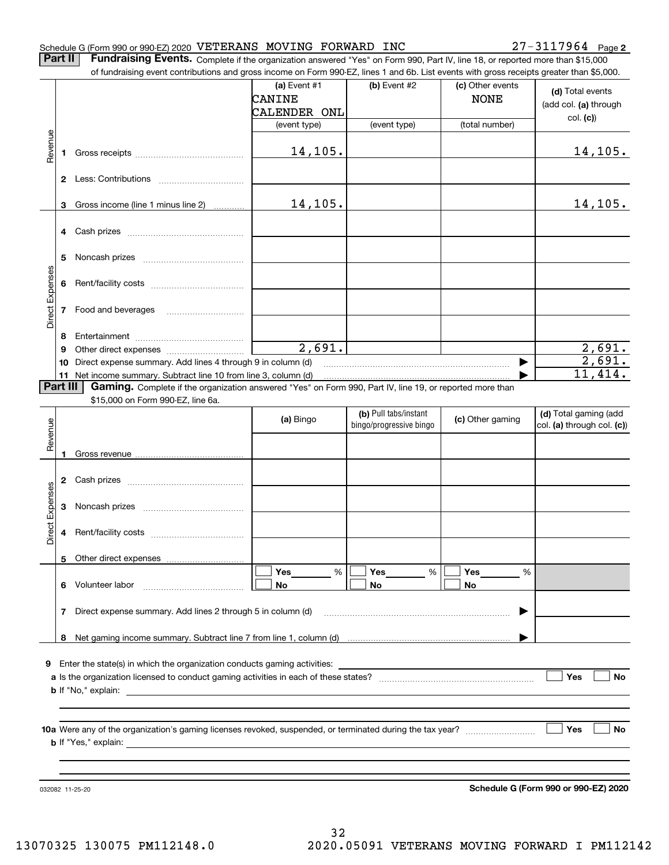#### Schedule G (Form 990 or 990-EZ) 2020 Page VETERANS MOVING FORWARD INC 27-3117964

**2**

**Part II** | Fundraising Events. Complete if the organization answered "Yes" on Form 990, Part IV, line 18, or reported more than \$15,000 of fundraising event contributions and gross income on Form 990-EZ, lines 1 and 6b. List events with gross receipts greater than \$5,000.

|                 |          | of fundraising event contributions and gross income on Form 990-EZ, lines 1 and 6b. List events with gross receipts greater than \$5,000. |                                 |                         |                                 |                                      |
|-----------------|----------|-------------------------------------------------------------------------------------------------------------------------------------------|---------------------------------|-------------------------|---------------------------------|--------------------------------------|
|                 |          |                                                                                                                                           | (a) Event $#1$<br><b>CANINE</b> | (b) Event #2            | (c) Other events<br><b>NONE</b> | (d) Total events                     |
|                 |          |                                                                                                                                           | CALENDER ONL                    |                         |                                 | (add col. (a) through                |
|                 |          |                                                                                                                                           | (event type)                    | (event type)            | (total number)                  | col. (c)                             |
|                 |          |                                                                                                                                           |                                 |                         |                                 |                                      |
| Revenue         | 1        |                                                                                                                                           | 14,105.                         |                         |                                 | 14,105.                              |
|                 |          |                                                                                                                                           |                                 |                         |                                 |                                      |
|                 |          |                                                                                                                                           |                                 |                         |                                 |                                      |
|                 | 3        | Gross income (line 1 minus line 2)                                                                                                        | 14,105.                         |                         |                                 | 14,105.                              |
|                 | 4        | Cash prizes [111] Cash prizes [11] Cash prizes [11] Cash prizes [11] Casar Division (12] Orange Division (12] O                           |                                 |                         |                                 |                                      |
|                 |          |                                                                                                                                           |                                 |                         |                                 |                                      |
|                 | 5        |                                                                                                                                           |                                 |                         |                                 |                                      |
|                 |          |                                                                                                                                           |                                 |                         |                                 |                                      |
| Direct Expenses | 6        |                                                                                                                                           |                                 |                         |                                 |                                      |
|                 | 7        | Food and beverages                                                                                                                        |                                 |                         |                                 |                                      |
|                 |          |                                                                                                                                           |                                 |                         |                                 |                                      |
|                 | 8        |                                                                                                                                           |                                 |                         |                                 |                                      |
|                 | 9        |                                                                                                                                           | $\overline{2,691}$ .            |                         |                                 | 2,691.                               |
|                 | 10       | Direct expense summary. Add lines 4 through 9 in column (d)                                                                               |                                 |                         |                                 | 2,691.                               |
|                 | 11       | Net income summary. Subtract line 10 from line 3, column (d)                                                                              |                                 |                         |                                 | 11,414.                              |
|                 | Part III | Gaming. Complete if the organization answered "Yes" on Form 990, Part IV, line 19, or reported more than                                  |                                 |                         |                                 |                                      |
|                 |          | \$15,000 on Form 990-EZ, line 6a.                                                                                                         |                                 |                         |                                 |                                      |
|                 |          |                                                                                                                                           | (a) Bingo                       | (b) Pull tabs/instant   | (c) Other gaming                | (d) Total gaming (add                |
| Revenue         |          |                                                                                                                                           |                                 | bingo/progressive bingo |                                 | col. (a) through col. (c))           |
|                 |          |                                                                                                                                           |                                 |                         |                                 |                                      |
|                 | 1        |                                                                                                                                           |                                 |                         |                                 |                                      |
|                 |          |                                                                                                                                           |                                 |                         |                                 |                                      |
|                 | 2        |                                                                                                                                           |                                 |                         |                                 |                                      |
| Direct Expenses | 3        |                                                                                                                                           |                                 |                         |                                 |                                      |
|                 |          |                                                                                                                                           |                                 |                         |                                 |                                      |
|                 | 4        |                                                                                                                                           |                                 |                         |                                 |                                      |
|                 |          |                                                                                                                                           |                                 |                         |                                 |                                      |
|                 |          | 5 Other direct expenses                                                                                                                   |                                 |                         |                                 |                                      |
|                 |          |                                                                                                                                           | %<br>Yes                        | %<br>Yes                | Yes<br>%                        |                                      |
|                 |          | 6 Volunteer labor                                                                                                                         | No                              | No                      | No                              |                                      |
|                 |          |                                                                                                                                           |                                 |                         |                                 |                                      |
|                 | 7        | Direct expense summary. Add lines 2 through 5 in column (d)                                                                               |                                 |                         |                                 |                                      |
|                 |          |                                                                                                                                           |                                 |                         |                                 |                                      |
|                 |          |                                                                                                                                           |                                 |                         |                                 |                                      |
|                 |          |                                                                                                                                           |                                 |                         |                                 |                                      |
|                 |          | <b>9</b> Enter the state(s) in which the organization conducts gaming activities:                                                         |                                 |                         |                                 | Yes<br><b>No</b>                     |
|                 |          |                                                                                                                                           |                                 |                         |                                 |                                      |
|                 |          |                                                                                                                                           |                                 |                         |                                 |                                      |
|                 |          |                                                                                                                                           |                                 |                         |                                 |                                      |
|                 |          |                                                                                                                                           |                                 |                         |                                 | Yes<br>No                            |
|                 |          |                                                                                                                                           |                                 |                         |                                 |                                      |
|                 |          |                                                                                                                                           |                                 |                         |                                 |                                      |
|                 |          |                                                                                                                                           |                                 |                         |                                 |                                      |
|                 |          | 032082 11-25-20                                                                                                                           |                                 |                         |                                 | Schedule G (Form 990 or 990-EZ) 2020 |
|                 |          |                                                                                                                                           |                                 |                         |                                 |                                      |

**Schedule G (Form 990 or 990-EZ) 2020**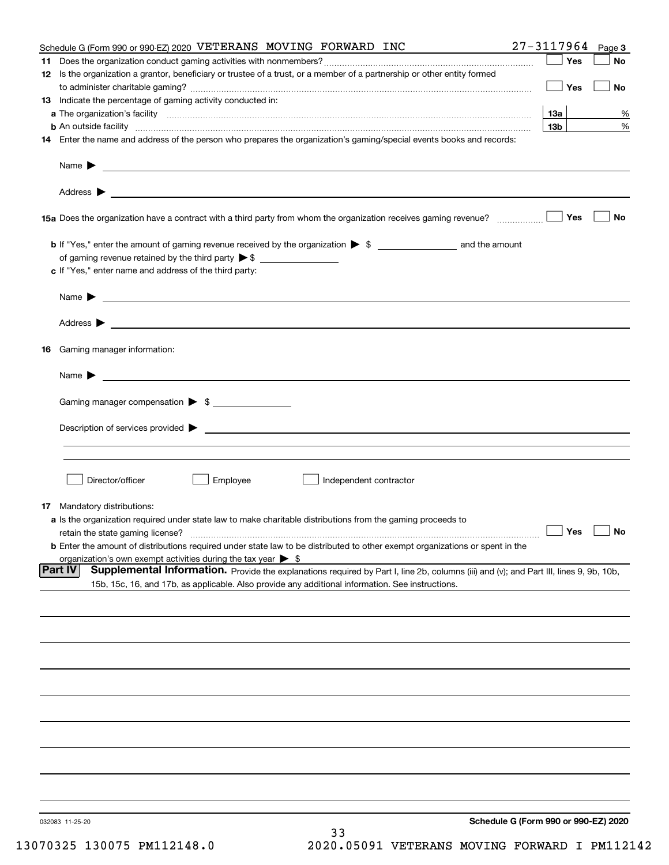|     | Schedule G (Form 990 or 990-EZ) 2020 VETERANS MOVING FORWARD INC                                                                                                        | $27 - 3117964$ Page 3 |           |
|-----|-------------------------------------------------------------------------------------------------------------------------------------------------------------------------|-----------------------|-----------|
| 11. |                                                                                                                                                                         | Yes                   | No        |
|     | 12 Is the organization a grantor, beneficiary or trustee of a trust, or a member of a partnership or other entity formed                                                |                       |           |
|     |                                                                                                                                                                         | Yes                   | No        |
|     | 13 Indicate the percentage of gaming activity conducted in:                                                                                                             |                       |           |
|     |                                                                                                                                                                         | <b>13a</b>            | %         |
|     | <b>b</b> An outside facility <i>www.communicality www.communicality.communicality www.communicality www.communicality.com</i>                                           | 13 <sub>b</sub>       | %         |
|     | 14 Enter the name and address of the person who prepares the organization's gaming/special events books and records:                                                    |                       |           |
|     |                                                                                                                                                                         |                       |           |
|     |                                                                                                                                                                         |                       |           |
|     |                                                                                                                                                                         | Yes                   | No        |
|     |                                                                                                                                                                         |                       |           |
|     |                                                                                                                                                                         |                       |           |
|     | c If "Yes," enter name and address of the third party:                                                                                                                  |                       |           |
|     | Name $\blacktriangleright$                                                                                                                                              |                       |           |
|     |                                                                                                                                                                         |                       |           |
|     |                                                                                                                                                                         |                       |           |
|     | 16 Gaming manager information:                                                                                                                                          |                       |           |
|     | Name $\blacktriangleright$ $\lrcorner$                                                                                                                                  |                       |           |
|     | Gaming manager compensation > \$                                                                                                                                        |                       |           |
|     | $Description of services provided$ $\triangleright$                                                                                                                     |                       |           |
|     |                                                                                                                                                                         |                       |           |
|     |                                                                                                                                                                         |                       |           |
|     | Director/officer<br>Employee<br>Independent contractor                                                                                                                  |                       |           |
|     |                                                                                                                                                                         |                       |           |
|     | <b>17</b> Mandatory distributions:<br>a Is the organization required under state law to make charitable distributions from the gaming proceeds to                       |                       |           |
|     |                                                                                                                                                                         | $\Box$ Yes            | $\Box$ No |
|     | retain the state gaming license?<br><b>b</b> Enter the amount of distributions required under state law to be distributed to other exempt organizations or spent in the |                       |           |
|     | organization's own exempt activities during the tax year $\triangleright$ \$                                                                                            |                       |           |
|     | Part IV<br>Supplemental Information. Provide the explanations required by Part I, line 2b, columns (iii) and (v); and Part III, lines 9, 9b, 10b,                       |                       |           |
|     | 15b, 15c, 16, and 17b, as applicable. Also provide any additional information. See instructions.                                                                        |                       |           |
|     |                                                                                                                                                                         |                       |           |
|     |                                                                                                                                                                         |                       |           |
|     |                                                                                                                                                                         |                       |           |
|     |                                                                                                                                                                         |                       |           |
|     |                                                                                                                                                                         |                       |           |
|     |                                                                                                                                                                         |                       |           |
|     |                                                                                                                                                                         |                       |           |
|     |                                                                                                                                                                         |                       |           |
|     |                                                                                                                                                                         |                       |           |
|     |                                                                                                                                                                         |                       |           |
|     |                                                                                                                                                                         |                       |           |
|     | Schedule G (Form 990 or 990-EZ) 2020<br>032083 11-25-20<br>33<br>$1.20077$ $11.01.10$                                                                                   |                       |           |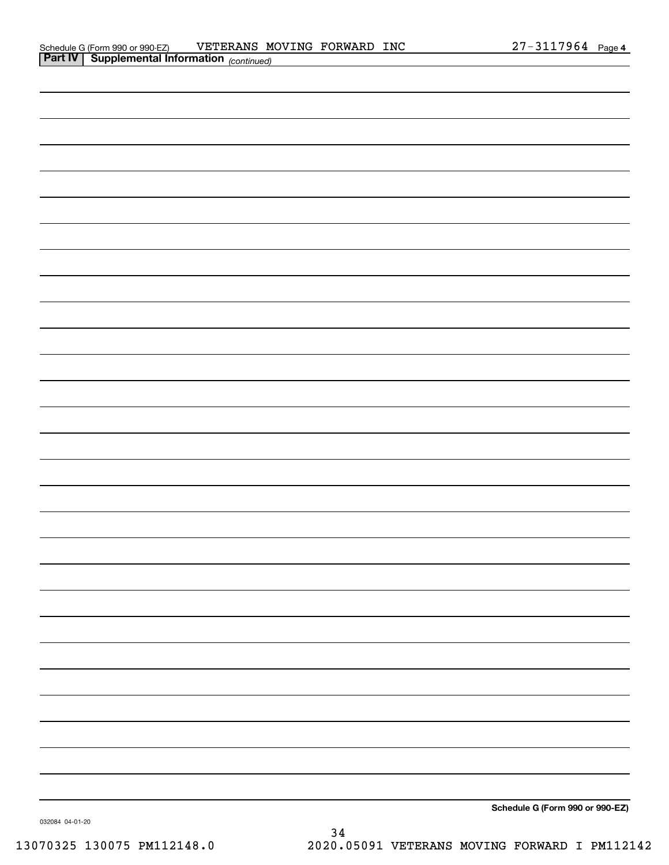| <b>Part IV   Supplemental Information</b> (continued) |                                 |
|-------------------------------------------------------|---------------------------------|
|                                                       |                                 |
|                                                       |                                 |
|                                                       |                                 |
|                                                       |                                 |
|                                                       |                                 |
|                                                       |                                 |
|                                                       |                                 |
|                                                       |                                 |
|                                                       |                                 |
|                                                       |                                 |
|                                                       |                                 |
|                                                       |                                 |
|                                                       |                                 |
|                                                       |                                 |
|                                                       |                                 |
|                                                       |                                 |
|                                                       |                                 |
|                                                       |                                 |
|                                                       |                                 |
|                                                       |                                 |
|                                                       |                                 |
|                                                       |                                 |
|                                                       |                                 |
|                                                       |                                 |
|                                                       |                                 |
|                                                       |                                 |
|                                                       |                                 |
|                                                       |                                 |
|                                                       |                                 |
|                                                       |                                 |
|                                                       |                                 |
|                                                       | Schedule G (Form 990 or 990-EZ) |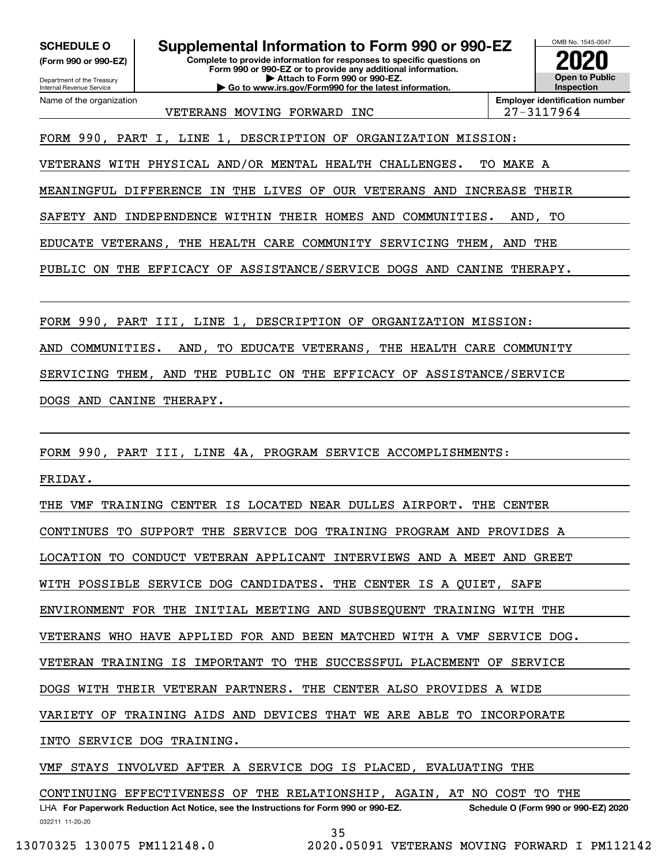**(Form 990 or 990-EZ)**

OMB No. 1545-0047 **Complete to provide information for responses to specific questions on Form 990 or 990-EZ or to provide any additional information. SCHEDULE O Supplemental Information to Form 990 or 990-EZ 2020**

Department of the Treasury Internal Revenue Service Name of the organization

**| Attach to Form 990 or 990-EZ. | Go to www.irs.gov/Form990 for the latest information.**

**Employer identification number** VETERANS MOVING FORWARD INC  $\vert$  27-3117964

**Open to Public Inspection**

FORM 990, PART I, LINE 1, DESCRIPTION OF ORGANIZATION MISSION:

VETERANS WITH PHYSICAL AND/OR MENTAL HEALTH CHALLENGES. TO MAKE A

MEANINGFUL DIFFERENCE IN THE LIVES OF OUR VETERANS AND INCREASE THEIR

SAFETY AND INDEPENDENCE WITHIN THEIR HOMES AND COMMUNITIES. AND, TO

EDUCATE VETERANS, THE HEALTH CARE COMMUNITY SERVICING THEM, AND THE

PUBLIC ON THE EFFICACY OF ASSISTANCE/SERVICE DOGS AND CANINE THERAPY.

FORM 990, PART III, LINE 1, DESCRIPTION OF ORGANIZATION MISSION:

AND COMMUNITIES. AND, TO EDUCATE VETERANS, THE HEALTH CARE COMMUNITY

SERVICING THEM, AND THE PUBLIC ON THE EFFICACY OF ASSISTANCE/SERVICE

DOGS AND CANINE THERAPY.

FORM 990, PART III, LINE 4A, PROGRAM SERVICE ACCOMPLISHMENTS:

FRIDAY.

THE VMF TRAINING CENTER IS LOCATED NEAR DULLES AIRPORT. THE CENTER

CONTINUES TO SUPPORT THE SERVICE DOG TRAINING PROGRAM AND PROVIDES A

LOCATION TO CONDUCT VETERAN APPLICANT INTERVIEWS AND A MEET AND GREET

WITH POSSIBLE SERVICE DOG CANDIDATES. THE CENTER IS A QUIET, SAFE

ENVIRONMENT FOR THE INITIAL MEETING AND SUBSEQUENT TRAINING WITH THE

VETERANS WHO HAVE APPLIED FOR AND BEEN MATCHED WITH A VMF SERVICE DOG.

VETERAN TRAINING IS IMPORTANT TO THE SUCCESSFUL PLACEMENT OF SERVICE

DOGS WITH THEIR VETERAN PARTNERS. THE CENTER ALSO PROVIDES A WIDE

VARIETY OF TRAINING AIDS AND DEVICES THAT WE ARE ABLE TO INCORPORATE

INTO SERVICE DOG TRAINING.

VMF STAYS INVOLVED AFTER A SERVICE DOG IS PLACED, EVALUATING THE

032211 11-20-20 LHA For Paperwork Reduction Act Notice, see the Instructions for Form 990 or 990-EZ. Schedule O (Form 990 or 990-EZ) 2020 CONTINUING EFFECTIVENESS OF THE RELATIONSHIP, AGAIN, AT NO COST TO THE

35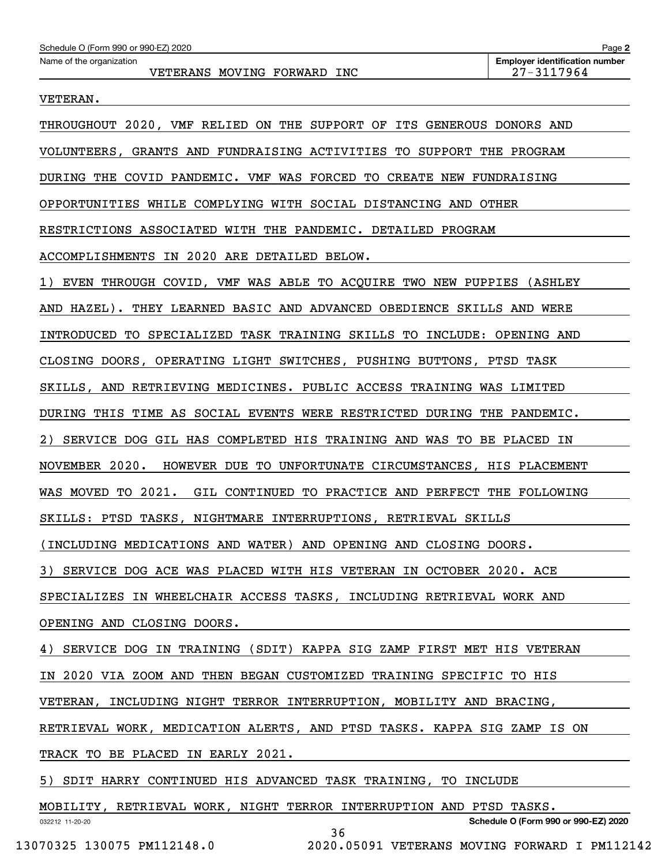### VETERAN.

| THROUGHOUT 2020, VMF RELIED ON THE SUPPORT OF ITS GENEROUS DONORS AND     |
|---------------------------------------------------------------------------|
| VOLUNTEERS, GRANTS AND FUNDRAISING ACTIVITIES TO SUPPORT THE PROGRAM      |
| DURING THE COVID PANDEMIC. VMF WAS FORCED TO CREATE NEW FUNDRAISING       |
| OPPORTUNITIES WHILE COMPLYING WITH SOCIAL DISTANCING AND OTHER            |
| RESTRICTIONS ASSOCIATED WITH THE PANDEMIC. DETAILED PROGRAM               |
| ACCOMPLISHMENTS IN 2020 ARE DETAILED BELOW.                               |
| 1) EVEN THROUGH COVID, VMF WAS ABLE TO ACQUIRE TWO NEW PUPPIES (ASHLEY    |
| AND HAZEL). THEY LEARNED BASIC AND ADVANCED OBEDIENCE SKILLS AND WERE     |
| INTRODUCED TO SPECIALIZED TASK TRAINING SKILLS TO INCLUDE: OPENING AND    |
| CLOSING DOORS, OPERATING LIGHT SWITCHES, PUSHING BUTTONS, PTSD TASK       |
| SKILLS, AND RETRIEVING MEDICINES. PUBLIC ACCESS TRAINING WAS LIMITED      |
| DURING THIS TIME AS SOCIAL EVENTS WERE RESTRICTED DURING THE PANDEMIC.    |
| SERVICE DOG GIL HAS COMPLETED HIS TRAINING AND WAS TO BE PLACED IN        |
| NOVEMBER 2020.<br>HOWEVER DUE TO UNFORTUNATE CIRCUMSTANCES, HIS PLACEMENT |
| WAS MOVED TO 2021. GIL CONTINUED TO PRACTICE AND PERFECT THE FOLLOWING    |
| SKILLS: PTSD TASKS, NIGHTMARE INTERRUPTIONS, RETRIEVAL SKILLS             |
| (INCLUDING MEDICATIONS AND WATER) AND OPENING AND CLOSING DOORS.          |
| 3) SERVICE DOG ACE WAS PLACED WITH HIS VETERAN IN OCTOBER 2020. ACE       |
| SPECIALIZES IN WHEELCHAIR ACCESS TASKS, INCLUDING RETRIEVAL WORK AND      |
| OPENING AND CLOSING DOORS.                                                |
| 4) SERVICE DOG IN TRAINING (SDIT) KAPPA SIG ZAMP FIRST MET HIS VETERAN    |
| IN 2020 VIA ZOOM AND THEN BEGAN CUSTOMIZED TRAINING SPECIFIC TO HIS       |
| VETERAN, INCLUDING NIGHT TERROR INTERRUPTION, MOBILITY AND BRACING,       |
| RETRIEVAL WORK, MEDICATION ALERTS, AND PTSD TASKS. KAPPA SIG ZAMP IS ON   |
| TRACK TO BE PLACED IN EARLY 2021.                                         |
| 5) SDIT HARRY CONTINUED HIS ADVANCED TASK TRAINING, TO INCLUDE            |
| MOBILITY, RETRIEVAL WORK, NIGHT TERROR INTERRUPTION AND PTSD TASKS.       |
| Schedule O (Form 990 or 990-EZ) 2020<br>032212 11-20-20<br>36             |

13070325 130075 PM112148.0 2020.05091 VETERANS MOVING FORWARD I PM112142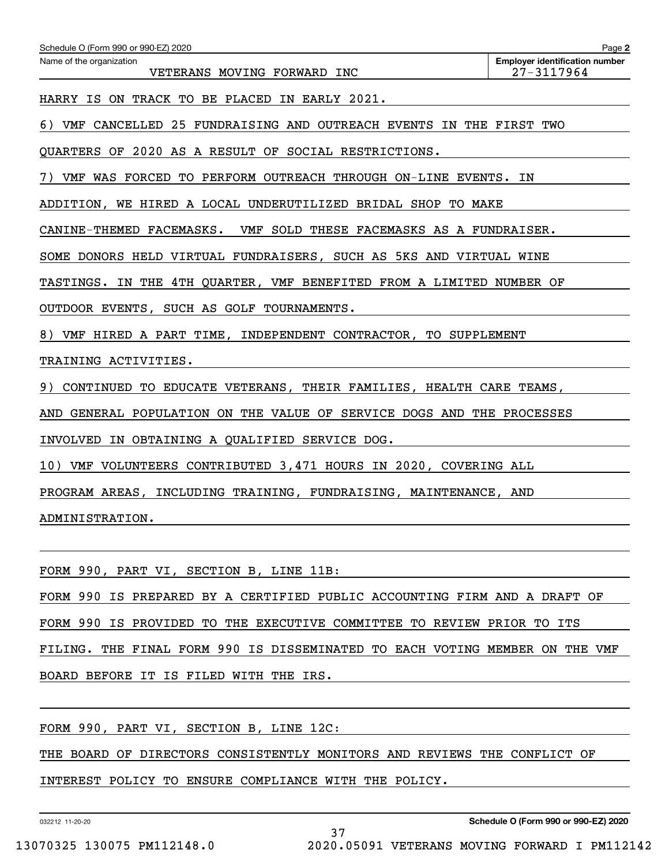| Schedule O (Form 990 or 990-EZ) 2020                                    | Page 2                                              |
|-------------------------------------------------------------------------|-----------------------------------------------------|
| Name of the organization<br>VETERANS MOVING FORWARD INC                 | <b>Employer identification number</b><br>27-3117964 |
| HARRY IS ON TRACK TO BE PLACED IN EARLY 2021.                           |                                                     |
| 6) VMF CANCELLED 25 FUNDRAISING AND OUTREACH EVENTS IN THE FIRST TWO    |                                                     |
| QUARTERS OF 2020 AS A RESULT OF SOCIAL RESTRICTIONS.                    |                                                     |
| VMF WAS FORCED TO PERFORM OUTREACH THROUGH ON-LINE EVENTS. IN           |                                                     |
| ADDITION, WE HIRED A LOCAL UNDERUTILIZED BRIDAL SHOP TO MAKE            |                                                     |
| CANINE-THEMED FACEMASKS. VMF SOLD THESE FACEMASKS AS A FUNDRAISER.      |                                                     |
| SOME DONORS HELD VIRTUAL FUNDRAISERS, SUCH AS 5KS AND VIRTUAL WINE      |                                                     |
| TASTINGS. IN THE 4TH QUARTER, VMF BENEFITED FROM A LIMITED NUMBER OF    |                                                     |
| OUTDOOR EVENTS, SUCH AS GOLF TOURNAMENTS.                               |                                                     |
| 8) VMF HIRED A PART TIME, INDEPENDENT CONTRACTOR, TO SUPPLEMENT         |                                                     |
| TRAINING ACTIVITIES.                                                    |                                                     |
| CONTINUED TO EDUCATE VETERANS, THEIR FAMILIES, HEALTH CARE TEAMS,<br>9) |                                                     |
| AND GENERAL POPULATION ON THE VALUE OF SERVICE DOGS AND THE PROCESSES   |                                                     |
| INVOLVED IN OBTAINING A QUALIFIED SERVICE DOG.                          |                                                     |
| 10) VMF VOLUNTEERS CONTRIBUTED 3,471 HOURS IN 2020, COVERING ALL        |                                                     |
| PROGRAM AREAS, INCLUDING TRAINING, FUNDRAISING, MAINTENANCE, AND        |                                                     |
| ADMINISTRATION.                                                         |                                                     |
|                                                                         |                                                     |
| FORM 990, PART VI, SECTION B, LINE 11B:                                 |                                                     |

FORM 990 IS PREPARED BY A CERTIFIED PUBLIC ACCOUNTING FIRM AND A DRAFT OF

FORM 990 IS PROVIDED TO THE EXECUTIVE COMMITTEE TO REVIEW PRIOR TO ITS

FILING. THE FINAL FORM 990 IS DISSEMINATED TO EACH VOTING MEMBER ON THE VMF

BOARD BEFORE IT IS FILED WITH THE IRS.

FORM 990, PART VI, SECTION B, LINE 12C:

THE BOARD OF DIRECTORS CONSISTENTLY MONITORS AND REVIEWS THE CONFLICT OF

37

INTEREST POLICY TO ENSURE COMPLIANCE WITH THE POLICY.

032212 11-20-20